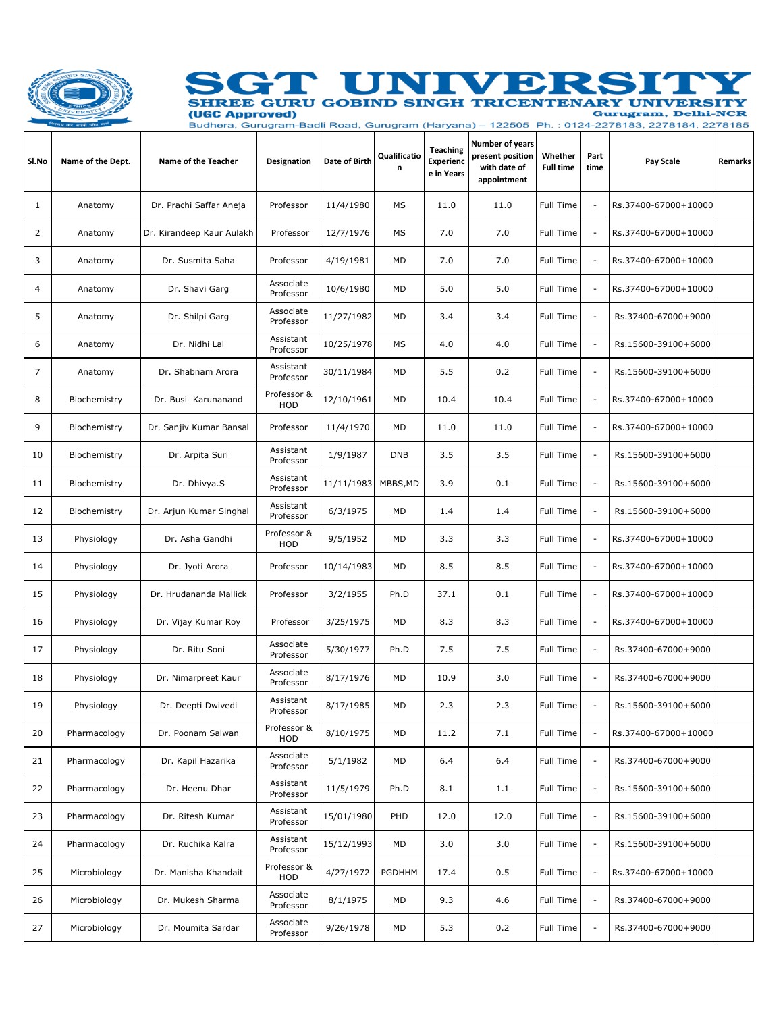

## GT UNIN **V** Đ Ŀ. SHREE GURU GOBIND SINGH TRICENTENARY UNIVERSITY (UGC Approved) **Gurugram, Delhi-NCR**

Budhera, Gurugram-Badli Road, Gurugram (Haryana) - 122505 Ph. : 0124-2278183, 2278184, 2278185

٦

| SI.No | Name of the Dept. | Name of the Teacher       | Designation               | Date of Birth | Qualificatio<br>n | <b>Teaching</b><br><b>Experienc</b><br>e in Years | Number of years<br>present position<br>with date of<br>appointment | Whether<br><b>Full time</b> | Part<br>time             | Pay Scale            | Remarks |
|-------|-------------------|---------------------------|---------------------------|---------------|-------------------|---------------------------------------------------|--------------------------------------------------------------------|-----------------------------|--------------------------|----------------------|---------|
| 1     | Anatomy           | Dr. Prachi Saffar Aneja   | Professor                 | 11/4/1980     | MS                | 11.0                                              | 11.0                                                               | Full Time                   | $\overline{\phantom{a}}$ | Rs.37400-67000+10000 |         |
| 2     | Anatomy           | Dr. Kirandeep Kaur Aulakh | Professor                 | 12/7/1976     | MS                | 7.0                                               | 7.0                                                                | Full Time                   | $\overline{\phantom{a}}$ | Rs.37400-67000+10000 |         |
| 3     | Anatomy           | Dr. Susmita Saha          | Professor                 | 4/19/1981     | MD                | 7.0                                               | 7.0                                                                | Full Time                   | $\overline{\phantom{a}}$ | Rs.37400-67000+10000 |         |
| 4     | Anatomy           | Dr. Shavi Garg            | Associate<br>Professor    | 10/6/1980     | MD                | 5.0                                               | 5.0                                                                | Full Time                   | $\overline{\phantom{a}}$ | Rs.37400-67000+10000 |         |
| 5     | Anatomy           | Dr. Shilpi Garg           | Associate<br>Professor    | 11/27/1982    | MD                | 3.4                                               | 3.4                                                                | Full Time                   | $\blacksquare$           | Rs.37400-67000+9000  |         |
| 6     | Anatomy           | Dr. Nidhi Lal             | Assistant<br>Professor    | 10/25/1978    | MS                | 4.0                                               | 4.0                                                                | Full Time                   | $\overline{\phantom{a}}$ | Rs.15600-39100+6000  |         |
| 7     | Anatomy           | Dr. Shabnam Arora         | Assistant<br>Professor    | 30/11/1984    | MD                | 5.5                                               | 0.2                                                                | Full Time                   | $\overline{\phantom{a}}$ | Rs.15600-39100+6000  |         |
| 8     | Biochemistry      | Dr. Busi Karunanand       | Professor &<br><b>HOD</b> | 12/10/1961    | MD                | 10.4                                              | 10.4                                                               | Full Time                   | $\overline{\phantom{a}}$ | Rs.37400-67000+10000 |         |
| 9     | Biochemistry      | Dr. Sanjiv Kumar Bansal   | Professor                 | 11/4/1970     | MD                | 11.0                                              | 11.0                                                               | Full Time                   | $\overline{\phantom{a}}$ | Rs.37400-67000+10000 |         |
| 10    | Biochemistry      | Dr. Arpita Suri           | Assistant<br>Professor    | 1/9/1987      | <b>DNB</b>        | 3.5                                               | 3.5                                                                | Full Time                   | $\overline{\phantom{a}}$ | Rs.15600-39100+6000  |         |
| 11    | Biochemistry      | Dr. Dhivya.S              | Assistant<br>Professor    | 11/11/1983    | MBBS, MD          | 3.9                                               | 0.1                                                                | Full Time                   | $\overline{\phantom{a}}$ | Rs.15600-39100+6000  |         |
| 12    | Biochemistry      | Dr. Arjun Kumar Singhal   | Assistant<br>Professor    | 6/3/1975      | MD                | 1.4                                               | 1.4                                                                | Full Time                   | $\overline{\phantom{a}}$ | Rs.15600-39100+6000  |         |
| 13    | Physiology        | Dr. Asha Gandhi           | Professor &<br>HOD        | 9/5/1952      | MD                | 3.3                                               | 3.3                                                                | Full Time                   | $\overline{\phantom{a}}$ | Rs.37400-67000+10000 |         |
| 14    | Physiology        | Dr. Jyoti Arora           | Professor                 | 10/14/1983    | MD                | 8.5                                               | 8.5                                                                | Full Time                   | $\overline{\phantom{a}}$ | Rs.37400-67000+10000 |         |
| 15    | Physiology        | Dr. Hrudananda Mallick    | Professor                 | 3/2/1955      | Ph.D              | 37.1                                              | 0.1                                                                | Full Time                   | $\overline{\phantom{a}}$ | Rs.37400-67000+10000 |         |
| 16    | Physiology        | Dr. Vijay Kumar Roy       | Professor                 | 3/25/1975     | MD                | 8.3                                               | 8.3                                                                | Full Time                   | $\overline{\phantom{a}}$ | Rs.37400-67000+10000 |         |
| 17    | Physiology        | Dr. Ritu Soni             | Associate<br>Professor    | 5/30/1977     | Ph.D              | 7.5                                               | 7.5                                                                | Full Time                   | $\overline{\phantom{a}}$ | Rs.37400-67000+9000  |         |
| 18    | Physiology        | Dr. Nimarpreet Kaur       | Associate<br>Professor    | 8/17/1976     | MD                | 10.9                                              | 3.0                                                                | Full Time                   | $\overline{\phantom{a}}$ | Rs.37400-67000+9000  |         |
| 19    | Physiology        | Dr. Deepti Dwivedi        | Assistant<br>Professor    | 8/17/1985     | MD                | 2.3                                               | 2.3                                                                | Full Time                   | $\sim$                   | Rs.15600-39100+6000  |         |
| 20    | Pharmacology      | Dr. Poonam Salwan         | Professor &<br>HOD        | 8/10/1975     | MD                | 11.2                                              | 7.1                                                                | Full Time                   | $\overline{\phantom{a}}$ | Rs.37400-67000+10000 |         |
| 21    | Pharmacology      | Dr. Kapil Hazarika        | Associate<br>Professor    | 5/1/1982      | MD                | 6.4                                               | 6.4                                                                | Full Time                   | ÷,                       | Rs.37400-67000+9000  |         |
| 22    | Pharmacology      | Dr. Heenu Dhar            | Assistant<br>Professor    | 11/5/1979     | Ph.D              | 8.1                                               | 1.1                                                                | Full Time                   | $\overline{\phantom{a}}$ | Rs.15600-39100+6000  |         |
| 23    | Pharmacology      | Dr. Ritesh Kumar          | Assistant<br>Professor    | 15/01/1980    | PHD               | 12.0                                              | 12.0                                                               | Full Time                   | ÷,                       | Rs.15600-39100+6000  |         |
| 24    | Pharmacology      | Dr. Ruchika Kalra         | Assistant<br>Professor    | 15/12/1993    | MD                | 3.0                                               | 3.0                                                                | Full Time                   | $\overline{\phantom{a}}$ | Rs.15600-39100+6000  |         |
| 25    | Microbiology      | Dr. Manisha Khandait      | Professor &<br>HOD        | 4/27/1972     | PGDHHM            | 17.4                                              | 0.5                                                                | Full Time                   | $\overline{\phantom{a}}$ | Rs.37400-67000+10000 |         |
| 26    | Microbiology      | Dr. Mukesh Sharma         | Associate<br>Professor    | 8/1/1975      | MD                | 9.3                                               | 4.6                                                                | Full Time                   | $\overline{\phantom{a}}$ | Rs.37400-67000+9000  |         |
| 27    | Microbiology      | Dr. Moumita Sardar        | Associate<br>Professor    | 9/26/1978     | MD                | 5.3                                               | 0.2                                                                | Full Time                   | $\overline{\phantom{a}}$ | Rs.37400-67000+9000  |         |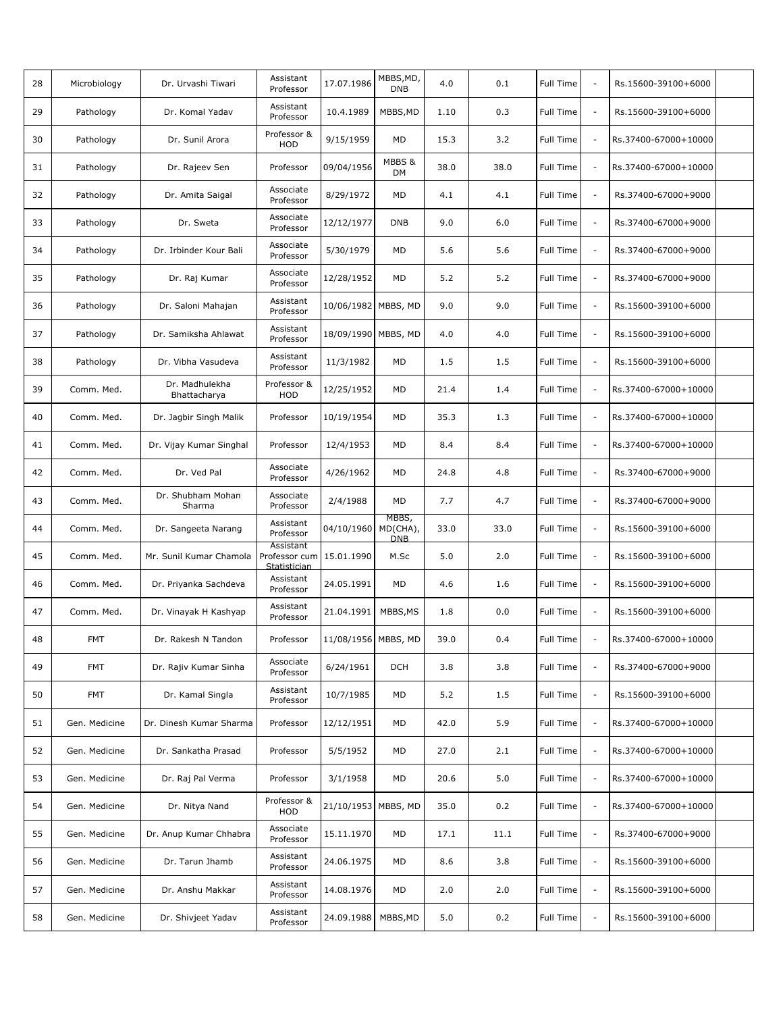| 28 | Microbiology  | Dr. Urvashi Tiwari             | Assistant<br>Professor                                | 17.07.1986          | MBBS, MD,<br><b>DNB</b>         | 4.0  | 0.1  | Full Time        | $\overline{\phantom{a}}$ | Rs.15600-39100+6000  |  |
|----|---------------|--------------------------------|-------------------------------------------------------|---------------------|---------------------------------|------|------|------------------|--------------------------|----------------------|--|
| 29 | Pathology     | Dr. Komal Yadav                | Assistant<br>Professor                                | 10.4.1989           | MBBS, MD                        | 1.10 | 0.3  | Full Time        | $\overline{\phantom{a}}$ | Rs.15600-39100+6000  |  |
| 30 | Pathology     | Dr. Sunil Arora                | Professor &<br>HOD                                    | 9/15/1959           | MD                              | 15.3 | 3.2  | Full Time        | $\overline{\phantom{a}}$ | Rs.37400-67000+10000 |  |
| 31 | Pathology     | Dr. Rajeev Sen                 | Professor                                             | 09/04/1956          | MBBS &<br><b>DM</b>             | 38.0 | 38.0 | Full Time        | $\overline{\phantom{a}}$ | Rs.37400-67000+10000 |  |
| 32 | Pathology     | Dr. Amita Saigal               | Associate<br>Professor                                | 8/29/1972           | MD                              | 4.1  | 4.1  | <b>Full Time</b> | $\overline{\phantom{a}}$ | Rs.37400-67000+9000  |  |
| 33 | Pathology     | Dr. Sweta                      | Associate<br>Professor                                | 12/12/1977          | <b>DNB</b>                      | 9.0  | 6.0  | <b>Full Time</b> | $\overline{\phantom{a}}$ | Rs.37400-67000+9000  |  |
| 34 | Pathology     | Dr. Irbinder Kour Bali         | Associate<br>Professor                                | 5/30/1979           | MD                              | 5.6  | 5.6  | Full Time        | $\overline{\phantom{a}}$ | Rs.37400-67000+9000  |  |
| 35 | Pathology     | Dr. Raj Kumar                  | Associate<br>Professor                                | 12/28/1952          | MD                              | 5.2  | 5.2  | Full Time        | $\overline{\phantom{a}}$ | Rs.37400-67000+9000  |  |
| 36 | Pathology     | Dr. Saloni Mahajan             | Assistant<br>Professor                                | 10/06/1982 MBBS, MD |                                 | 9.0  | 9.0  | Full Time        | $\overline{\phantom{a}}$ | Rs.15600-39100+6000  |  |
| 37 | Pathology     | Dr. Samiksha Ahlawat           | Assistant<br>Professor                                | 18/09/1990 MBBS, MD |                                 | 4.0  | 4.0  | Full Time        | $\overline{\phantom{a}}$ | Rs.15600-39100+6000  |  |
| 38 | Pathology     | Dr. Vibha Vasudeva             | Assistant<br>Professor                                | 11/3/1982           | MD                              | 1.5  | 1.5  | Full Time        | $\overline{\phantom{a}}$ | Rs.15600-39100+6000  |  |
| 39 | Comm. Med.    | Dr. Madhulekha<br>Bhattacharya | Professor &<br>HOD                                    | 12/25/1952          | MD                              | 21.4 | 1.4  | Full Time        | $\overline{\phantom{a}}$ | Rs.37400-67000+10000 |  |
| 40 | Comm. Med.    | Dr. Jagbir Singh Malik         | Professor                                             | 10/19/1954          | MD                              | 35.3 | 1.3  | Full Time        | $\overline{\phantom{a}}$ | Rs.37400-67000+10000 |  |
| 41 | Comm. Med.    | Dr. Vijay Kumar Singhal        | Professor                                             | 12/4/1953           | MD                              | 8.4  | 8.4  | Full Time        | $\overline{\phantom{a}}$ | Rs.37400-67000+10000 |  |
| 42 | Comm. Med.    | Dr. Ved Pal                    | Associate<br>Professor                                | 4/26/1962           | MD                              | 24.8 | 4.8  | Full Time        | $\blacksquare$           | Rs.37400-67000+9000  |  |
| 43 | Comm. Med.    | Dr. Shubham Mohan<br>Sharma    | Associate<br>Professor                                | 2/4/1988            | MD                              | 7.7  | 4.7  | Full Time        | $\overline{\phantom{a}}$ | Rs.37400-67000+9000  |  |
| 44 | Comm. Med.    | Dr. Sangeeta Narang            | Assistant<br>Professor                                | 04/10/1960          | MBBS,<br>MD(CHA),<br><b>DNB</b> | 33.0 | 33.0 | Full Time        | L,                       | Rs.15600-39100+6000  |  |
| 45 | Comm. Med.    | Mr. Sunil Kumar Chamola        | Assistant<br>Professor cum 15.01.1990<br>Statistician |                     | M.Sc                            | 5.0  | 2.0  | Full Time        | $\overline{\phantom{a}}$ | Rs.15600-39100+6000  |  |
| 46 | Comm. Med.    | Dr. Priyanka Sachdeva          | Assistant<br>Professor                                | 24.05.1991          | MD                              | 4.6  | 1.6  | Full Time        | $\overline{\phantom{a}}$ | Rs.15600-39100+6000  |  |
| 47 | Comm. Med.    | Dr. Vinayak H Kashyap          | Assistant<br>Professor                                | 21.04.1991          | MBBS, MS                        | 1.8  | 0.0  | Full Time        | $\overline{\phantom{a}}$ | Rs.15600-39100+6000  |  |
| 48 | FMT           | Dr. Rakesh N Tandon            | Professor                                             | 11/08/1956 MBBS, MD |                                 | 39.0 | 0.4  | Full Time        |                          | Rs.37400-67000+10000 |  |
| 49 | <b>FMT</b>    | Dr. Rajiv Kumar Sinha          | Associate<br>Professor                                | 6/24/1961           | <b>DCH</b>                      | 3.8  | 3.8  | Full Time        | $\overline{\phantom{a}}$ | Rs.37400-67000+9000  |  |
| 50 | <b>FMT</b>    | Dr. Kamal Singla               | Assistant<br>Professor                                | 10/7/1985           | MD                              | 5.2  | 1.5  | Full Time        | $\overline{\phantom{a}}$ | Rs.15600-39100+6000  |  |
| 51 | Gen. Medicine | Dr. Dinesh Kumar Sharma        | Professor                                             | 12/12/1951          | MD                              | 42.0 | 5.9  | <b>Full Time</b> | $\overline{\phantom{a}}$ | Rs.37400-67000+10000 |  |
| 52 | Gen. Medicine | Dr. Sankatha Prasad            | Professor                                             | 5/5/1952            | MD                              | 27.0 | 2.1  | Full Time        | $\overline{\phantom{a}}$ | Rs.37400-67000+10000 |  |
| 53 | Gen. Medicine | Dr. Raj Pal Verma              | Professor                                             | 3/1/1958            | MD                              | 20.6 | 5.0  | Full Time        | $\overline{\phantom{a}}$ | Rs.37400-67000+10000 |  |
| 54 | Gen. Medicine | Dr. Nitya Nand                 | Professor &<br>HOD                                    | 21/10/1953 MBBS, MD |                                 | 35.0 | 0.2  | Full Time        | $\overline{\phantom{a}}$ | Rs.37400-67000+10000 |  |
| 55 | Gen. Medicine | Dr. Anup Kumar Chhabra         | Associate<br>Professor                                | 15.11.1970          | MD                              | 17.1 | 11.1 | Full Time        | $\overline{\phantom{a}}$ | Rs.37400-67000+9000  |  |
| 56 | Gen. Medicine | Dr. Tarun Jhamb                | Assistant<br>Professor                                | 24.06.1975          | MD                              | 8.6  | 3.8  | Full Time        | $\overline{\phantom{a}}$ | Rs.15600-39100+6000  |  |
| 57 | Gen. Medicine | Dr. Anshu Makkar               | Assistant<br>Professor                                | 14.08.1976          | MD                              | 2.0  | 2.0  | Full Time        | $\overline{\phantom{a}}$ | Rs.15600-39100+6000  |  |
| 58 | Gen. Medicine | Dr. Shivjeet Yadav             | Assistant<br>Professor                                | 24.09.1988          | MBBS, MD                        | 5.0  | 0.2  | Full Time        | $\overline{\phantom{a}}$ | Rs.15600-39100+6000  |  |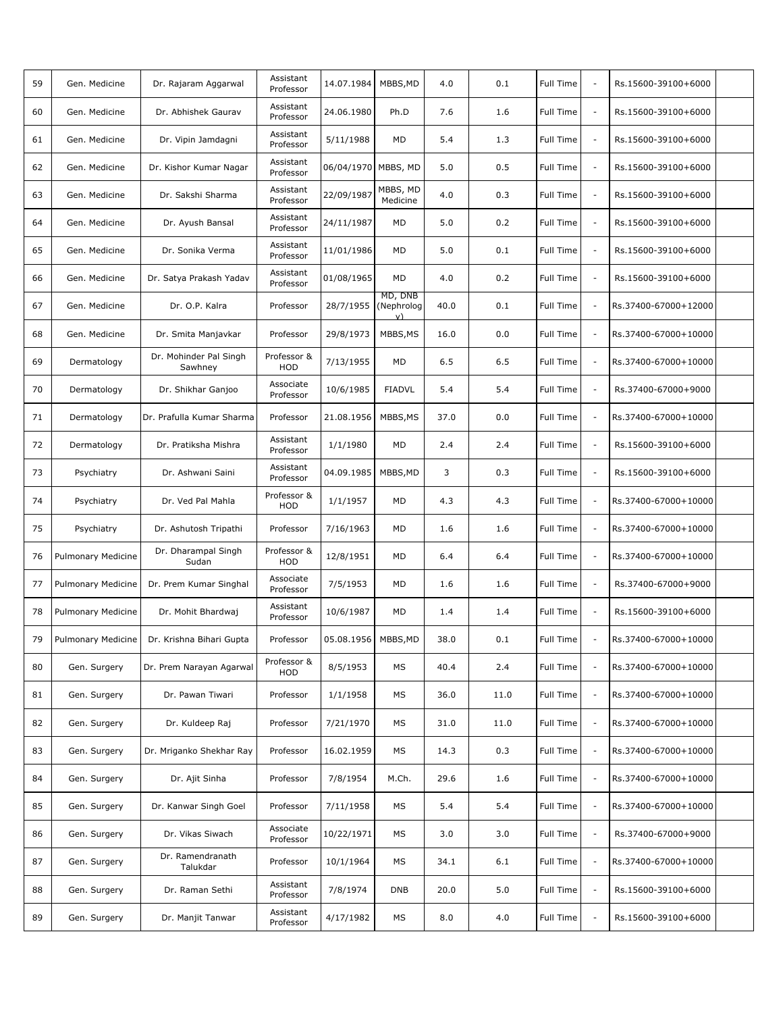| 59 | Gen. Medicine      | Dr. Rajaram Aggarwal                          | Assistant<br>Professor | 14.07.1984           | MBBS, MD             | 4.0  | 0.1  | Full Time        | $\overline{\phantom{a}}$ | Rs.15600-39100+6000  |  |
|----|--------------------|-----------------------------------------------|------------------------|----------------------|----------------------|------|------|------------------|--------------------------|----------------------|--|
| 60 | Gen. Medicine      | Dr. Abhishek Gaurav                           | Assistant<br>Professor | 24.06.1980           | Ph.D                 | 7.6  | 1.6  | Full Time        | $\blacksquare$           | Rs.15600-39100+6000  |  |
| 61 | Gen. Medicine      | Dr. Vipin Jamdagni                            | Assistant<br>Professor | 5/11/1988            | MD                   | 5.4  | 1.3  | Full Time        | $\overline{\phantom{a}}$ | Rs.15600-39100+6000  |  |
| 62 | Gen. Medicine      | Dr. Kishor Kumar Nagar                        | Assistant<br>Professor | 06/04/1970 MBBS, MD  |                      | 5.0  | 0.5  | Full Time        | $\overline{\phantom{a}}$ | Rs.15600-39100+6000  |  |
| 63 | Gen. Medicine      | Dr. Sakshi Sharma                             | Assistant<br>Professor | 22/09/1987           | MBBS, MD<br>Medicine | 4.0  | 0.3  | Full Time        | $\overline{\phantom{a}}$ | Rs.15600-39100+6000  |  |
| 64 | Gen. Medicine      | Dr. Ayush Bansal                              | Assistant<br>Professor | 24/11/1987           | MD                   | 5.0  | 0.2  | Full Time        | $\overline{\phantom{a}}$ | Rs.15600-39100+6000  |  |
| 65 | Gen. Medicine      | Dr. Sonika Verma                              | Assistant<br>Professor | 11/01/1986           | <b>MD</b>            | 5.0  | 0.1  | Full Time        | $\overline{\phantom{a}}$ | Rs.15600-39100+6000  |  |
| 66 | Gen. Medicine      | Dr. Satya Prakash Yadav                       | Assistant<br>Professor | 01/08/1965           | MD                   | 4.0  | 0.2  | Full Time        | $\overline{\phantom{a}}$ | Rs.15600-39100+6000  |  |
| 67 | Gen. Medicine      | Dr. O.P. Kalra                                | Professor              | 28/7/1955 (Nephrolog | MD, DNB<br>v)        | 40.0 | 0.1  | Full Time        | $\overline{\phantom{a}}$ | Rs.37400-67000+12000 |  |
| 68 | Gen. Medicine      | Dr. Smita Manjavkar                           | Professor              | 29/8/1973            | MBBS, MS             | 16.0 | 0.0  | Full Time        | $\overline{\phantom{a}}$ | Rs.37400-67000+10000 |  |
| 69 | Dermatology        | Dr. Mohinder Pal Singh<br>Sawhnev             | Professor &<br>HOD     | 7/13/1955            | MD                   | 6.5  | 6.5  | <b>Full Time</b> | $\overline{\phantom{a}}$ | Rs.37400-67000+10000 |  |
| 70 | Dermatology        | Dr. Shikhar Ganjoo                            | Associate<br>Professor | 10/6/1985            | <b>FIADVL</b>        | 5.4  | 5.4  | Full Time        | $\overline{\phantom{a}}$ | Rs.37400-67000+9000  |  |
| 71 | Dermatology        | Dr. Prafulla Kumar Sharma                     | Professor              | 21.08.1956           | MBBS, MS             | 37.0 | 0.0  | Full Time        | $\overline{\phantom{a}}$ | Rs.37400-67000+10000 |  |
| 72 | Dermatology        | Dr. Pratiksha Mishra                          | Assistant<br>Professor | 1/1/1980             | MD                   | 2.4  | 2.4  | Full Time        | $\overline{\phantom{a}}$ | Rs.15600-39100+6000  |  |
| 73 | Psychiatry         | Dr. Ashwani Saini                             | Assistant<br>Professor | 04.09.1985           | MBBS, MD             | 3    | 0.3  | Full Time        | $\overline{\phantom{a}}$ | Rs.15600-39100+6000  |  |
| 74 | Psychiatry         | Dr. Ved Pal Mahla                             | Professor &<br>HOD     | 1/1/1957             | MD                   | 4.3  | 4.3  | Full Time        | $\overline{\phantom{a}}$ | Rs.37400-67000+10000 |  |
| 75 | Psychiatry         | Dr. Ashutosh Tripathi                         | Professor              | 7/16/1963            | MD                   | 1.6  | 1.6  | Full Time        | $\overline{\phantom{a}}$ | Rs.37400-67000+10000 |  |
| 76 | Pulmonary Medicine | Dr. Dharampal Singh<br>Sudan                  | Professor &<br>HOD     | 12/8/1951            | MD                   | 6.4  | 6.4  | Full Time        | $\overline{\phantom{a}}$ | Rs.37400-67000+10000 |  |
| 77 | Pulmonary Medicine | Dr. Prem Kumar Singhal                        | Associate<br>Professor | 7/5/1953             | MD                   | 1.6  | 1.6  | Full Time        | $\overline{\phantom{a}}$ | Rs.37400-67000+9000  |  |
| 78 | Pulmonary Medicine | Dr. Mohit Bhardwaj                            | Assistant<br>Professor | 10/6/1987            | MD                   | 1.4  | 1.4  | Full Time        | $\overline{\phantom{a}}$ | Rs.15600-39100+6000  |  |
| 79 |                    | Pulmonary Medicine   Dr. Krishna Bihari Gupta | Professor              | 05.08.1956 MBBS, MD  |                      | 38.0 | 0.1  | Full Time        |                          | Rs.37400-67000+10000 |  |
| 80 | Gen. Surgery       | Dr. Prem Narayan Agarwal                      | Professor &<br>HOD     | 8/5/1953             | MS                   | 40.4 | 2.4  | Full Time        |                          | Rs.37400-67000+10000 |  |
| 81 | Gen. Surgery       | Dr. Pawan Tiwari                              | Professor              | 1/1/1958             | MS                   | 36.0 | 11.0 | Full Time        | $\overline{\phantom{a}}$ | Rs.37400-67000+10000 |  |
| 82 | Gen. Surgery       | Dr. Kuldeep Raj                               | Professor              | 7/21/1970            | МS                   | 31.0 | 11.0 | Full Time        | $\overline{\phantom{a}}$ | Rs.37400-67000+10000 |  |
| 83 | Gen. Surgery       | Dr. Mriganko Shekhar Ray                      | Professor              | 16.02.1959           | MS                   | 14.3 | 0.3  | Full Time        | $\overline{\phantom{a}}$ | Rs.37400-67000+10000 |  |
| 84 | Gen. Surgery       | Dr. Ajit Sinha                                | Professor              | 7/8/1954             | M.Ch.                | 29.6 | 1.6  | Full Time        | $\overline{\phantom{a}}$ | Rs.37400-67000+10000 |  |
| 85 | Gen. Surgery       | Dr. Kanwar Singh Goel                         | Professor              | 7/11/1958            | МS                   | 5.4  | 5.4  | Full Time        | $\overline{\phantom{a}}$ | Rs.37400-67000+10000 |  |
| 86 | Gen. Surgery       | Dr. Vikas Siwach                              | Associate<br>Professor | 10/22/1971           | МS                   | 3.0  | 3.0  | Full Time        | $\overline{\phantom{a}}$ | Rs.37400-67000+9000  |  |
| 87 | Gen. Surgery       | Dr. Ramendranath<br>Talukdar                  | Professor              | 10/1/1964            | МS                   | 34.1 | 6.1  | Full Time        | ÷,                       | Rs.37400-67000+10000 |  |
| 88 | Gen. Surgery       | Dr. Raman Sethi                               | Assistant<br>Professor | 7/8/1974             | <b>DNB</b>           | 20.0 | 5.0  | Full Time        | $\overline{\phantom{a}}$ | Rs.15600-39100+6000  |  |
| 89 | Gen. Surgery       | Dr. Manjit Tanwar                             | Assistant<br>Professor | 4/17/1982            | МS                   | 8.0  | 4.0  | Full Time        | $\overline{\phantom{a}}$ | Rs.15600-39100+6000  |  |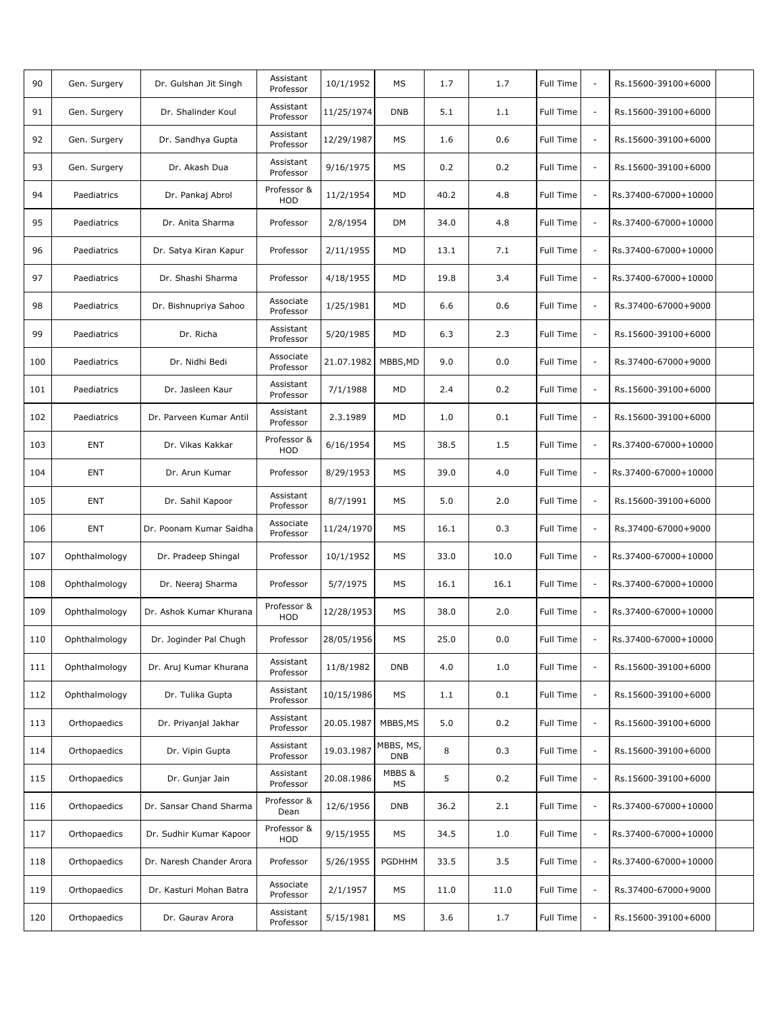| 90  | Gen. Surgery  | Dr. Gulshan Jit Singh    | Assistant<br>Professor | 10/1/1952  | MS                      | 1.7  | 1.7  | Full Time        | $\overline{\phantom{a}}$ | Rs.15600-39100+6000  |  |
|-----|---------------|--------------------------|------------------------|------------|-------------------------|------|------|------------------|--------------------------|----------------------|--|
| 91  | Gen. Surgery  | Dr. Shalinder Koul       | Assistant<br>Professor | 11/25/1974 | <b>DNB</b>              | 5.1  | 1.1  | Full Time        | $\blacksquare$           | Rs.15600-39100+6000  |  |
| 92  | Gen. Surgery  | Dr. Sandhya Gupta        | Assistant<br>Professor | 12/29/1987 | MS                      | 1.6  | 0.6  | Full Time        | $\overline{\phantom{a}}$ | Rs.15600-39100+6000  |  |
| 93  | Gen. Surgery  | Dr. Akash Dua            | Assistant<br>Professor | 9/16/1975  | MS                      | 0.2  | 0.2  | Full Time        | $\overline{\phantom{a}}$ | Rs.15600-39100+6000  |  |
| 94  | Paediatrics   | Dr. Pankaj Abrol         | Professor &<br>HOD     | 11/2/1954  | MD                      | 40.2 | 4.8  | Full Time        | $\overline{\phantom{a}}$ | Rs.37400-67000+10000 |  |
| 95  | Paediatrics   | Dr. Anita Sharma         | Professor              | 2/8/1954   | DM                      | 34.0 | 4.8  | Full Time        | $\overline{\phantom{a}}$ | Rs.37400-67000+10000 |  |
| 96  | Paediatrics   | Dr. Satya Kiran Kapur    | Professor              | 2/11/1955  | MD                      | 13.1 | 7.1  | Full Time        | $\overline{\phantom{a}}$ | Rs.37400-67000+10000 |  |
| 97  | Paediatrics   | Dr. Shashi Sharma        | Professor              | 4/18/1955  | MD                      | 19.8 | 3.4  | Full Time        | $\overline{\phantom{a}}$ | Rs.37400-67000+10000 |  |
| 98  | Paediatrics   | Dr. Bishnupriya Sahoo    | Associate<br>Professor | 1/25/1981  | MD                      | 6.6  | 0.6  | Full Time        | $\overline{\phantom{a}}$ | Rs.37400-67000+9000  |  |
| 99  | Paediatrics   | Dr. Richa                | Assistant<br>Professor | 5/20/1985  | MD                      | 6.3  | 2.3  | Full Time        | $\overline{\phantom{a}}$ | Rs.15600-39100+6000  |  |
| 100 | Paediatrics   | Dr. Nidhi Bedi           | Associate<br>Professor | 21.07.1982 | MBBS, MD                | 9.0  | 0.0  | <b>Full Time</b> | $\overline{\phantom{a}}$ | Rs.37400-67000+9000  |  |
| 101 | Paediatrics   | Dr. Jasleen Kaur         | Assistant<br>Professor | 7/1/1988   | MD                      | 2.4  | 0.2  | Full Time        | $\overline{\phantom{a}}$ | Rs.15600-39100+6000  |  |
| 102 | Paediatrics   | Dr. Parveen Kumar Antil  | Assistant<br>Professor | 2.3.1989   | MD                      | 1.0  | 0.1  | <b>Full Time</b> | $\overline{\phantom{a}}$ | Rs.15600-39100+6000  |  |
| 103 | <b>ENT</b>    | Dr. Vikas Kakkar         | Professor &<br>HOD     | 6/16/1954  | МS                      | 38.5 | 1.5  | Full Time        | $\overline{\phantom{a}}$ | Rs.37400-67000+10000 |  |
| 104 | <b>ENT</b>    | Dr. Arun Kumar           | Professor              | 8/29/1953  | MS                      | 39.0 | 4.0  | Full Time        | $\overline{\phantom{a}}$ | Rs.37400-67000+10000 |  |
| 105 | ENT           | Dr. Sahil Kapoor         | Assistant<br>Professor | 8/7/1991   | MS                      | 5.0  | 2.0  | Full Time        | $\overline{\phantom{a}}$ | Rs.15600-39100+6000  |  |
| 106 | <b>ENT</b>    | Dr. Poonam Kumar Saidha  | Associate<br>Professor | 11/24/1970 | MS                      | 16.1 | 0.3  | Full Time        | $\overline{\phantom{a}}$ | Rs.37400-67000+9000  |  |
| 107 | Ophthalmology | Dr. Pradeep Shingal      | Professor              | 10/1/1952  | MS                      | 33.0 | 10.0 | Full Time        | $\overline{\phantom{a}}$ | Rs.37400-67000+10000 |  |
| 108 | Ophthalmology | Dr. Neeraj Sharma        | Professor              | 5/7/1975   | MS                      | 16.1 | 16.1 | Full Time        | $\overline{\phantom{a}}$ | Rs.37400-67000+10000 |  |
| 109 | Ophthalmology | Dr. Ashok Kumar Khurana  | Professor &<br>HOD     | 12/28/1953 | MS                      | 38.0 | 2.0  | Full Time        | $\overline{\phantom{a}}$ | Rs.37400-67000+10000 |  |
| 110 | Ophthalmology | Dr. Joginder Pal Chugh   | Professor              | 28/05/1956 | МS                      | 25.0 | 0.0  | Full Time        |                          | Rs.37400-67000+10000 |  |
| 111 | Ophthalmology | Dr. Aruj Kumar Khurana   | Assistant<br>Professor | 11/8/1982  | <b>DNB</b>              | 4.0  | 1.0  | Full Time        | $\overline{\phantom{a}}$ | Rs.15600-39100+6000  |  |
| 112 | Ophthalmology | Dr. Tulika Gupta         | Assistant<br>Professor | 10/15/1986 | МS                      | 1.1  | 0.1  | Full Time        | $\overline{\phantom{a}}$ | Rs.15600-39100+6000  |  |
| 113 | Orthopaedics  | Dr. Priyanjal Jakhar     | Assistant<br>Professor | 20.05.1987 | MBBS, MS                | 5.0  | 0.2  | Full Time        | $\overline{\phantom{a}}$ | Rs.15600-39100+6000  |  |
| 114 | Orthopaedics  | Dr. Vipin Gupta          | Assistant<br>Professor | 19.03.1987 | MBBS, MS,<br><b>DNB</b> | 8    | 0.3  | Full Time        | $\overline{\phantom{a}}$ | Rs.15600-39100+6000  |  |
| 115 | Orthopaedics  | Dr. Gunjar Jain          | Assistant<br>Professor | 20.08.1986 | MBBS &<br>МS            | 5    | 0.2  | Full Time        | $\overline{\phantom{a}}$ | Rs.15600-39100+6000  |  |
| 116 | Orthopaedics  | Dr. Sansar Chand Sharma  | Professor &<br>Dean    | 12/6/1956  | <b>DNB</b>              | 36.2 | 2.1  | Full Time        | $\overline{\phantom{a}}$ | Rs.37400-67000+10000 |  |
| 117 | Orthopaedics  | Dr. Sudhir Kumar Kapoor  | Professor &<br>HOD     | 9/15/1955  | МS                      | 34.5 | 1.0  | Full Time        | $\overline{\phantom{a}}$ | Rs.37400-67000+10000 |  |
| 118 | Orthopaedics  | Dr. Naresh Chander Arora | Professor              | 5/26/1955  | PGDHHM                  | 33.5 | 3.5  | Full Time        | ÷,                       | Rs.37400-67000+10000 |  |
| 119 | Orthopaedics  | Dr. Kasturi Mohan Batra  | Associate<br>Professor | 2/1/1957   | MS                      | 11.0 | 11.0 | Full Time        | $\overline{\phantom{a}}$ | Rs.37400-67000+9000  |  |
| 120 | Orthopaedics  | Dr. Gaurav Arora         | Assistant<br>Professor | 5/15/1981  | МS                      | 3.6  | 1.7  | Full Time        | $\overline{\phantom{a}}$ | Rs.15600-39100+6000  |  |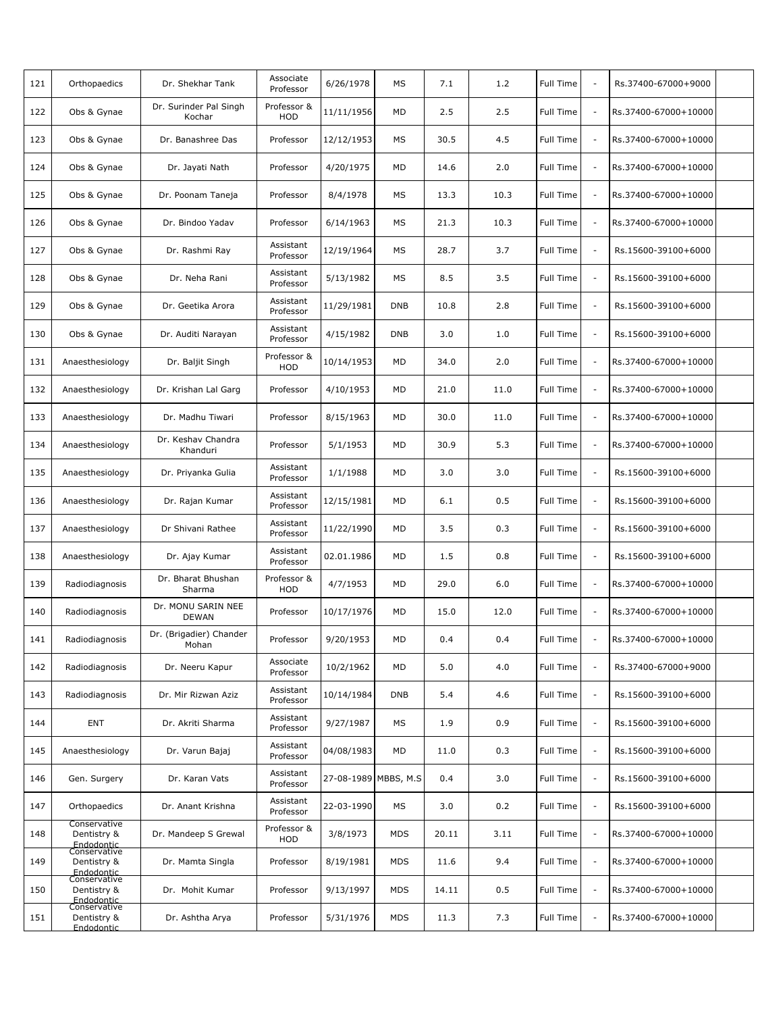| 121 | Orthopaedics                                              | Dr. Shekhar Tank                   | Associate<br>Professor | 6/26/1978            | MS         | 7.1   | 1.2  | Full Time        | $\overline{\phantom{a}}$ | Rs.37400-67000+9000  |  |
|-----|-----------------------------------------------------------|------------------------------------|------------------------|----------------------|------------|-------|------|------------------|--------------------------|----------------------|--|
| 122 | Obs & Gynae                                               | Dr. Surinder Pal Singh<br>Kochar   | Professor &<br>HOD     | 11/11/1956           | MD         | 2.5   | 2.5  | Full Time        | $\blacksquare$           | Rs.37400-67000+10000 |  |
| 123 | Obs & Gynae                                               | Dr. Banashree Das                  | Professor              | 12/12/1953           | MS         | 30.5  | 4.5  | Full Time        | $\overline{\phantom{a}}$ | Rs.37400-67000+10000 |  |
| 124 | Obs & Gynae                                               | Dr. Jayati Nath                    | Professor              | 4/20/1975            | MD         | 14.6  | 2.0  | Full Time        | $\overline{\phantom{a}}$ | Rs.37400-67000+10000 |  |
| 125 | Obs & Gynae                                               | Dr. Poonam Taneja                  | Professor              | 8/4/1978             | MS         | 13.3  | 10.3 | Full Time        | $\overline{\phantom{a}}$ | Rs.37400-67000+10000 |  |
| 126 | Obs & Gynae                                               | Dr. Bindoo Yadav                   | Professor              | 6/14/1963            | MS         | 21.3  | 10.3 | Full Time        | $\overline{\phantom{a}}$ | Rs.37400-67000+10000 |  |
| 127 | Obs & Gynae                                               | Dr. Rashmi Ray                     | Assistant<br>Professor | 12/19/1964           | MS         | 28.7  | 3.7  | Full Time        | $\overline{\phantom{a}}$ | Rs.15600-39100+6000  |  |
| 128 | Obs & Gynae                                               | Dr. Neha Rani                      | Assistant<br>Professor | 5/13/1982            | MS         | 8.5   | 3.5  | Full Time        | ÷,                       | Rs.15600-39100+6000  |  |
| 129 | Obs & Gynae                                               | Dr. Geetika Arora                  | Assistant<br>Professor | 11/29/1981           | <b>DNB</b> | 10.8  | 2.8  | Full Time        | $\overline{\phantom{a}}$ | Rs.15600-39100+6000  |  |
| 130 | Obs & Gynae                                               | Dr. Auditi Narayan                 | Assistant<br>Professor | 4/15/1982            | <b>DNB</b> | 3.0   | 1.0  | Full Time        | $\overline{\phantom{a}}$ | Rs.15600-39100+6000  |  |
| 131 | Anaesthesiology                                           | Dr. Baljit Singh                   | Professor &<br>HOD     | 10/14/1953           | MD         | 34.0  | 2.0  | <b>Full Time</b> | $\overline{\phantom{a}}$ | Rs.37400-67000+10000 |  |
| 132 | Anaesthesiology                                           | Dr. Krishan Lal Garg               | Professor              | 4/10/1953            | MD         | 21.0  | 11.0 | Full Time        | $\overline{\phantom{a}}$ | Rs.37400-67000+10000 |  |
| 133 | Anaesthesiology                                           | Dr. Madhu Tiwari                   | Professor              | 8/15/1963            | MD         | 30.0  | 11.0 | Full Time        | $\overline{\phantom{a}}$ | Rs.37400-67000+10000 |  |
| 134 | Anaesthesiology                                           | Dr. Keshav Chandra<br>Khanduri     | Professor              | 5/1/1953             | MD         | 30.9  | 5.3  | Full Time        | ÷,                       | Rs.37400-67000+10000 |  |
| 135 | Anaesthesiology                                           | Dr. Priyanka Gulia                 | Assistant<br>Professor | 1/1/1988             | MD         | 3.0   | 3.0  | Full Time        | $\overline{\phantom{a}}$ | Rs.15600-39100+6000  |  |
| 136 | Anaesthesiology                                           | Dr. Rajan Kumar                    | Assistant<br>Professor | 12/15/1981           | MD         | 6.1   | 0.5  | <b>Full Time</b> | $\overline{\phantom{a}}$ | Rs.15600-39100+6000  |  |
| 137 | Anaesthesiology                                           | Dr Shivani Rathee                  | Assistant<br>Professor | 11/22/1990           | MD         | 3.5   | 0.3  | Full Time        | $\sim$                   | Rs.15600-39100+6000  |  |
| 138 | Anaesthesiology                                           | Dr. Ajay Kumar                     | Assistant<br>Professor | 02.01.1986           | MD         | 1.5   | 0.8  | Full Time        | $\overline{\phantom{a}}$ | Rs.15600-39100+6000  |  |
| 139 | Radiodiagnosis                                            | Dr. Bharat Bhushan<br>Sharma       | Professor &<br>HOD     | 4/7/1953             | MD         | 29.0  | 6.0  | Full Time        | $\overline{\phantom{a}}$ | Rs.37400-67000+10000 |  |
| 140 | Radiodiagnosis                                            | Dr. MONU SARIN NEE<br><b>DEWAN</b> | Professor              | 10/17/1976           | MD         | 15.0  | 12.0 | Full Time        | $\overline{\phantom{a}}$ | Rs.37400-67000+10000 |  |
| 141 | Radiodiagnosis                                            | Dr. (Brigadier) Chander<br>Mohan   | Professor              | 9/20/1953            | <b>MD</b>  | 0.4   | 0.4  | Full Time        |                          | Rs.37400-67000+10000 |  |
| 142 | Radiodiagnosis                                            | Dr. Neeru Kapur                    | Associate<br>Professor | 10/2/1962            | MD         | 5.0   | 4.0  | Full Time        | $\sim$                   | Rs.37400-67000+9000  |  |
| 143 | Radiodiagnosis                                            | Dr. Mir Rizwan Aziz                | Assistant<br>Professor | 10/14/1984           | <b>DNB</b> | 5.4   | 4.6  | Full Time        | $\overline{\phantom{a}}$ | Rs.15600-39100+6000  |  |
| 144 | <b>ENT</b>                                                | Dr. Akriti Sharma                  | Assistant<br>Professor | 9/27/1987            | MS         | 1.9   | 0.9  | <b>Full Time</b> | $\overline{\phantom{a}}$ | Rs.15600-39100+6000  |  |
| 145 | Anaesthesiology                                           | Dr. Varun Bajaj                    | Assistant<br>Professor | 04/08/1983           | MD         | 11.0  | 0.3  | <b>Full Time</b> | $\sim$                   | Rs.15600-39100+6000  |  |
| 146 | Gen. Surgery                                              | Dr. Karan Vats                     | Assistant<br>Professor | 27-08-1989 MBBS, M.S |            | 0.4   | 3.0  | Full Time        | ÷,                       | Rs.15600-39100+6000  |  |
| 147 | Orthopaedics                                              | Dr. Anant Krishna                  | Assistant<br>Professor | 22-03-1990           | MS         | 3.0   | 0.2  | Full Time        | $\overline{\phantom{a}}$ | Rs.15600-39100+6000  |  |
| 148 | Conservative<br>Dentistry &<br>Endodontic<br>Conservative | Dr. Mandeep S Grewal               | Professor &<br>HOD     | 3/8/1973             | MDS        | 20.11 | 3.11 | Full Time        | $\sim$                   | Rs.37400-67000+10000 |  |
| 149 | Dentistry &<br>Endodontic<br>Conservative                 | Dr. Mamta Singla                   | Professor              | 8/19/1981            | <b>MDS</b> | 11.6  | 9.4  | Full Time        | ÷,                       | Rs.37400-67000+10000 |  |
| 150 | Dentistry &<br>Endodontic<br>Conservative                 | Dr. Mohit Kumar                    | Professor              | 9/13/1997            | <b>MDS</b> | 14.11 | 0.5  | Full Time        | $\overline{\phantom{a}}$ | Rs.37400-67000+10000 |  |
| 151 | Dentistry &<br>Endodontic                                 | Dr. Ashtha Arya                    | Professor              | 5/31/1976            | <b>MDS</b> | 11.3  | 7.3  | Full Time        | $\overline{\phantom{a}}$ | Rs.37400-67000+10000 |  |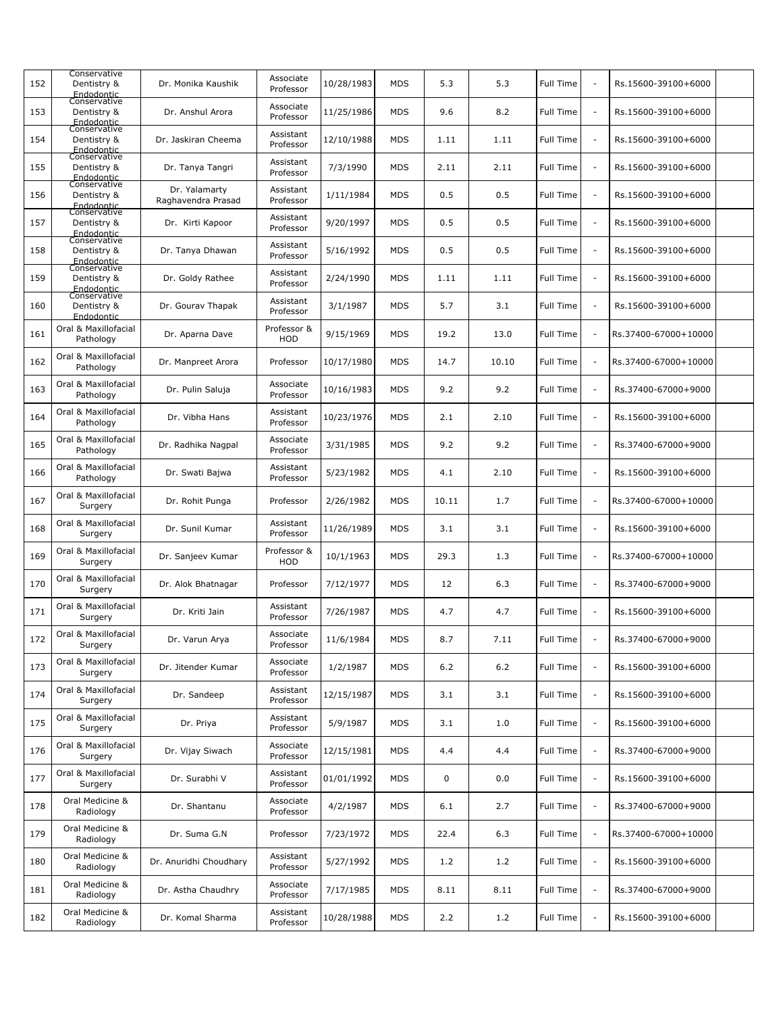| 152 | Conservative<br>Dentistry &<br>Endodontic<br>Conservative | Dr. Monika Kaushik                  | Associate<br>Professor | 10/28/1983 | <b>MDS</b> | 5.3   | 5.3   | <b>Full Time</b> | $\overline{\phantom{a}}$ | Rs.15600-39100+6000  |  |
|-----|-----------------------------------------------------------|-------------------------------------|------------------------|------------|------------|-------|-------|------------------|--------------------------|----------------------|--|
| 153 | Dentistry &<br>Endodontic                                 | Dr. Anshul Arora                    | Associate<br>Professor | 11/25/1986 | <b>MDS</b> | 9.6   | 8.2   | Full Time        | $\sim$                   | Rs.15600-39100+6000  |  |
| 154 | Conservative<br>Dentistry &<br>Endodontic                 | Dr. Jaskiran Cheema                 | Assistant<br>Professor | 12/10/1988 | MDS        | 1.11  | 1.11  | Full Time        | $\overline{\phantom{a}}$ | Rs.15600-39100+6000  |  |
| 155 | Conservative<br>Dentistry &<br>Endodontic                 | Dr. Tanya Tangri                    | Assistant<br>Professor | 7/3/1990   | <b>MDS</b> | 2.11  | 2.11  | Full Time        | $\sim$                   | Rs.15600-39100+6000  |  |
| 156 | Conservative<br>Dentistry &<br>Endodontic                 | Dr. Yalamarty<br>Raghavendra Prasad | Assistant<br>Professor | 1/11/1984  | <b>MDS</b> | 0.5   | 0.5   | <b>Full Time</b> | $\overline{\phantom{a}}$ | Rs.15600-39100+6000  |  |
| 157 | Conservative<br>Dentistry &<br>Endodontic                 | Dr. Kirti Kapoor                    | Assistant<br>Professor | 9/20/1997  | MDS        | 0.5   | 0.5   | Full Time        | $\sim$                   | Rs.15600-39100+6000  |  |
| 158 | Conservative<br>Dentistry &<br>Endodontic                 | Dr. Tanya Dhawan                    | Assistant<br>Professor | 5/16/1992  | <b>MDS</b> | 0.5   | 0.5   | Full Time        | $\overline{\phantom{a}}$ | Rs.15600-39100+6000  |  |
| 159 | Conservative<br>Dentistry &<br>Endodontic                 | Dr. Goldy Rathee                    | Assistant<br>Professor | 2/24/1990  | MDS        | 1.11  | 1.11  | Full Time        | $\overline{\phantom{a}}$ | Rs.15600-39100+6000  |  |
| 160 | Conservative<br>Dentistry &<br>Endodontic                 | Dr. Gourav Thapak                   | Assistant<br>Professor | 3/1/1987   | <b>MDS</b> | 5.7   | 3.1   | Full Time        | $\overline{\phantom{a}}$ | Rs.15600-39100+6000  |  |
| 161 | Oral & Maxillofacial<br>Pathology                         | Dr. Aparna Dave                     | Professor &<br>HOD     | 9/15/1969  | MDS        | 19.2  | 13.0  | Full Time        | $\sim$                   | Rs.37400-67000+10000 |  |
| 162 | Oral & Maxillofacial<br>Pathology                         | Dr. Manpreet Arora                  | Professor              | 10/17/1980 | <b>MDS</b> | 14.7  | 10.10 | Full Time        | $\overline{\phantom{a}}$ | Rs.37400-67000+10000 |  |
| 163 | Oral & Maxillofacial<br>Pathology                         | Dr. Pulin Saluja                    | Associate<br>Professor | 10/16/1983 | <b>MDS</b> | 9.2   | 9.2   | Full Time        | $\sim$                   | Rs.37400-67000+9000  |  |
| 164 | Oral & Maxillofacial<br>Pathology                         | Dr. Vibha Hans                      | Assistant<br>Professor | 10/23/1976 | MDS        | 2.1   | 2.10  | Full Time        | $\overline{\phantom{a}}$ | Rs.15600-39100+6000  |  |
| 165 | Oral & Maxillofacial<br>Pathology                         | Dr. Radhika Nagpal                  | Associate<br>Professor | 3/31/1985  | MDS        | 9.2   | 9.2   | Full Time        | $\sim$                   | Rs.37400-67000+9000  |  |
| 166 | Oral & Maxillofacial<br>Pathology                         | Dr. Swati Bajwa                     | Assistant<br>Professor | 5/23/1982  | <b>MDS</b> | 4.1   | 2.10  | Full Time        | $\overline{\phantom{a}}$ | Rs.15600-39100+6000  |  |
| 167 | Oral & Maxillofacial<br>Surgery                           | Dr. Rohit Punga                     | Professor              | 2/26/1982  | MDS        | 10.11 | 1.7   | Full Time        | $\overline{\phantom{a}}$ | Rs.37400-67000+10000 |  |
| 168 | Oral & Maxillofacial<br>Surgery                           | Dr. Sunil Kumar                     | Assistant<br>Professor | 11/26/1989 | <b>MDS</b> | 3.1   | 3.1   | Full Time        | $\overline{\phantom{a}}$ | Rs.15600-39100+6000  |  |
| 169 | Oral & Maxillofacial<br>Surgery                           | Dr. Sanjeev Kumar                   | Professor &<br>HOD     | 10/1/1963  | MDS        | 29.3  | 1.3   | Full Time        | $\overline{\phantom{a}}$ | Rs.37400-67000+10000 |  |
| 170 | Oral & Maxillofacial<br>Surgery                           | Dr. Alok Bhatnagar                  | Professor              | 7/12/1977  | <b>MDS</b> | 12    | 6.3   | Full Time        | $\overline{\phantom{a}}$ | Rs.37400-67000+9000  |  |
| 171 | Oral & Maxillofacial<br>Surgery                           | Dr. Kriti Jain                      | Assistant<br>Professor | 7/26/1987  | MDS        | 4.7   | 4.7   | <b>Full Time</b> | $\overline{\phantom{a}}$ | Rs.15600-39100+6000  |  |
| 172 | Oral & Maxillofacial<br>Surgery                           | Dr. Varun Arya                      | Associate<br>Professor | 11/6/1984  | MDS        | 8.7   | 7.11  | Full Time        |                          | Rs.37400-67000+9000  |  |
| 173 | Oral & Maxillofacial<br>Surgery                           | Dr. Jitender Kumar                  | Associate<br>Professor | 1/2/1987   | <b>MDS</b> | $6.2$ | $6.2$ | Full Time        | $\overline{\phantom{a}}$ | Rs.15600-39100+6000  |  |
| 174 | Oral & Maxillofacial<br>Surgery                           | Dr. Sandeep                         | Assistant<br>Professor | 12/15/1987 | <b>MDS</b> | 3.1   | 3.1   | Full Time        | $\overline{\phantom{a}}$ | Rs.15600-39100+6000  |  |
| 175 | Oral & Maxillofacial<br>Surgery                           | Dr. Priya                           | Assistant<br>Professor | 5/9/1987   | <b>MDS</b> | 3.1   | 1.0   | Full Time        | $\overline{\phantom{a}}$ | Rs.15600-39100+6000  |  |
| 176 | Oral & Maxillofacial<br>Surgery                           | Dr. Vijay Siwach                    | Associate<br>Professor | 12/15/1981 | <b>MDS</b> | 4.4   | 4.4   | Full Time        | $\overline{\phantom{a}}$ | Rs.37400-67000+9000  |  |
| 177 | Oral & Maxillofacial<br>Surgery                           | Dr. Surabhi V                       | Assistant<br>Professor | 01/01/1992 | MDS        | 0     | 0.0   | Full Time        | $\overline{\phantom{a}}$ | Rs.15600-39100+6000  |  |
| 178 | Oral Medicine &<br>Radiology                              | Dr. Shantanu                        | Associate<br>Professor | 4/2/1987   | <b>MDS</b> | 6.1   | 2.7   | Full Time        | $\overline{\phantom{a}}$ | Rs.37400-67000+9000  |  |
| 179 | Oral Medicine &<br>Radiology                              | Dr. Suma G.N                        | Professor              | 7/23/1972  | <b>MDS</b> | 22.4  | 6.3   | Full Time        | $\overline{\phantom{a}}$ | Rs.37400-67000+10000 |  |
| 180 | Oral Medicine &<br>Radiology                              | Dr. Anuridhi Choudhary              | Assistant<br>Professor | 5/27/1992  | <b>MDS</b> | 1.2   | 1.2   | Full Time        | $\overline{\phantom{a}}$ | Rs.15600-39100+6000  |  |
| 181 | Oral Medicine &<br>Radiology                              | Dr. Astha Chaudhry                  | Associate<br>Professor | 7/17/1985  | <b>MDS</b> | 8.11  | 8.11  | Full Time        | ÷,                       | Rs.37400-67000+9000  |  |
| 182 | Oral Medicine &<br>Radiology                              | Dr. Komal Sharma                    | Assistant<br>Professor | 10/28/1988 | <b>MDS</b> | 2.2   | 1.2   | Full Time        | $\overline{\phantom{a}}$ | Rs.15600-39100+6000  |  |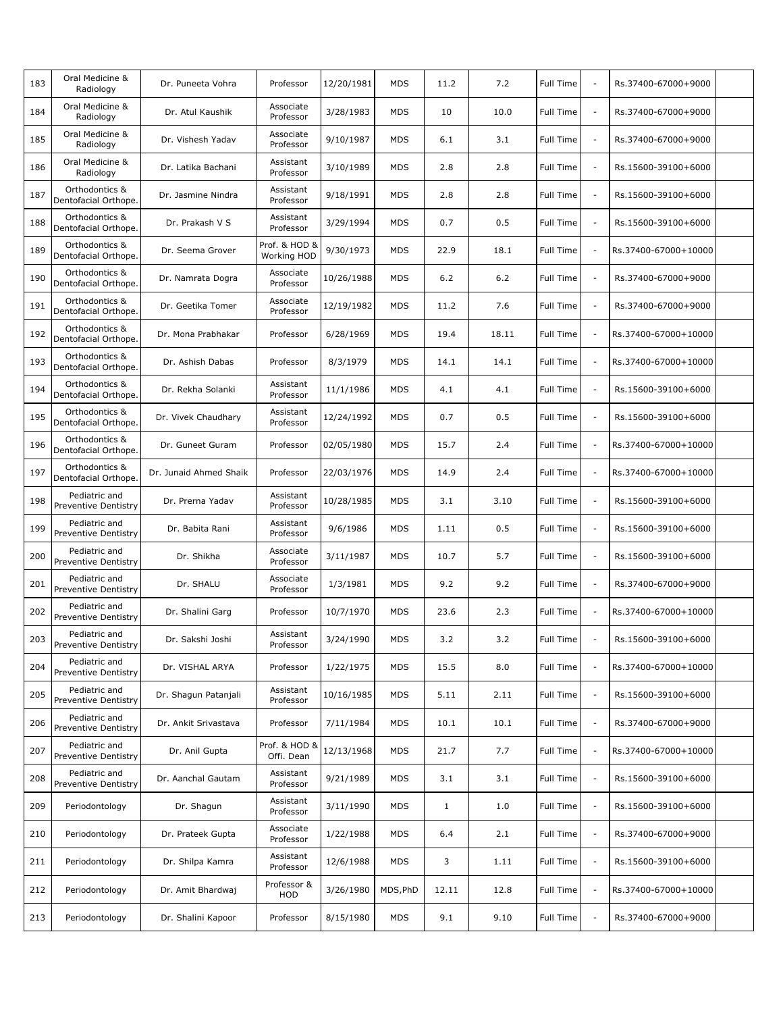| 183 | Oral Medicine &<br>Radiology                 | Dr. Puneeta Vohra      | Professor                    | 12/20/1981 | <b>MDS</b> | 11.2         | 7.2   | Full Time        | $\sim$                   | Rs.37400-67000+9000  |  |
|-----|----------------------------------------------|------------------------|------------------------------|------------|------------|--------------|-------|------------------|--------------------------|----------------------|--|
| 184 | Oral Medicine &<br>Radiology                 | Dr. Atul Kaushik       | Associate<br>Professor       | 3/28/1983  | <b>MDS</b> | 10           | 10.0  | Full Time        | $\sim$                   | Rs.37400-67000+9000  |  |
| 185 | Oral Medicine &<br>Radiology                 | Dr. Vishesh Yadav      | Associate<br>Professor       | 9/10/1987  | <b>MDS</b> | 6.1          | 3.1   | <b>Full Time</b> | $\overline{\phantom{a}}$ | Rs.37400-67000+9000  |  |
| 186 | Oral Medicine &<br>Radiology                 | Dr. Latika Bachani     | Assistant<br>Professor       | 3/10/1989  | <b>MDS</b> | 2.8          | 2.8   | Full Time        | $\sim$                   | Rs.15600-39100+6000  |  |
| 187 | Orthodontics &<br>Dentofacial Orthope.       | Dr. Jasmine Nindra     | Assistant<br>Professor       | 9/18/1991  | <b>MDS</b> | 2.8          | 2.8   | Full Time        | $\overline{\phantom{a}}$ | Rs.15600-39100+6000  |  |
| 188 | Orthodontics &<br>Dentofacial Orthope.       | Dr. Prakash V S        | Assistant<br>Professor       | 3/29/1994  | <b>MDS</b> | 0.7          | 0.5   | Full Time        | $\sim$                   | Rs.15600-39100+6000  |  |
| 189 | Orthodontics &<br>Dentofacial Orthope.       | Dr. Seema Grover       | Prof. & HOD &<br>Working HOD | 9/30/1973  | <b>MDS</b> | 22.9         | 18.1  | Full Time        | $\overline{\phantom{a}}$ | Rs.37400-67000+10000 |  |
| 190 | Orthodontics &<br>Dentofacial Orthope.       | Dr. Namrata Dogra      | Associate<br>Professor       | 10/26/1988 | <b>MDS</b> | 6.2          | $6.2$ | Full Time        | $\overline{\phantom{a}}$ | Rs.37400-67000+9000  |  |
| 191 | Orthodontics &<br>Dentofacial Orthope.       | Dr. Geetika Tomer      | Associate<br>Professor       | 12/19/1982 | <b>MDS</b> | 11.2         | 7.6   | Full Time        | $\overline{\phantom{a}}$ | Rs.37400-67000+9000  |  |
| 192 | Orthodontics &<br>Dentofacial Orthope.       | Dr. Mona Prabhakar     | Professor                    | 6/28/1969  | <b>MDS</b> | 19.4         | 18.11 | Full Time        | $\sim$                   | Rs.37400-67000+10000 |  |
| 193 | Orthodontics &<br>Dentofacial Orthope.       | Dr. Ashish Dabas       | Professor                    | 8/3/1979   | <b>MDS</b> | 14.1         | 14.1  | Full Time        | $\overline{\phantom{a}}$ | Rs.37400-67000+10000 |  |
| 194 | Orthodontics &<br>Dentofacial Orthope.       | Dr. Rekha Solanki      | Assistant<br>Professor       | 11/1/1986  | <b>MDS</b> | 4.1          | 4.1   | Full Time        | $\sim$                   | Rs.15600-39100+6000  |  |
| 195 | Orthodontics &<br>Dentofacial Orthope.       | Dr. Vivek Chaudhary    | Assistant<br>Professor       | 12/24/1992 | <b>MDS</b> | 0.7          | 0.5   | Full Time        | $\overline{\phantom{a}}$ | Rs.15600-39100+6000  |  |
| 196 | Orthodontics &<br>Dentofacial Orthope.       | Dr. Guneet Guram       | Professor                    | 02/05/1980 | <b>MDS</b> | 15.7         | 2.4   | Full Time        | $\overline{\phantom{a}}$ | Rs.37400-67000+10000 |  |
| 197 | Orthodontics &<br>Dentofacial Orthope.       | Dr. Junaid Ahmed Shaik | Professor                    | 22/03/1976 | <b>MDS</b> | 14.9         | 2.4   | Full Time        | $\overline{\phantom{a}}$ | Rs.37400-67000+10000 |  |
| 198 | Pediatric and<br>Preventive Dentistry        | Dr. Prerna Yadav       | Assistant<br>Professor       | 10/28/1985 | <b>MDS</b> | 3.1          | 3.10  | Full Time        | $\overline{\phantom{a}}$ | Rs.15600-39100+6000  |  |
| 199 | Pediatric and<br>Preventive Dentistry        | Dr. Babita Rani        | Assistant<br>Professor       | 9/6/1986   | <b>MDS</b> | 1.11         | 0.5   | Full Time        | $\sim$                   | Rs.15600-39100+6000  |  |
| 200 | Pediatric and<br><b>Preventive Dentistry</b> | Dr. Shikha             | Associate<br>Professor       | 3/11/1987  | <b>MDS</b> | 10.7         | 5.7   | Full Time        | $\overline{\phantom{a}}$ | Rs.15600-39100+6000  |  |
| 201 | Pediatric and<br><b>Preventive Dentistry</b> | Dr. SHALU              | Associate<br>Professor       | 1/3/1981   | <b>MDS</b> | 9.2          | 9.2   | Full Time        | $\overline{\phantom{a}}$ | Rs.37400-67000+9000  |  |
| 202 | Pediatric and<br><b>Preventive Dentistry</b> | Dr. Shalini Garg       | Professor                    | 10/7/1970  | <b>MDS</b> | 23.6         | 2.3   | Full Time        | $\overline{\phantom{a}}$ | Rs.37400-67000+10000 |  |
| 203 | Pediatric and<br>Preventive Dentistry        | Dr. Sakshi Joshi       | Assistant<br>Professor       | 3/24/1990  | <b>MDS</b> | 3.2          | 3.2   | Full Time        |                          | Rs.15600-39100+6000  |  |
| 204 | Pediatric and<br>Preventive Dentistry        | Dr. VISHAL ARYA        | Professor                    | 1/22/1975  | MDS        | 15.5         | 8.0   | Full Time        | $\overline{\phantom{a}}$ | Rs.37400-67000+10000 |  |
| 205 | Pediatric and<br><b>Preventive Dentistry</b> | Dr. Shagun Patanjali   | Assistant<br>Professor       | 10/16/1985 | <b>MDS</b> | 5.11         | 2.11  | Full Time        | $\overline{\phantom{a}}$ | Rs.15600-39100+6000  |  |
| 206 | Pediatric and<br>Preventive Dentistry        | Dr. Ankit Srivastava   | Professor                    | 7/11/1984  | MDS        | 10.1         | 10.1  | Full Time        | $\overline{\phantom{a}}$ | Rs.37400-67000+9000  |  |
| 207 | Pediatric and<br>Preventive Dentistry        | Dr. Anil Gupta         | Prof. & HOD &<br>Offi. Dean  | 12/13/1968 | <b>MDS</b> | 21.7         | 7.7   | Full Time        | $\overline{\phantom{a}}$ | Rs.37400-67000+10000 |  |
| 208 | Pediatric and<br><b>Preventive Dentistry</b> | Dr. Aanchal Gautam     | Assistant<br>Professor       | 9/21/1989  | MDS        | 3.1          | 3.1   | Full Time        | $\overline{\phantom{a}}$ | Rs.15600-39100+6000  |  |
| 209 | Periodontology                               | Dr. Shagun             | Assistant<br>Professor       | 3/11/1990  | <b>MDS</b> | $\mathbf{1}$ | 1.0   | Full Time        | $\overline{\phantom{a}}$ | Rs.15600-39100+6000  |  |
| 210 | Periodontology                               | Dr. Prateek Gupta      | Associate<br>Professor       | 1/22/1988  | MDS        | 6.4          | 2.1   | Full Time        | $\overline{\phantom{a}}$ | Rs.37400-67000+9000  |  |
| 211 | Periodontology                               | Dr. Shilpa Kamra       | Assistant<br>Professor       | 12/6/1988  | <b>MDS</b> | 3            | 1.11  | Full Time        | $\overline{\phantom{a}}$ | Rs.15600-39100+6000  |  |
| 212 | Periodontology                               | Dr. Amit Bhardwaj      | Professor &<br>HOD           | 3/26/1980  | MDS, PhD   | 12.11        | 12.8  | Full Time        | $\overline{\phantom{a}}$ | Rs.37400-67000+10000 |  |
| 213 | Periodontology                               | Dr. Shalini Kapoor     | Professor                    | 8/15/1980  | <b>MDS</b> | 9.1          | 9.10  | Full Time        | $\overline{\phantom{a}}$ | Rs.37400-67000+9000  |  |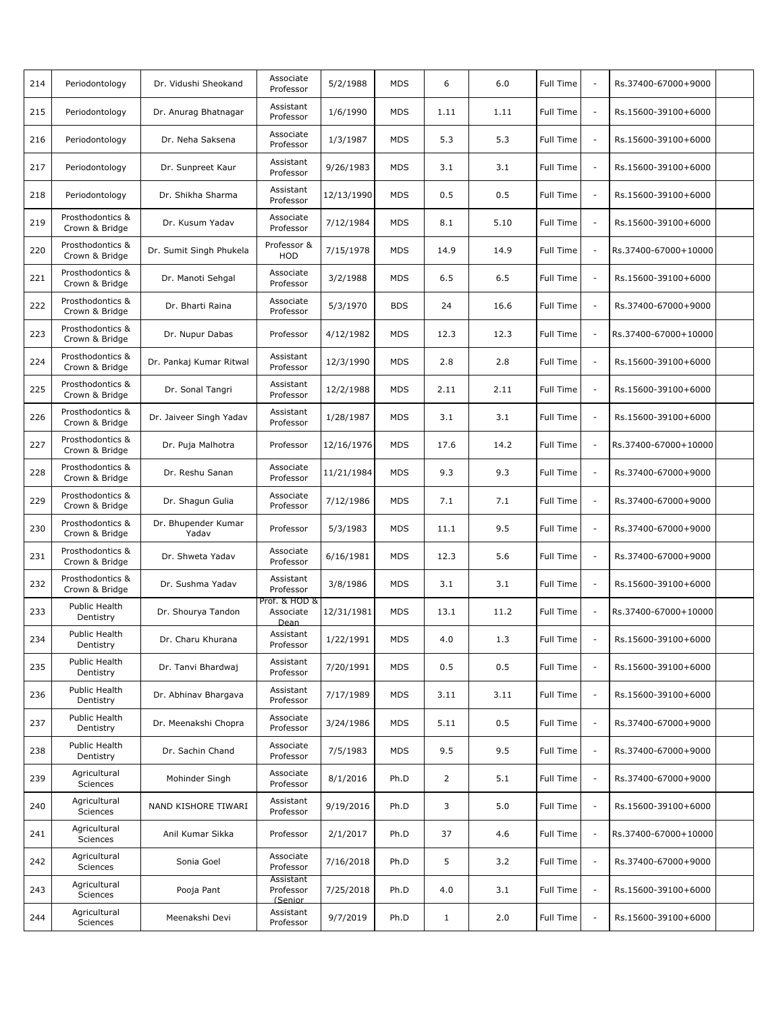| 214 | Periodontology                     | Dr. Vidushi Sheokand         | Associate<br>Professor             | 5/2/1988   | MDS        | 6            | 6.0  | Full Time        |                          | Rs.37400-67000+9000  |  |
|-----|------------------------------------|------------------------------|------------------------------------|------------|------------|--------------|------|------------------|--------------------------|----------------------|--|
| 215 | Periodontology                     | Dr. Anurag Bhatnagar         | Assistant<br>Professor             | 1/6/1990   | <b>MDS</b> | 1.11         | 1.11 | Full Time        | $\sim$                   | Rs.15600-39100+6000  |  |
| 216 | Periodontology                     | Dr. Neha Saksena             | Associate<br>Professor             | 1/3/1987   | <b>MDS</b> | 5.3          | 5.3  | Full Time        | $\overline{\phantom{a}}$ | Rs.15600-39100+6000  |  |
| 217 | Periodontology                     | Dr. Sunpreet Kaur            | Assistant<br>Professor             | 9/26/1983  | <b>MDS</b> | 3.1          | 3.1  | Full Time        | $\sim$                   | Rs.15600-39100+6000  |  |
| 218 | Periodontology                     | Dr. Shikha Sharma            | Assistant<br>Professor             | 12/13/1990 | <b>MDS</b> | 0.5          | 0.5  | <b>Full Time</b> | $\overline{\phantom{a}}$ | Rs.15600-39100+6000  |  |
| 219 | Prosthodontics &<br>Crown & Bridge | Dr. Kusum Yadav              | Associate<br>Professor             | 7/12/1984  | <b>MDS</b> | 8.1          | 5.10 | Full Time        | $\overline{\phantom{a}}$ | Rs.15600-39100+6000  |  |
| 220 | Prosthodontics &<br>Crown & Bridge | Dr. Sumit Singh Phukela      | Professor &<br>HOD                 | 7/15/1978  | <b>MDS</b> | 14.9         | 14.9 | Full Time        | $\overline{\phantom{a}}$ | Rs.37400-67000+10000 |  |
| 221 | Prosthodontics &<br>Crown & Bridge | Dr. Manoti Sehgal            | Associate<br>Professor             | 3/2/1988   | <b>MDS</b> | 6.5          | 6.5  | Full Time        | $\overline{\phantom{a}}$ | Rs.15600-39100+6000  |  |
| 222 | Prosthodontics &<br>Crown & Bridge | Dr. Bharti Raina             | Associate<br>Professor             | 5/3/1970   | <b>BDS</b> | 24           | 16.6 | Full Time        | $\overline{\phantom{a}}$ | Rs.37400-67000+9000  |  |
| 223 | Prosthodontics &<br>Crown & Bridge | Dr. Nupur Dabas              | Professor                          | 4/12/1982  | <b>MDS</b> | 12.3         | 12.3 | Full Time        | $\overline{\phantom{a}}$ | Rs.37400-67000+10000 |  |
| 224 | Prosthodontics &<br>Crown & Bridge | Dr. Pankaj Kumar Ritwal      | Assistant<br>Professor             | 12/3/1990  | <b>MDS</b> | 2.8          | 2.8  | <b>Full Time</b> | $\overline{\phantom{a}}$ | Rs.15600-39100+6000  |  |
| 225 | Prosthodontics &<br>Crown & Bridge | Dr. Sonal Tangri             | Assistant<br>Professor             | 12/2/1988  | <b>MDS</b> | 2.11         | 2.11 | Full Time        | $\sim$                   | Rs.15600-39100+6000  |  |
| 226 | Prosthodontics &<br>Crown & Bridge | Dr. Jaiveer Singh Yadav      | Assistant<br>Professor             | 1/28/1987  | <b>MDS</b> | 3.1          | 3.1  | Full Time        | $\overline{\phantom{a}}$ | Rs.15600-39100+6000  |  |
| 227 | Prosthodontics &<br>Crown & Bridge | Dr. Puja Malhotra            | Professor                          | 12/16/1976 | MDS        | 17.6         | 14.2 | Full Time        | $\overline{\phantom{a}}$ | Rs.37400-67000+10000 |  |
| 228 | Prosthodontics &<br>Crown & Bridge | Dr. Reshu Sanan              | Associate<br>Professor             | 11/21/1984 | <b>MDS</b> | 9.3          | 9.3  | Full Time        | $\overline{\phantom{a}}$ | Rs.37400-67000+9000  |  |
| 229 | Prosthodontics &<br>Crown & Bridge | Dr. Shagun Gulia             | Associate<br>Professor             | 7/12/1986  | <b>MDS</b> | 7.1          | 7.1  | Full Time        | $\overline{\phantom{a}}$ | Rs.37400-67000+9000  |  |
| 230 | Prosthodontics &<br>Crown & Bridge | Dr. Bhupender Kumar<br>Yadav | Professor                          | 5/3/1983   | <b>MDS</b> | 11.1         | 9.5  | Full Time        | $\overline{\phantom{a}}$ | Rs.37400-67000+9000  |  |
| 231 | Prosthodontics &<br>Crown & Bridge | Dr. Shweta Yadav             | Associate<br>Professor             | 6/16/1981  | <b>MDS</b> | 12.3         | 5.6  | Full Time        | $\overline{\phantom{a}}$ | Rs.37400-67000+9000  |  |
| 232 | Prosthodontics &<br>Crown & Bridge | Dr. Sushma Yadav             | Assistant<br>Professor             | 3/8/1986   | <b>MDS</b> | 3.1          | 3.1  | Full Time        | $\overline{\phantom{a}}$ | Rs.15600-39100+6000  |  |
| 233 | Public Health<br>Dentistry         | Dr. Shourya Tandon           | Prof. & HOD &<br>Associate<br>Dean | 12/31/1981 | MDS        | 13.1         | 11.2 | Full Time        | $\overline{\phantom{a}}$ | Rs.37400-67000+10000 |  |
| 234 | Public Health<br>Dentistry         | Dr. Charu Khurana            | Assistant<br>Professor             | 1/22/1991  | <b>MDS</b> | 4.0          | 1.3  | Full Time        |                          | Rs.15600-39100+6000  |  |
| 235 | Public Health<br>Dentistry         | Dr. Tanvi Bhardwaj           | Assistant<br>Professor             | 7/20/1991  | <b>MDS</b> | 0.5          | 0.5  | Full Time        | $\overline{\phantom{a}}$ | Rs.15600-39100+6000  |  |
| 236 | Public Health<br>Dentistry         | Dr. Abhinav Bhargava         | Assistant<br>Professor             | 7/17/1989  | <b>MDS</b> | 3.11         | 3.11 | Full Time        | $\overline{\phantom{a}}$ | Rs.15600-39100+6000  |  |
| 237 | Public Health<br>Dentistry         | Dr. Meenakshi Chopra         | Associate<br>Professor             | 3/24/1986  | MDS        | 5.11         | 0.5  | Full Time        | $\overline{\phantom{a}}$ | Rs.37400-67000+9000  |  |
| 238 | Public Health<br>Dentistry         | Dr. Sachin Chand             | Associate<br>Professor             | 7/5/1983   | <b>MDS</b> | 9.5          | 9.5  | Full Time        | $\overline{\phantom{a}}$ | Rs.37400-67000+9000  |  |
| 239 | Agricultural<br>Sciences           | Mohinder Singh               | Associate<br>Professor             | 8/1/2016   | Ph.D       | 2            | 5.1  | Full Time        | $\overline{\phantom{a}}$ | Rs.37400-67000+9000  |  |
| 240 | Agricultural<br>Sciences           | NAND KISHORE TIWARI          | Assistant<br>Professor             | 9/19/2016  | Ph.D       | 3            | 5.0  | Full Time        | $\overline{\phantom{a}}$ | Rs.15600-39100+6000  |  |
| 241 | Agricultural<br>Sciences           | Anil Kumar Sikka             | Professor                          | 2/1/2017   | Ph.D       | 37           | 4.6  | Full Time        | $\overline{\phantom{a}}$ | Rs.37400-67000+10000 |  |
| 242 | Agricultural<br>Sciences           | Sonia Goel                   | Associate<br>Professor             | 7/16/2018  | Ph.D       | 5            | 3.2  | Full Time        | $\overline{\phantom{a}}$ | Rs.37400-67000+9000  |  |
| 243 | Agricultural<br>Sciences           | Pooja Pant                   | Assistant<br>Professor<br>(Senior  | 7/25/2018  | Ph.D       | 4.0          | 3.1  | Full Time        | $\overline{\phantom{a}}$ | Rs.15600-39100+6000  |  |
| 244 | Agricultural<br>Sciences           | Meenakshi Devi               | Assistant<br>Professor             | 9/7/2019   | Ph.D       | $\mathbf{1}$ | 2.0  | Full Time        | $\overline{\phantom{a}}$ | Rs.15600-39100+6000  |  |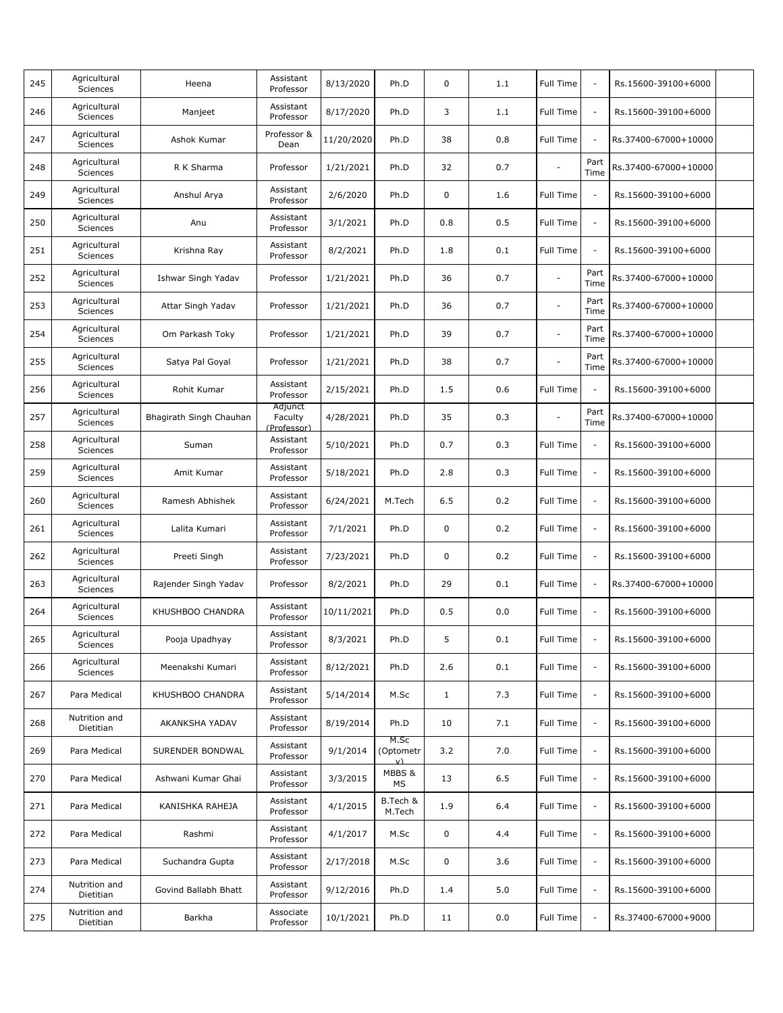| 245 | Agricultural<br>Sciences        | Heena                   | Assistant<br>Professor            | 8/13/2020  | Ph.D                    | 0            | 1.1 | Full Time                | $\overline{\phantom{a}}$ | Rs.15600-39100+6000  |  |
|-----|---------------------------------|-------------------------|-----------------------------------|------------|-------------------------|--------------|-----|--------------------------|--------------------------|----------------------|--|
| 246 | Agricultural<br>Sciences        | Manjeet                 | Assistant<br>Professor            | 8/17/2020  | Ph.D                    | 3            | 1.1 | Full Time                | $\overline{\phantom{a}}$ | Rs.15600-39100+6000  |  |
| 247 | Agricultural<br><b>Sciences</b> | Ashok Kumar             | Professor &<br>Dean               | 11/20/2020 | Ph.D                    | 38           | 0.8 | Full Time                | $\overline{\phantom{a}}$ | Rs.37400-67000+10000 |  |
| 248 | Agricultural<br><b>Sciences</b> | R K Sharma              | Professor                         | 1/21/2021  | Ph.D                    | 32           | 0.7 |                          | Part<br>Time             | Rs.37400-67000+10000 |  |
| 249 | Agricultural<br>Sciences        | Anshul Arya             | Assistant<br>Professor            | 2/6/2020   | Ph.D                    | 0            | 1.6 | Full Time                | $\overline{\phantom{a}}$ | Rs.15600-39100+6000  |  |
| 250 | Agricultural<br>Sciences        | Anu                     | Assistant<br>Professor            | 3/1/2021   | Ph.D                    | 0.8          | 0.5 | <b>Full Time</b>         | $\overline{\phantom{a}}$ | Rs.15600-39100+6000  |  |
| 251 | Agricultural<br>Sciences        | Krishna Ray             | Assistant<br>Professor            | 8/2/2021   | Ph.D                    | 1.8          | 0.1 | Full Time                | $\overline{\phantom{a}}$ | Rs.15600-39100+6000  |  |
| 252 | Agricultural<br><b>Sciences</b> | Ishwar Singh Yadav      | Professor                         | 1/21/2021  | Ph.D                    | 36           | 0.7 | $\sim$                   | Part<br>Time             | Rs.37400-67000+10000 |  |
| 253 | Agricultural<br><b>Sciences</b> | Attar Singh Yadav       | Professor                         | 1/21/2021  | Ph.D                    | 36           | 0.7 | $\overline{\phantom{a}}$ | Part<br>Time             | Rs.37400-67000+10000 |  |
| 254 | Agricultural<br>Sciences        | Om Parkash Toky         | Professor                         | 1/21/2021  | Ph.D                    | 39           | 0.7 | $\sim$                   | Part<br>Time             | Rs.37400-67000+10000 |  |
| 255 | Agricultural<br>Sciences        | Satya Pal Goyal         | Professor                         | 1/21/2021  | Ph.D                    | 38           | 0.7 |                          | Part<br>Time             | Rs.37400-67000+10000 |  |
| 256 | Agricultural<br>Sciences        | Rohit Kumar             | Assistant<br>Professor            | 2/15/2021  | Ph.D                    | 1.5          | 0.6 | Full Time                |                          | Rs.15600-39100+6000  |  |
| 257 | Agricultural<br>Sciences        | Bhagirath Singh Chauhan | Adjunct<br>Faculty<br>(Professor) | 4/28/2021  | Ph.D                    | 35           | 0.3 | $\overline{\phantom{a}}$ | Part<br>Time             | Rs.37400-67000+10000 |  |
| 258 | Agricultural<br>Sciences        | Suman                   | Assistant<br>Professor            | 5/10/2021  | Ph.D                    | 0.7          | 0.3 | Full Time                | $\overline{\phantom{a}}$ | Rs.15600-39100+6000  |  |
| 259 | Agricultural<br>Sciences        | Amit Kumar              | Assistant<br>Professor            | 5/18/2021  | Ph.D                    | 2.8          | 0.3 | Full Time                | $\sim$                   | Rs.15600-39100+6000  |  |
| 260 | Agricultural<br>Sciences        | Ramesh Abhishek         | Assistant<br>Professor            | 6/24/2021  | M.Tech                  | 6.5          | 0.2 | Full Time                | $\overline{\phantom{a}}$ | Rs.15600-39100+6000  |  |
| 261 | Agricultural<br>Sciences        | Lalita Kumari           | Assistant<br>Professor            | 7/1/2021   | Ph.D                    | 0            | 0.2 | Full Time                | $\overline{\phantom{a}}$ | Rs.15600-39100+6000  |  |
| 262 | Agricultural<br>Sciences        | Preeti Singh            | Assistant<br>Professor            | 7/23/2021  | Ph.D                    | 0            | 0.2 | Full Time                | $\overline{\phantom{a}}$ | Rs.15600-39100+6000  |  |
| 263 | Agricultural<br>Sciences        | Rajender Singh Yadav    | Professor                         | 8/2/2021   | Ph.D                    | 29           | 0.1 | Full Time                | $\overline{\phantom{a}}$ | Rs.37400-67000+10000 |  |
| 264 | Agricultural<br><b>Sciences</b> | KHUSHBOO CHANDRA        | Assistant<br>Professor            | 10/11/2021 | Ph.D                    | 0.5          | 0.0 | Full Time                | $\overline{\phantom{a}}$ | Rs.15600-39100+6000  |  |
| 265 | Agricultural<br>Sciences        | Pooja Upadhyay          | Assistant<br>Professor            | 8/3/2021   | Ph.D                    | 5            | 0.1 | Full Time                |                          | Rs.15600-39100+6000  |  |
| 266 | Agricultural<br>Sciences        | Meenakshi Kumari        | Assistant<br>Professor            | 8/12/2021  | Ph.D                    | 2.6          | 0.1 | Full Time                | $\overline{\phantom{a}}$ | Rs.15600-39100+6000  |  |
| 267 | Para Medical                    | KHUSHBOO CHANDRA        | Assistant<br>Professor            | 5/14/2014  | M.Sc                    | $\mathbf{1}$ | 7.3 | Full Time                | $\overline{\phantom{a}}$ | Rs.15600-39100+6000  |  |
| 268 | Nutrition and<br>Dietitian      | AKANKSHA YADAV          | Assistant<br>Professor            | 8/19/2014  | Ph.D                    | 10           | 7.1 | Full Time                | $\blacksquare$           | Rs.15600-39100+6000  |  |
| 269 | Para Medical                    | SURENDER BONDWAL        | Assistant<br>Professor            | 9/1/2014   | M.Sc<br>(Optometr<br>V) | 3.2          | 7.0 | Full Time                | $\overline{\phantom{a}}$ | Rs.15600-39100+6000  |  |
| 270 | Para Medical                    | Ashwani Kumar Ghai      | Assistant<br>Professor            | 3/3/2015   | MBBS &<br>MS            | 13           | 6.5 | Full Time                | $\overline{\phantom{a}}$ | Rs.15600-39100+6000  |  |
| 271 | Para Medical                    | KANISHKA RAHEJA         | Assistant<br>Professor            | 4/1/2015   | B.Tech &<br>M.Tech      | 1.9          | 6.4 | Full Time                | $\overline{\phantom{a}}$ | Rs.15600-39100+6000  |  |
| 272 | Para Medical                    | Rashmi                  | Assistant<br>Professor            | 4/1/2017   | M.Sc                    | 0            | 4.4 | Full Time                | $\overline{\phantom{a}}$ | Rs.15600-39100+6000  |  |
| 273 | Para Medical                    | Suchandra Gupta         | Assistant<br>Professor            | 2/17/2018  | M.Sc                    | 0            | 3.6 | Full Time                | $\overline{\phantom{a}}$ | Rs.15600-39100+6000  |  |
| 274 | Nutrition and<br>Dietitian      | Govind Ballabh Bhatt    | Assistant<br>Professor            | 9/12/2016  | Ph.D                    | 1.4          | 5.0 | Full Time                | $\overline{\phantom{a}}$ | Rs.15600-39100+6000  |  |
| 275 | Nutrition and<br>Dietitian      | Barkha                  | Associate<br>Professor            | 10/1/2021  | Ph.D                    | 11           | 0.0 | Full Time                | $\overline{\phantom{a}}$ | Rs.37400-67000+9000  |  |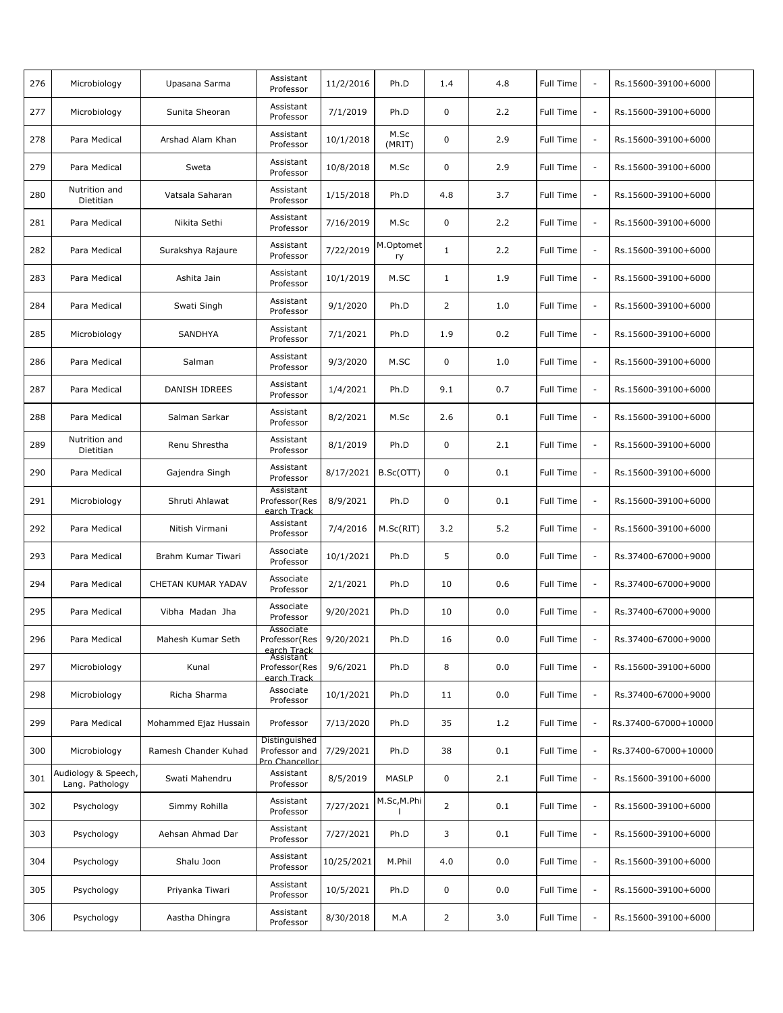| 276 | Microbiology                           | Upasana Sarma         | Assistant<br>Professor                           | 11/2/2016  | Ph.D            | 1.4            | 4.8 | Full Time        | $\sim$                   | Rs.15600-39100+6000  |  |
|-----|----------------------------------------|-----------------------|--------------------------------------------------|------------|-----------------|----------------|-----|------------------|--------------------------|----------------------|--|
| 277 | Microbiology                           | Sunita Sheoran        | Assistant<br>Professor                           | 7/1/2019   | Ph.D            | 0              | 2.2 | Full Time        | $\sim$                   | Rs.15600-39100+6000  |  |
| 278 | Para Medical                           | Arshad Alam Khan      | Assistant<br>Professor                           | 10/1/2018  | M.Sc<br>(MRIT)  | $\mathbf 0$    | 2.9 | <b>Full Time</b> | $\overline{\phantom{a}}$ | Rs.15600-39100+6000  |  |
| 279 | Para Medical                           | Sweta                 | Assistant<br>Professor                           | 10/8/2018  | M.Sc            | 0              | 2.9 | Full Time        | $\sim$                   | Rs.15600-39100+6000  |  |
| 280 | Nutrition and<br>Dietitian             | Vatsala Saharan       | Assistant<br>Professor                           | 1/15/2018  | Ph.D            | 4.8            | 3.7 | Full Time        | $\sim$                   | Rs.15600-39100+6000  |  |
| 281 | Para Medical                           | Nikita Sethi          | Assistant<br>Professor                           | 7/16/2019  | M.Sc            | 0              | 2.2 | Full Time        | $\overline{\phantom{a}}$ | Rs.15600-39100+6000  |  |
| 282 | Para Medical                           | Surakshya Rajaure     | Assistant<br>Professor                           | 7/22/2019  | M.Optomet<br>ry | $\mathbf{1}$   | 2.2 | Full Time        | $\overline{\phantom{a}}$ | Rs.15600-39100+6000  |  |
| 283 | Para Medical                           | Ashita Jain           | Assistant<br>Professor                           | 10/1/2019  | M.SC            | $\mathbf{1}$   | 1.9 | Full Time        | $\overline{\phantom{a}}$ | Rs.15600-39100+6000  |  |
| 284 | Para Medical                           | Swati Singh           | Assistant<br>Professor                           | 9/1/2020   | Ph.D            | 2              | 1.0 | Full Time        | $\sim$                   | Rs.15600-39100+6000  |  |
| 285 | Microbiology                           | <b>SANDHYA</b>        | Assistant<br>Professor                           | 7/1/2021   | Ph.D            | 1.9            | 0.2 | Full Time        | $\sim$                   | Rs.15600-39100+6000  |  |
| 286 | Para Medical                           | Salman                | Assistant<br>Professor                           | 9/3/2020   | M.SC            | 0              | 1.0 | Full Time        | $\overline{\phantom{a}}$ | Rs.15600-39100+6000  |  |
| 287 | Para Medical                           | DANISH IDREES         | Assistant<br>Professor                           | 1/4/2021   | Ph.D            | 9.1            | 0.7 | Full Time        | $\sim$                   | Rs.15600-39100+6000  |  |
| 288 | Para Medical                           | Salman Sarkar         | Assistant<br>Professor                           | 8/2/2021   | M.Sc            | 2.6            | 0.1 | Full Time        | $\overline{\phantom{a}}$ | Rs.15600-39100+6000  |  |
| 289 | Nutrition and<br>Dietitian             | Renu Shrestha         | Assistant<br>Professor                           | 8/1/2019   | Ph.D            | 0              | 2.1 | Full Time        | $\overline{\phantom{a}}$ | Rs.15600-39100+6000  |  |
| 290 | Para Medical                           | Gajendra Singh        | Assistant<br>Professor                           | 8/17/2021  | B.Sc(OTT)       | 0              | 0.1 | Full Time        | $\sim$                   | Rs.15600-39100+6000  |  |
| 291 | Microbiology                           | Shruti Ahlawat        | Assistant<br>Professor(Res<br>earch Track        | 8/9/2021   | Ph.D            | 0              | 0.1 | Full Time        | $\overline{\phantom{a}}$ | Rs.15600-39100+6000  |  |
| 292 | Para Medical                           | Nitish Virmani        | Assistant<br>Professor                           | 7/4/2016   | M.Sc(RIT)       | 3.2            | 5.2 | Full Time        | $\sim$                   | Rs.15600-39100+6000  |  |
| 293 | Para Medical                           | Brahm Kumar Tiwari    | Associate<br>Professor                           | 10/1/2021  | Ph.D            | 5              | 0.0 | Full Time        | $\overline{\phantom{a}}$ | Rs.37400-67000+9000  |  |
| 294 | Para Medical                           | CHETAN KUMAR YADAV    | Associate<br>Professor                           | 2/1/2021   | Ph.D            | 10             | 0.6 | Full Time        | $\overline{\phantom{a}}$ | Rs.37400-67000+9000  |  |
| 295 | Para Medical                           | Vibha Madan Jha       | Associate<br>Professor                           | 9/20/2021  | Ph.D            | 10             | 0.0 | Full Time        | $\overline{\phantom{a}}$ | Rs.37400-67000+9000  |  |
| 296 | Para Medical                           | Mahesh Kumar Seth     | Associate<br>Professor(Res<br>earch Track        | 9/20/2021  | Ph.D            | 16             | 0.0 | Full Time        |                          | Rs.37400-67000+9000  |  |
| 297 | Microbiology                           | Kunal                 | Assistant<br>Professor(Res<br>earch Track        | 9/6/2021   | Ph.D            | 8              | 0.0 | Full Time        | $\overline{\phantom{a}}$ | Rs.15600-39100+6000  |  |
| 298 | Microbiology                           | Richa Sharma          | Associate<br>Professor                           | 10/1/2021  | Ph.D            | 11             | 0.0 | Full Time        | $\overline{\phantom{a}}$ | Rs.37400-67000+9000  |  |
| 299 | Para Medical                           | Mohammed Ejaz Hussain | Professor                                        | 7/13/2020  | Ph.D            | 35             | 1.2 | Full Time        | $\overline{\phantom{a}}$ | Rs.37400-67000+10000 |  |
| 300 | Microbiology                           | Ramesh Chander Kuhad  | Distinguished<br>Professor and<br>Pro Chancellor | 7/29/2021  | Ph.D            | 38             | 0.1 | Full Time        | $\overline{\phantom{a}}$ | Rs.37400-67000+10000 |  |
| 301 | Audiology & Speech,<br>Lang. Pathology | Swati Mahendru        | Assistant<br>Professor                           | 8/5/2019   | <b>MASLP</b>    | 0              | 2.1 | Full Time        | $\overline{\phantom{a}}$ | Rs.15600-39100+6000  |  |
| 302 | Psychology                             | Simmy Rohilla         | Assistant<br>Professor                           | 7/27/2021  | M.Sc,M.Phi      | $\overline{2}$ | 0.1 | Full Time        | $\overline{\phantom{a}}$ | Rs.15600-39100+6000  |  |
| 303 | Psychology                             | Aehsan Ahmad Dar      | Assistant<br>Professor                           | 7/27/2021  | Ph.D            | 3              | 0.1 | Full Time        | $\overline{\phantom{a}}$ | Rs.15600-39100+6000  |  |
| 304 | Psychology                             | Shalu Joon            | Assistant<br>Professor                           | 10/25/2021 | M.Phil          | 4.0            | 0.0 | Full Time        | $\overline{\phantom{a}}$ | Rs.15600-39100+6000  |  |
| 305 | Psychology                             | Priyanka Tiwari       | Assistant<br>Professor                           | 10/5/2021  | Ph.D            | 0              | 0.0 | Full Time        | $\overline{\phantom{a}}$ | Rs.15600-39100+6000  |  |
| 306 | Psychology                             | Aastha Dhingra        | Assistant<br>Professor                           | 8/30/2018  | M.A             | $\overline{2}$ | 3.0 | Full Time        | $\overline{\phantom{a}}$ | Rs.15600-39100+6000  |  |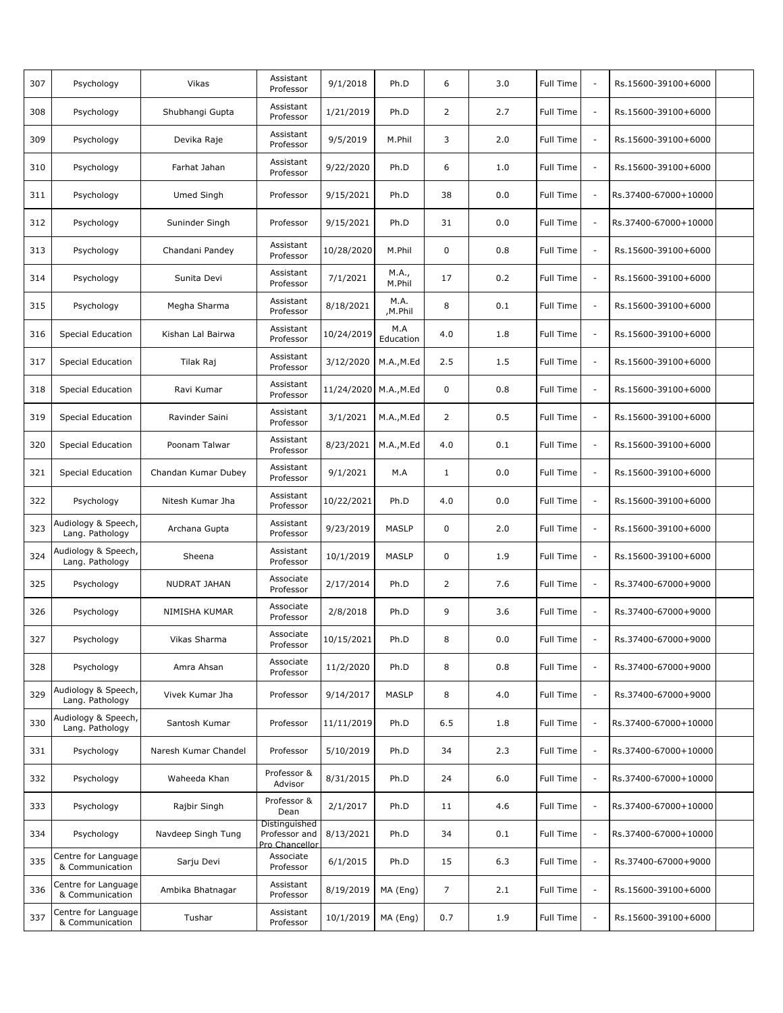| 307 | Psychology                             | Vikas                | Assistant<br>Professor                           | 9/1/2018              | Ph.D             | 6              | 3.0     | <b>Full Time</b> | $\sim$                   | Rs.15600-39100+6000  |  |
|-----|----------------------------------------|----------------------|--------------------------------------------------|-----------------------|------------------|----------------|---------|------------------|--------------------------|----------------------|--|
| 308 | Psychology                             | Shubhangi Gupta      | Assistant<br>Professor                           | 1/21/2019             | Ph.D             | 2              | 2.7     | Full Time        | $\overline{\phantom{a}}$ | Rs.15600-39100+6000  |  |
| 309 | Psychology                             | Devika Raje          | Assistant<br>Professor                           | 9/5/2019              | M.Phil           | 3              | 2.0     | Full Time        | $\overline{\phantom{a}}$ | Rs.15600-39100+6000  |  |
| 310 | Psychology                             | Farhat Jahan         | Assistant<br>Professor                           | 9/22/2020             | Ph.D             | 6              | 1.0     | Full Time        | $\overline{\phantom{a}}$ | Rs.15600-39100+6000  |  |
| 311 | Psychology                             | Umed Singh           | Professor                                        | 9/15/2021             | Ph.D             | 38             | 0.0     | <b>Full Time</b> | $\overline{\phantom{a}}$ | Rs.37400-67000+10000 |  |
| 312 | Psychology                             | Suninder Singh       | Professor                                        | 9/15/2021             | Ph.D             | 31             | 0.0     | <b>Full Time</b> | $\overline{\phantom{a}}$ | Rs.37400-67000+10000 |  |
| 313 | Psychology                             | Chandani Pandey      | Assistant<br>Professor                           | 10/28/2020            | M.Phil           | $\mathbf 0$    | 0.8     | Full Time        | $\overline{\phantom{a}}$ | Rs.15600-39100+6000  |  |
| 314 | Psychology                             | Sunita Devi          | Assistant<br>Professor                           | 7/1/2021              | M.A.,<br>M.Phil  | 17             | 0.2     | Full Time        | $\overline{\phantom{a}}$ | Rs.15600-39100+6000  |  |
| 315 | Psychology                             | Megha Sharma         | Assistant<br>Professor                           | 8/18/2021             | M.A.<br>,M.Phil  | 8              | 0.1     | Full Time        | $\overline{\phantom{a}}$ | Rs.15600-39100+6000  |  |
| 316 | Special Education                      | Kishan Lal Bairwa    | Assistant<br>Professor                           | 10/24/2019            | M.A<br>Education | 4.0            | 1.8     | Full Time        | $\overline{\phantom{a}}$ | Rs.15600-39100+6000  |  |
| 317 | <b>Special Education</b>               | Tilak Raj            | Assistant<br>Professor                           | 3/12/2020             | M.A.,M.Ed        | 2.5            | 1.5     | <b>Full Time</b> | $\overline{\phantom{a}}$ | Rs.15600-39100+6000  |  |
| 318 | Special Education                      | Ravi Kumar           | Assistant<br>Professor                           | 11/24/2020 M.A., M.Ed |                  | 0              | 0.8     | <b>Full Time</b> | $\sim$                   | Rs.15600-39100+6000  |  |
| 319 | Special Education                      | Ravinder Saini       | Assistant<br>Professor                           | 3/1/2021              | M.A.,M.Ed        | 2              | 0.5     | Full Time        | $\overline{\phantom{a}}$ | Rs.15600-39100+6000  |  |
| 320 | <b>Special Education</b>               | Poonam Talwar        | Assistant<br>Professor                           | 8/23/2021             | M.A., M.Ed       | 4.0            | 0.1     | Full Time        | $\overline{\phantom{a}}$ | Rs.15600-39100+6000  |  |
| 321 | <b>Special Education</b>               | Chandan Kumar Dubey  | Assistant<br>Professor                           | 9/1/2021              | M.A              | $\mathbf{1}$   | 0.0     | Full Time        | $\overline{\phantom{a}}$ | Rs.15600-39100+6000  |  |
| 322 | Psychology                             | Nitesh Kumar Jha     | Assistant<br>Professor                           | 10/22/2021            | Ph.D             | 4.0            | 0.0     | <b>Full Time</b> | $\overline{\phantom{a}}$ | Rs.15600-39100+6000  |  |
| 323 | Audiology & Speech,<br>Lang. Pathology | Archana Gupta        | Assistant<br>Professor                           | 9/23/2019             | <b>MASLP</b>     | 0              | 2.0     | <b>Full Time</b> | $\sim$                   | Rs.15600-39100+6000  |  |
| 324 | Audiology & Speech,<br>Lang. Pathology | Sheena               | Assistant<br>Professor                           | 10/1/2019             | MASLP            | 0              | 1.9     | <b>Full Time</b> | $\overline{\phantom{a}}$ | Rs.15600-39100+6000  |  |
| 325 | Psychology                             | NUDRAT JAHAN         | Associate<br>Professor                           | 2/17/2014             | Ph.D             | 2              | 7.6     | Full Time        | $\overline{\phantom{a}}$ | Rs.37400-67000+9000  |  |
| 326 | Psychology                             | NIMISHA KUMAR        | Associate<br>Professor                           | 2/8/2018              | Ph.D             | 9              | 3.6     | Full Time        | $\overline{\phantom{a}}$ | Rs.37400-67000+9000  |  |
| 327 | Psychology                             | Vikas Sharma         | Associate<br>Professor                           | 10/15/2021            | Ph.D             | 8              | $0.0\,$ | Full Time        |                          | Rs.37400-67000+9000  |  |
| 328 | Psychology                             | Amra Ahsan           | Associate<br>Professor                           | 11/2/2020             | Ph.D             | 8              | 0.8     | Full Time        | $\overline{\phantom{a}}$ | Rs.37400-67000+9000  |  |
| 329 | Audiology & Speech,<br>Lang. Pathology | Vivek Kumar Jha      | Professor                                        | 9/14/2017             | <b>MASLP</b>     | 8              | 4.0     | Full Time        | $\overline{\phantom{a}}$ | Rs.37400-67000+9000  |  |
| 330 | Audiology & Speech,<br>Lang. Pathology | Santosh Kumar        | Professor                                        | 11/11/2019            | Ph.D             | 6.5            | 1.8     | <b>Full Time</b> | $\overline{\phantom{a}}$ | Rs.37400-67000+10000 |  |
| 331 | Psychology                             | Naresh Kumar Chandel | Professor                                        | 5/10/2019             | Ph.D             | 34             | 2.3     | Full Time        | $\overline{\phantom{a}}$ | Rs.37400-67000+10000 |  |
| 332 | Psychology                             | Waheeda Khan         | Professor &<br>Advisor                           | 8/31/2015             | Ph.D             | 24             | 6.0     | Full Time        | $\overline{\phantom{a}}$ | Rs.37400-67000+10000 |  |
| 333 | Psychology                             | Rajbir Singh         | Professor &<br>Dean                              | 2/1/2017              | Ph.D             | 11             | 4.6     | Full Time        | $\overline{\phantom{a}}$ | Rs.37400-67000+10000 |  |
| 334 | Psychology                             | Navdeep Singh Tung   | Distinguished<br>Professor and<br>Pro Chancellor | 8/13/2021             | Ph.D             | 34             | 0.1     | Full Time        | $\overline{\phantom{a}}$ | Rs.37400-67000+10000 |  |
| 335 | Centre for Language<br>& Communication | Sarju Devi           | Associate<br>Professor                           | 6/1/2015              | Ph.D             | 15             | 6.3     | Full Time        | $\overline{\phantom{a}}$ | Rs.37400-67000+9000  |  |
| 336 | Centre for Language<br>& Communication | Ambika Bhatnagar     | Assistant<br>Professor                           | 8/19/2019             | MA (Eng)         | $\overline{7}$ | 2.1     | Full Time        | $\overline{\phantom{a}}$ | Rs.15600-39100+6000  |  |
| 337 | Centre for Language<br>& Communication | Tushar               | Assistant<br>Professor                           | 10/1/2019             | MA (Eng)         | 0.7            | 1.9     | Full Time        | $\overline{\phantom{a}}$ | Rs.15600-39100+6000  |  |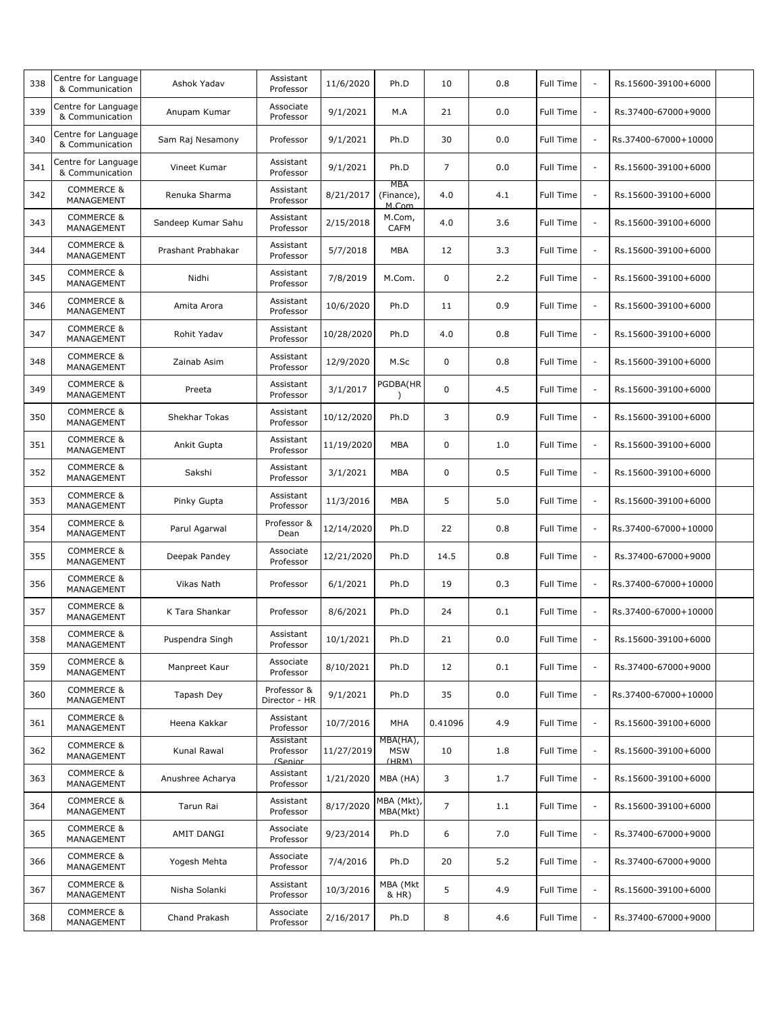| 338 | Centre for Language<br>& Communication | Ashok Yadav        | Assistant<br>Professor            | 11/6/2020  | Ph.D                            | 10             | 0.8 | Full Time        | $\sim$                   | Rs.15600-39100+6000  |  |
|-----|----------------------------------------|--------------------|-----------------------------------|------------|---------------------------------|----------------|-----|------------------|--------------------------|----------------------|--|
| 339 | Centre for Language<br>& Communication | Anupam Kumar       | Associate<br>Professor            | 9/1/2021   | M.A                             | 21             | 0.0 | Full Time        | $\overline{\phantom{a}}$ | Rs.37400-67000+9000  |  |
| 340 | Centre for Language<br>& Communication | Sam Raj Nesamony   | Professor                         | 9/1/2021   | Ph.D                            | 30             | 0.0 | Full Time        | $\overline{\phantom{a}}$ | Rs.37400-67000+10000 |  |
| 341 | Centre for Language<br>& Communication | Vineet Kumar       | Assistant<br>Professor            | 9/1/2021   | Ph.D                            | $\overline{7}$ | 0.0 | Full Time        | $\sim$                   | Rs.15600-39100+6000  |  |
| 342 | <b>COMMERCE &amp;</b><br>MANAGEMENT    | Renuka Sharma      | Assistant<br>Professor            | 8/21/2017  | MBA<br>(Finance),<br>M.Com      | 4.0            | 4.1 | Full Time        | $\overline{\phantom{a}}$ | Rs.15600-39100+6000  |  |
| 343 | <b>COMMERCE &amp;</b><br>MANAGEMENT    | Sandeep Kumar Sahu | Assistant<br>Professor            | 2/15/2018  | M.Com,<br><b>CAFM</b>           | 4.0            | 3.6 | <b>Full Time</b> | $\sim$                   | Rs.15600-39100+6000  |  |
| 344 | <b>COMMERCE &amp;</b><br>MANAGEMENT    | Prashant Prabhakar | Assistant<br>Professor            | 5/7/2018   | <b>MBA</b>                      | 12             | 3.3 | Full Time        | $\overline{\phantom{a}}$ | Rs.15600-39100+6000  |  |
| 345 | <b>COMMERCE &amp;</b><br>MANAGEMENT    | Nidhi              | Assistant<br>Professor            | 7/8/2019   | M.Com.                          | 0              | 2.2 | Full Time        | $\overline{\phantom{a}}$ | Rs.15600-39100+6000  |  |
| 346 | <b>COMMERCE &amp;</b><br>MANAGEMENT    | Amita Arora        | Assistant<br>Professor            | 10/6/2020  | Ph.D                            | 11             | 0.9 | Full Time        | $\overline{\phantom{a}}$ | Rs.15600-39100+6000  |  |
| 347 | <b>COMMERCE &amp;</b><br>MANAGEMENT    | Rohit Yadav        | Assistant<br>Professor            | 10/28/2020 | Ph.D                            | 4.0            | 0.8 | Full Time        | $\sim$                   | Rs.15600-39100+6000  |  |
| 348 | <b>COMMERCE &amp;</b><br>MANAGEMENT    | Zainab Asim        | Assistant<br>Professor            | 12/9/2020  | M.Sc                            | 0              | 0.8 | Full Time        | $\overline{\phantom{a}}$ | Rs.15600-39100+6000  |  |
| 349 | <b>COMMERCE &amp;</b><br>MANAGEMENT    | Preeta             | Assistant<br>Professor            | 3/1/2017   | PGDBA(HR                        | 0              | 4.5 | <b>Full Time</b> | $\sim$                   | Rs.15600-39100+6000  |  |
| 350 | <b>COMMERCE &amp;</b><br>MANAGEMENT    | Shekhar Tokas      | Assistant<br>Professor            | 10/12/2020 | Ph.D                            | 3              | 0.9 | Full Time        | $\overline{\phantom{a}}$ | Rs.15600-39100+6000  |  |
| 351 | <b>COMMERCE &amp;</b><br>MANAGEMENT    | Ankit Gupta        | Assistant<br>Professor            | 11/19/2020 | MBA                             | 0              | 1.0 | Full Time        | $\overline{\phantom{a}}$ | Rs.15600-39100+6000  |  |
| 352 | COMMERCE &<br>MANAGEMENT               | Sakshi             | Assistant<br>Professor            | 3/1/2021   | MBA                             | 0              | 0.5 | Full Time        | $\sim$                   | Rs.15600-39100+6000  |  |
| 353 | <b>COMMERCE &amp;</b><br>MANAGEMENT    | Pinky Gupta        | Assistant<br>Professor            | 11/3/2016  | <b>MBA</b>                      | 5              | 5.0 | Full Time        | $\overline{\phantom{a}}$ | Rs.15600-39100+6000  |  |
| 354 | <b>COMMERCE &amp;</b><br>MANAGEMENT    | Parul Agarwal      | Professor &<br>Dean               | 12/14/2020 | Ph.D                            | 22             | 0.8 | Full Time        | $\sim$                   | Rs.37400-67000+10000 |  |
| 355 | COMMERCE &<br>MANAGEMENT               | Deepak Pandey      | Associate<br>Professor            | 12/21/2020 | Ph.D                            | 14.5           | 0.8 | Full Time        | $\overline{\phantom{a}}$ | Rs.37400-67000+9000  |  |
| 356 | <b>COMMERCE &amp;</b><br>MANAGEMENT    | Vikas Nath         | Professor                         | 6/1/2021   | Ph.D                            | 19             | 0.3 | Full Time        | $\overline{\phantom{a}}$ | Rs.37400-67000+10000 |  |
| 357 | <b>COMMERCE &amp;</b><br>MANAGEMENT    | K Tara Shankar     | Professor                         | 8/6/2021   | Ph.D                            | 24             | 0.1 | Full Time        | $\overline{\phantom{a}}$ | Rs.37400-67000+10000 |  |
| 358 | <b>COMMERCE &amp;</b><br>MANAGEMENT    | Puspendra Singh    | Assistant<br>Professor            | 10/1/2021  | Ph.D                            | 21             | 0.0 | Full Time        |                          | Rs.15600-39100+6000  |  |
| 359 | <b>COMMERCE &amp;</b><br>MANAGEMENT    | Manpreet Kaur      | Associate<br>Professor            | 8/10/2021  | Ph.D                            | 12             | 0.1 | Full Time        | $\overline{\phantom{a}}$ | Rs.37400-67000+9000  |  |
| 360 | <b>COMMERCE &amp;</b><br>MANAGEMENT    | Tapash Dey         | Professor &<br>Director - HR      | 9/1/2021   | Ph.D                            | 35             | 0.0 | Full Time        | $\overline{\phantom{a}}$ | Rs.37400-67000+10000 |  |
| 361 | <b>COMMERCE &amp;</b><br>MANAGEMENT    | Heena Kakkar       | Assistant<br>Professor            | 10/7/2016  | MHA                             | 0.41096        | 4.9 | Full Time        | $\overline{\phantom{a}}$ | Rs.15600-39100+6000  |  |
| 362 | <b>COMMERCE &amp;</b><br>MANAGEMENT    | Kunal Rawal        | Assistant<br>Professor<br>(Senior | 11/27/2019 | MBA(HA),<br><b>MSW</b><br>(HRM) | 10             | 1.8 | Full Time        | $\overline{\phantom{a}}$ | Rs.15600-39100+6000  |  |
| 363 | <b>COMMERCE &amp;</b><br>MANAGEMENT    | Anushree Acharya   | Assistant<br>Professor            | 1/21/2020  | MBA (HA)                        | 3              | 1.7 | Full Time        | $\overline{\phantom{a}}$ | Rs.15600-39100+6000  |  |
| 364 | <b>COMMERCE &amp;</b><br>MANAGEMENT    | Tarun Rai          | Assistant<br>Professor            | 8/17/2020  | MBA (Mkt),<br>MBA(Mkt)          | $\overline{7}$ | 1.1 | Full Time        | ÷,                       | Rs.15600-39100+6000  |  |
| 365 | <b>COMMERCE &amp;</b><br>MANAGEMENT    | AMIT DANGI         | Associate<br>Professor            | 9/23/2014  | Ph.D                            | 6              | 7.0 | Full Time        | $\overline{\phantom{a}}$ | Rs.37400-67000+9000  |  |
| 366 | <b>COMMERCE &amp;</b><br>MANAGEMENT    | Yogesh Mehta       | Associate<br>Professor            | 7/4/2016   | Ph.D                            | 20             | 5.2 | Full Time        | $\overline{\phantom{a}}$ | Rs.37400-67000+9000  |  |
| 367 | <b>COMMERCE &amp;</b><br>MANAGEMENT    | Nisha Solanki      | Assistant<br>Professor            | 10/3/2016  | MBA (Mkt<br>& HR)               | 5              | 4.9 | Full Time        | $\overline{\phantom{a}}$ | Rs.15600-39100+6000  |  |
| 368 | <b>COMMERCE &amp;</b><br>MANAGEMENT    | Chand Prakash      | Associate<br>Professor            | 2/16/2017  | Ph.D                            | 8              | 4.6 | Full Time        | $\overline{\phantom{a}}$ | Rs.37400-67000+9000  |  |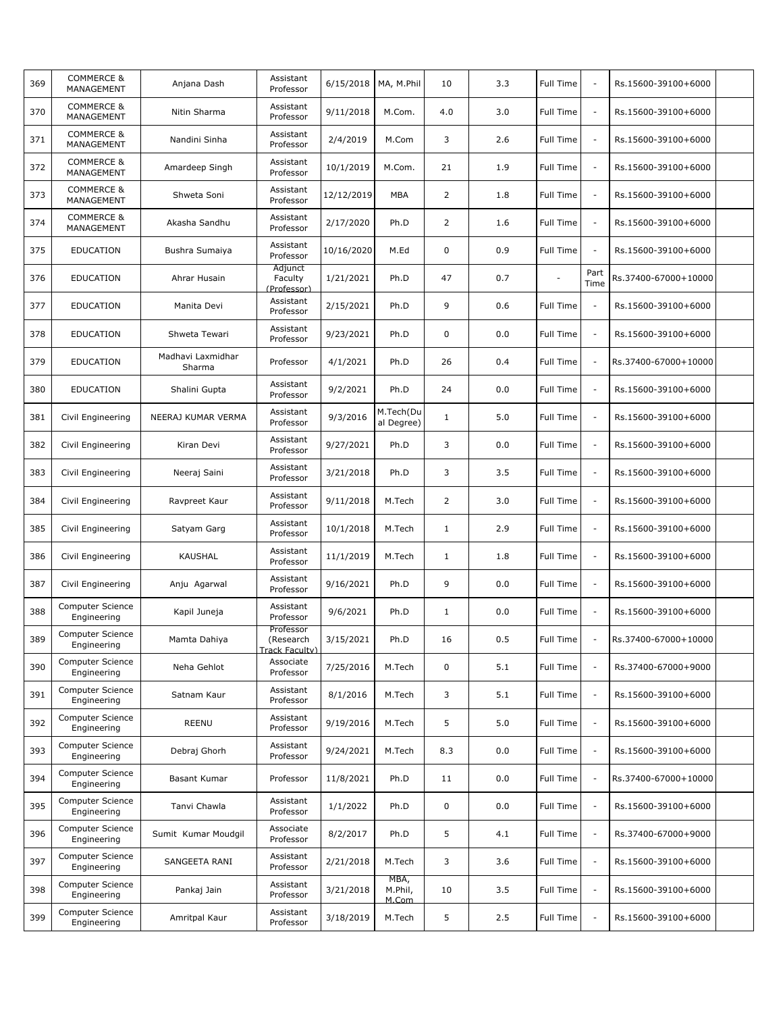| 369 | <b>COMMERCE &amp;</b><br>MANAGEMENT | Anjana Dash                 | Assistant<br>Professor                   | 6/15/2018  | MA, M.Phil               | 10             | 3.3 | <b>Full Time</b> | $\sim$                   | Rs.15600-39100+6000  |  |
|-----|-------------------------------------|-----------------------------|------------------------------------------|------------|--------------------------|----------------|-----|------------------|--------------------------|----------------------|--|
| 370 | <b>COMMERCE &amp;</b><br>MANAGEMENT | Nitin Sharma                | Assistant<br>Professor                   | 9/11/2018  | M.Com.                   | 4.0            | 3.0 | Full Time        | $\overline{\phantom{a}}$ | Rs.15600-39100+6000  |  |
| 371 | <b>COMMERCE &amp;</b><br>MANAGEMENT | Nandini Sinha               | Assistant<br>Professor                   | 2/4/2019   | M.Com                    | 3              | 2.6 | Full Time        | $\overline{\phantom{a}}$ | Rs.15600-39100+6000  |  |
| 372 | <b>COMMERCE &amp;</b><br>MANAGEMENT | Amardeep Singh              | Assistant<br>Professor                   | 10/1/2019  | M.Com.                   | 21             | 1.9 | <b>Full Time</b> | $\overline{\phantom{a}}$ | Rs.15600-39100+6000  |  |
| 373 | <b>COMMERCE &amp;</b><br>MANAGEMENT | Shweta Soni                 | Assistant<br>Professor                   | 12/12/2019 | <b>MBA</b>               | $\overline{2}$ | 1.8 | <b>Full Time</b> | $\overline{\phantom{a}}$ | Rs.15600-39100+6000  |  |
| 374 | <b>COMMERCE &amp;</b><br>MANAGEMENT | Akasha Sandhu               | Assistant<br>Professor                   | 2/17/2020  | Ph.D                     | $\overline{2}$ | 1.6 | <b>Full Time</b> | $\sim$                   | Rs.15600-39100+6000  |  |
| 375 | <b>EDUCATION</b>                    | Bushra Sumaiya              | Assistant<br>Professor                   | 10/16/2020 | M.Ed                     | $\mathbf 0$    | 0.9 | Full Time        | $\sim$                   | Rs.15600-39100+6000  |  |
| 376 | <b>EDUCATION</b>                    | Ahrar Husain                | Adjunct<br>Faculty<br>(Professor)        | 1/21/2021  | Ph.D                     | 47             | 0.7 |                  | Part<br>Time             | Rs.37400-67000+10000 |  |
| 377 | <b>EDUCATION</b>                    | Manita Devi                 | Assistant<br>Professor                   | 2/15/2021  | Ph.D                     | 9              | 0.6 | <b>Full Time</b> | $\overline{\phantom{a}}$ | Rs.15600-39100+6000  |  |
| 378 | <b>EDUCATION</b>                    | Shweta Tewari               | Assistant<br>Professor                   | 9/23/2021  | Ph.D                     | $\mathbf 0$    | 0.0 | <b>Full Time</b> | $\overline{\phantom{a}}$ | Rs.15600-39100+6000  |  |
| 379 | <b>EDUCATION</b>                    | Madhavi Laxmidhar<br>Sharma | Professor                                | 4/1/2021   | Ph.D                     | 26             | 0.4 | <b>Full Time</b> | $\overline{\phantom{a}}$ | Rs.37400-67000+10000 |  |
| 380 | EDUCATION                           | Shalini Gupta               | Assistant<br>Professor                   | 9/2/2021   | Ph.D                     | 24             | 0.0 | <b>Full Time</b> | $\sim$                   | Rs.15600-39100+6000  |  |
| 381 | Civil Engineering                   | NEERAJ KUMAR VERMA          | Assistant<br>Professor                   | 9/3/2016   | M.Tech(Du<br>al Degree)  | $\mathbf{1}$   | 5.0 | Full Time        | $\overline{\phantom{a}}$ | Rs.15600-39100+6000  |  |
| 382 | Civil Engineering                   | Kiran Devi                  | Assistant<br>Professor                   | 9/27/2021  | Ph.D                     | 3              | 0.0 | Full Time        | $\overline{\phantom{a}}$ | Rs.15600-39100+6000  |  |
| 383 | Civil Engineering                   | Neeraj Saini                | Assistant<br>Professor                   | 3/21/2018  | Ph.D                     | 3              | 3.5 | Full Time        | $\sim$                   | Rs.15600-39100+6000  |  |
| 384 | Civil Engineering                   | Ravpreet Kaur               | Assistant<br>Professor                   | 9/11/2018  | M.Tech                   | $\overline{2}$ | 3.0 | <b>Full Time</b> | $\overline{\phantom{a}}$ | Rs.15600-39100+6000  |  |
| 385 | Civil Engineering                   | Satyam Garg                 | Assistant<br>Professor                   | 10/1/2018  | M.Tech                   | $\mathbf{1}$   | 2.9 | <b>Full Time</b> | $\sim$                   | Rs.15600-39100+6000  |  |
| 386 | Civil Engineering                   | KAUSHAL                     | Assistant<br>Professor                   | 11/1/2019  | M.Tech                   | $\mathbf{1}$   | 1.8 | <b>Full Time</b> | $\overline{\phantom{a}}$ | Rs.15600-39100+6000  |  |
| 387 | Civil Engineering                   | Anju Agarwal                | Assistant<br>Professor                   | 9/16/2021  | Ph.D                     | 9              | 0.0 | Full Time        | $\overline{\phantom{a}}$ | Rs.15600-39100+6000  |  |
| 388 | Computer Science<br>Engineering     | Kapil Juneja                | Assistant<br>Professor                   | 9/6/2021   | Ph.D                     | $\mathbf{1}$   | 0.0 | Full Time        | $\overline{\phantom{a}}$ | Rs.15600-39100+6000  |  |
| 389 | Computer Science<br>Engineering     | Mamta Dahiya                | Professor<br>(Research<br>Track Faculty) | 3/15/2021  | Ph.D                     | 16             | 0.5 | Full Time        |                          | Rs.37400-67000+10000 |  |
| 390 | Computer Science<br>Engineering     | Neha Gehlot                 | Associate<br>Professor                   | 7/25/2016  | M.Tech                   | 0              | 5.1 | Full Time        | $\overline{\phantom{a}}$ | Rs.37400-67000+9000  |  |
| 391 | Computer Science<br>Engineering     | Satnam Kaur                 | Assistant<br>Professor                   | 8/1/2016   | M.Tech                   | 3              | 5.1 | Full Time        | $\overline{\phantom{a}}$ | Rs.15600-39100+6000  |  |
| 392 | Computer Science<br>Engineering     | REENU                       | Assistant<br>Professor                   | 9/19/2016  | M.Tech                   | 5              | 5.0 | Full Time        | $\overline{\phantom{a}}$ | Rs.15600-39100+6000  |  |
| 393 | Computer Science<br>Engineering     | Debraj Ghorh                | Assistant<br>Professor                   | 9/24/2021  | M.Tech                   | 8.3            | 0.0 | Full Time        | $\overline{\phantom{a}}$ | Rs.15600-39100+6000  |  |
| 394 | Computer Science<br>Engineering     | Basant Kumar                | Professor                                | 11/8/2021  | Ph.D                     | 11             | 0.0 | Full Time        | $\overline{\phantom{a}}$ | Rs.37400-67000+10000 |  |
| 395 | Computer Science<br>Engineering     | Tanvi Chawla                | Assistant<br>Professor                   | 1/1/2022   | Ph.D                     | 0              | 0.0 | Full Time        | $\overline{\phantom{a}}$ | Rs.15600-39100+6000  |  |
| 396 | Computer Science<br>Engineering     | Sumit Kumar Moudgil         | Associate<br>Professor                   | 8/2/2017   | Ph.D                     | 5              | 4.1 | Full Time        | $\overline{\phantom{a}}$ | Rs.37400-67000+9000  |  |
| 397 | Computer Science<br>Engineering     | SANGEETA RANI               | Assistant<br>Professor                   | 2/21/2018  | M.Tech                   | 3              | 3.6 | Full Time        | $\overline{\phantom{a}}$ | Rs.15600-39100+6000  |  |
| 398 | Computer Science<br>Engineering     | Pankaj Jain                 | Assistant<br>Professor                   | 3/21/2018  | MBA,<br>M.Phil,<br>M.Com | 10             | 3.5 | Full Time        | $\overline{\phantom{a}}$ | Rs.15600-39100+6000  |  |
| 399 | Computer Science<br>Engineering     | Amritpal Kaur               | Assistant<br>Professor                   | 3/18/2019  | M.Tech                   | 5              | 2.5 | Full Time        | $\overline{\phantom{a}}$ | Rs.15600-39100+6000  |  |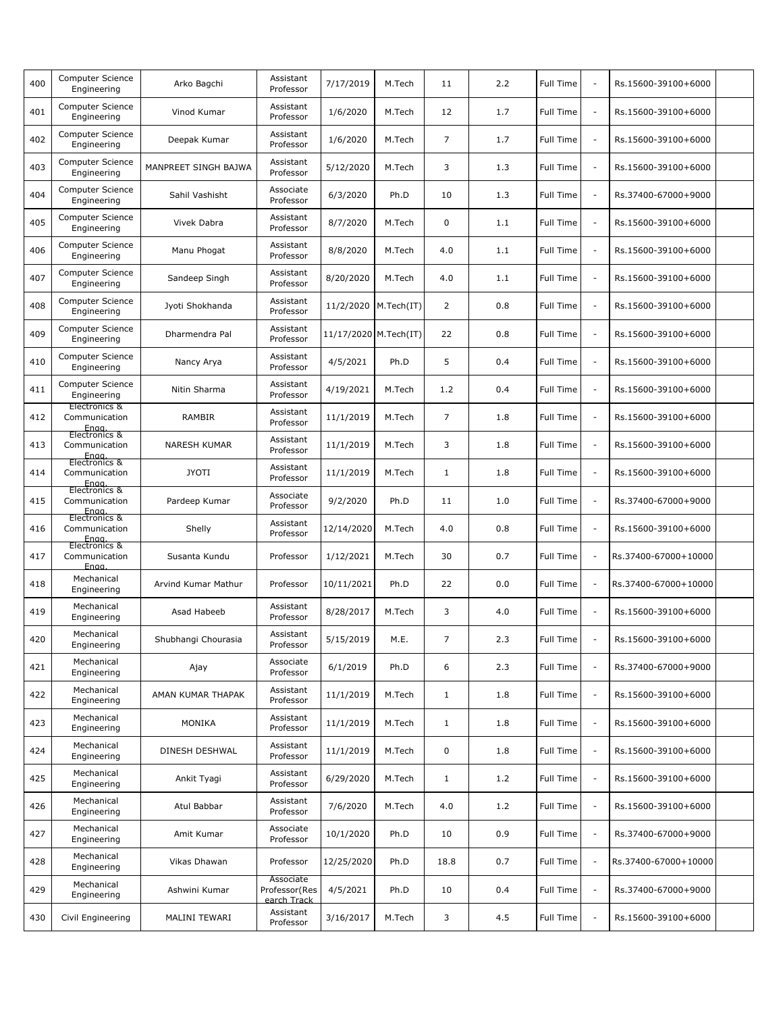| 400 | Computer Science<br>Engineering                          | Arko Bagchi          | Assistant<br>Professor                    | 7/17/2019              | M.Tech | 11             | 2.2 | Full Time | $\sim$                   | Rs.15600-39100+6000  |  |
|-----|----------------------------------------------------------|----------------------|-------------------------------------------|------------------------|--------|----------------|-----|-----------|--------------------------|----------------------|--|
| 401 | Computer Science<br>Engineering                          | Vinod Kumar          | Assistant<br>Professor                    | 1/6/2020               | M.Tech | 12             | 1.7 | Full Time | $\sim$                   | Rs.15600-39100+6000  |  |
| 402 | Computer Science<br>Engineering                          | Deepak Kumar         | Assistant<br>Professor                    | 1/6/2020               | M.Tech | $\overline{7}$ | 1.7 | Full Time | $\overline{\phantom{a}}$ | Rs.15600-39100+6000  |  |
| 403 | Computer Science<br>Engineering                          | MANPREET SINGH BAJWA | Assistant<br>Professor                    | 5/12/2020              | M.Tech | 3              | 1.3 | Full Time | $\sim$                   | Rs.15600-39100+6000  |  |
| 404 | Computer Science<br>Engineering                          | Sahil Vashisht       | Associate<br>Professor                    | 6/3/2020               | Ph.D   | 10             | 1.3 | Full Time | $\overline{\phantom{a}}$ | Rs.37400-67000+9000  |  |
| 405 | Computer Science<br>Engineering                          | Vivek Dabra          | Assistant<br>Professor                    | 8/7/2020               | M.Tech | 0              | 1.1 | Full Time | $\sim$                   | Rs.15600-39100+6000  |  |
| 406 | <b>Computer Science</b><br>Engineering                   | Manu Phogat          | Assistant<br>Professor                    | 8/8/2020               | M.Tech | 4.0            | 1.1 | Full Time | $\overline{\phantom{a}}$ | Rs.15600-39100+6000  |  |
| 407 | Computer Science<br>Engineering                          | Sandeep Singh        | Assistant<br>Professor                    | 8/20/2020              | M.Tech | 4.0            | 1.1 | Full Time | $\overline{\phantom{a}}$ | Rs.15600-39100+6000  |  |
| 408 | Computer Science<br>Engineering                          | Jyoti Shokhanda      | Assistant<br>Professor                    | 11/2/2020   M.Tech(IT) |        | $\overline{2}$ | 0.8 | Full Time | $\overline{\phantom{a}}$ | Rs.15600-39100+6000  |  |
| 409 | Computer Science<br>Engineering                          | Dharmendra Pal       | Assistant<br>Professor                    | 11/17/2020 M.Tech(IT)  |        | 22             | 0.8 | Full Time | $\sim$                   | Rs.15600-39100+6000  |  |
| 410 | Computer Science<br>Engineering                          | Nancy Arya           | Assistant<br>Professor                    | 4/5/2021               | Ph.D   | 5              | 0.4 | Full Time | $\overline{\phantom{a}}$ | Rs.15600-39100+6000  |  |
| 411 | Computer Science<br>Engineering                          | Nitin Sharma         | Assistant<br>Professor                    | 4/19/2021              | M.Tech | 1.2            | 0.4 | Full Time | $\sim$                   | Rs.15600-39100+6000  |  |
| 412 | Electronics &<br>Communication<br>Enga.<br>Electronics & | RAMBIR               | Assistant<br>Professor                    | 11/1/2019              | M.Tech | $\overline{7}$ | 1.8 | Full Time | $\overline{\phantom{a}}$ | Rs.15600-39100+6000  |  |
| 413 | Communication<br>Engg.                                   | <b>NARESH KUMAR</b>  | Assistant<br>Professor                    | 11/1/2019              | M.Tech | 3              | 1.8 | Full Time | $\overline{\phantom{a}}$ | Rs.15600-39100+6000  |  |
| 414 | Electronics &<br>Communication<br>Enga<br>Electronics &  | <b>JYOTI</b>         | Assistant<br>Professor                    | 11/1/2019              | M.Tech | $\mathbf{1}$   | 1.8 | Full Time | $\sim$                   | Rs.15600-39100+6000  |  |
| 415 | Communication<br>Enaa                                    | Pardeep Kumar        | Associate<br>Professor                    | 9/2/2020               | Ph.D   | 11             | 1.0 | Full Time | $\sim$                   | Rs.37400-67000+9000  |  |
| 416 | Electronics &<br>Communication<br>Enaa                   | Shelly               | Assistant<br>Professor                    | 12/14/2020             | M.Tech | 4.0            | 0.8 | Full Time | $\sim$                   | Rs.15600-39100+6000  |  |
| 417 | Electronics &<br>Communication<br>Enga.                  | Susanta Kundu        | Professor                                 | 1/12/2021              | M.Tech | 30             | 0.7 | Full Time | $\overline{\phantom{a}}$ | Rs.37400-67000+10000 |  |
| 418 | Mechanical<br>Engineering                                | Arvind Kumar Mathur  | Professor                                 | 10/11/2021             | Ph.D   | 22             | 0.0 | Full Time | $\overline{\phantom{a}}$ | Rs.37400-67000+10000 |  |
| 419 | Mechanical<br>Engineering                                | Asad Habeeb          | Assistant<br>Professor                    | 8/28/2017              | M.Tech | 3              | 4.0 | Full Time | $\overline{\phantom{a}}$ | Rs.15600-39100+6000  |  |
| 420 | Mechanical<br>Engineering                                | Shubhangi Chourasia  | Assistant<br>Professor                    | 5/15/2019              | M.E.   | 7              | 2.3 | Full Time |                          | Rs.15600-39100+6000  |  |
| 421 | Mechanical<br>Engineering                                | Ajay                 | Associate<br>Professor                    | 6/1/2019               | Ph.D   | 6              | 2.3 | Full Time | $\overline{\phantom{a}}$ | Rs.37400-67000+9000  |  |
| 422 | Mechanical<br>Engineering                                | AMAN KUMAR THAPAK    | Assistant<br>Professor                    | 11/1/2019              | M.Tech | $\mathbf{1}$   | 1.8 | Full Time | $\overline{\phantom{a}}$ | Rs.15600-39100+6000  |  |
| 423 | Mechanical<br>Engineering                                | MONIKA               | Assistant<br>Professor                    | 11/1/2019              | M.Tech | $\mathbf{1}$   | 1.8 | Full Time | $\overline{\phantom{a}}$ | Rs.15600-39100+6000  |  |
| 424 | Mechanical<br>Engineering                                | DINESH DESHWAL       | Assistant<br>Professor                    | 11/1/2019              | M.Tech | 0              | 1.8 | Full Time | $\overline{\phantom{a}}$ | Rs.15600-39100+6000  |  |
| 425 | Mechanical<br>Engineering                                | Ankit Tyagi          | Assistant<br>Professor                    | 6/29/2020              | M.Tech | $\mathbf{1}$   | 1.2 | Full Time | $\overline{\phantom{a}}$ | Rs.15600-39100+6000  |  |
| 426 | Mechanical<br>Engineering                                | Atul Babbar          | Assistant<br>Professor                    | 7/6/2020               | M.Tech | 4.0            | 1.2 | Full Time | $\overline{\phantom{a}}$ | Rs.15600-39100+6000  |  |
| 427 | Mechanical<br>Engineering                                | Amit Kumar           | Associate<br>Professor                    | 10/1/2020              | Ph.D   | 10             | 0.9 | Full Time | $\overline{\phantom{a}}$ | Rs.37400-67000+9000  |  |
| 428 | Mechanical<br>Engineering                                | Vikas Dhawan         | Professor                                 | 12/25/2020             | Ph.D   | 18.8           | 0.7 | Full Time | $\overline{\phantom{a}}$ | Rs.37400-67000+10000 |  |
| 429 | Mechanical<br>Engineering                                | Ashwini Kumar        | Associate<br>Professor(Res<br>earch Track | 4/5/2021               | Ph.D   | 10             | 0.4 | Full Time | $\overline{\phantom{a}}$ | Rs.37400-67000+9000  |  |
| 430 | Civil Engineering                                        | MALINI TEWARI        | Assistant<br>Professor                    | 3/16/2017              | M.Tech | 3              | 4.5 | Full Time | $\overline{\phantom{a}}$ | Rs.15600-39100+6000  |  |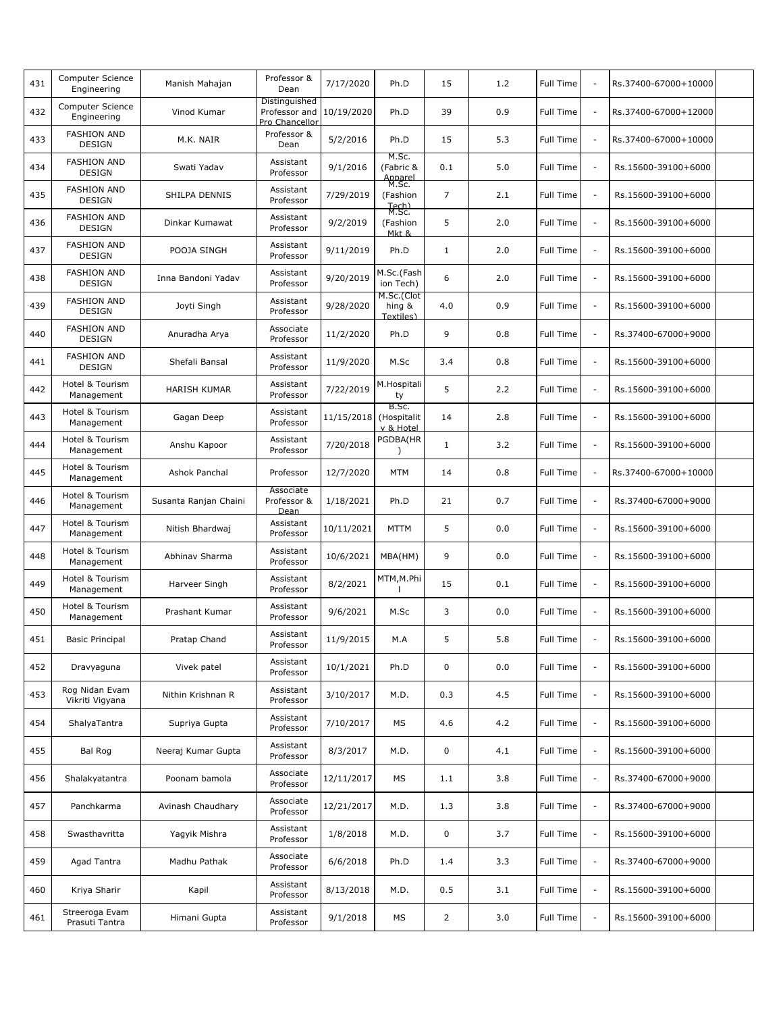| 431 | Computer Science<br>Engineering     | Manish Mahajan        | Professor &<br>Dean                              | 7/17/2020              | Ph.D                                   | 15             | 1.2 | <b>Full Time</b> | $\sim$                   | Rs.37400-67000+10000 |  |
|-----|-------------------------------------|-----------------------|--------------------------------------------------|------------------------|----------------------------------------|----------------|-----|------------------|--------------------------|----------------------|--|
| 432 | Computer Science<br>Engineering     | Vinod Kumar           | Distinguished<br>Professor and<br>Pro Chancellor | 10/19/2020             | Ph.D                                   | 39             | 0.9 | Full Time        | $\overline{\phantom{a}}$ | Rs.37400-67000+12000 |  |
| 433 | <b>FASHION AND</b><br><b>DESIGN</b> | M.K. NAIR             | Professor &<br>Dean                              | 5/2/2016               | Ph.D                                   | 15             | 5.3 | Full Time        | $\overline{\phantom{a}}$ | Rs.37400-67000+10000 |  |
| 434 | <b>FASHION AND</b><br><b>DESIGN</b> | Swati Yadav           | Assistant<br>Professor                           | 9/1/2016               | M.Sc.<br>(Fabric &<br>Apparel<br>M.Sc. | 0.1            | 5.0 | <b>Full Time</b> | $\sim$                   | Rs.15600-39100+6000  |  |
| 435 | <b>FASHION AND</b><br><b>DESIGN</b> | SHILPA DENNIS         | Assistant<br>Professor                           | 7/29/2019              | (Fashion<br>Tech)                      | $\overline{7}$ | 2.1 | <b>Full Time</b> | $\overline{\phantom{a}}$ | Rs.15600-39100+6000  |  |
| 436 | <b>FASHION AND</b><br><b>DESIGN</b> | Dinkar Kumawat        | Assistant<br>Professor                           | 9/2/2019               | M.Sc.<br>(Fashion<br>Mkt &             | 5              | 2.0 | <b>Full Time</b> | $\sim$                   | Rs.15600-39100+6000  |  |
| 437 | <b>FASHION AND</b><br><b>DESIGN</b> | POOJA SINGH           | Assistant<br>Professor                           | 9/11/2019              | Ph.D                                   | $\mathbf{1}$   | 2.0 | Full Time        | $\overline{\phantom{a}}$ | Rs.15600-39100+6000  |  |
| 438 | <b>FASHION AND</b><br><b>DESIGN</b> | Inna Bandoni Yadav    | Assistant<br>Professor                           | 9/20/2019              | M.Sc.(Fash<br>ion Tech)                | 6              | 2.0 | Full Time        | $\overline{\phantom{a}}$ | Rs.15600-39100+6000  |  |
| 439 | <b>FASHION AND</b><br><b>DESIGN</b> | Joyti Singh           | Assistant<br>Professor                           | 9/28/2020              | M.Sc.(Clot<br>hing &<br>Textiles)      | 4.0            | 0.9 | <b>Full Time</b> | $\overline{\phantom{a}}$ | Rs.15600-39100+6000  |  |
| 440 | <b>FASHION AND</b><br><b>DESIGN</b> | Anuradha Arya         | Associate<br>Professor                           | 11/2/2020              | Ph.D                                   | 9              | 0.8 | <b>Full Time</b> | $\sim$                   | Rs.37400-67000+9000  |  |
| 441 | <b>FASHION AND</b><br><b>DESIGN</b> | Shefali Bansal        | Assistant<br>Professor                           | 11/9/2020              | M.Sc                                   | 3.4            | 0.8 | <b>Full Time</b> | $\overline{\phantom{a}}$ | Rs.15600-39100+6000  |  |
| 442 | Hotel & Tourism<br>Management       | <b>HARISH KUMAR</b>   | Assistant<br>Professor                           | 7/22/2019              | M.Hospitali<br>ty                      | 5              | 2.2 | <b>Full Time</b> | $\sim$                   | Rs.15600-39100+6000  |  |
| 443 | Hotel & Tourism<br>Management       | Gagan Deep            | Assistant<br>Professor                           | 11/15/2018 (Hospitalit | B.Sc.<br>v & Hotel                     | 14             | 2.8 | Full Time        | $\overline{\phantom{a}}$ | Rs.15600-39100+6000  |  |
| 444 | Hotel & Tourism<br>Management       | Anshu Kapoor          | Assistant<br>Professor                           | 7/20/2018              | PGDBA(HR                               | $\mathbf{1}$   | 3.2 | Full Time        | $\overline{\phantom{a}}$ | Rs.15600-39100+6000  |  |
| 445 | Hotel & Tourism<br>Management       | Ashok Panchal         | Professor                                        | 12/7/2020              | <b>MTM</b>                             | 14             | 0.8 | Full Time        | $\sim$                   | Rs.37400-67000+10000 |  |
| 446 | Hotel & Tourism<br>Management       | Susanta Ranjan Chaini | Associate<br>Professor &<br>Dean                 | 1/18/2021              | Ph.D                                   | 21             | 0.7 | <b>Full Time</b> | $\overline{\phantom{a}}$ | Rs.37400-67000+9000  |  |
| 447 | Hotel & Tourism<br>Management       | Nitish Bhardwaj       | Assistant<br>Professor                           | 10/11/2021             | <b>MTTM</b>                            | 5              | 0.0 | <b>Full Time</b> | $\sim$                   | Rs.15600-39100+6000  |  |
| 448 | Hotel & Tourism<br>Management       | Abhinav Sharma        | Assistant<br>Professor                           | 10/6/2021              | MBA(HM)                                | 9              | 0.0 | <b>Full Time</b> | $\overline{\phantom{a}}$ | Rs.15600-39100+6000  |  |
| 449 | Hotel & Tourism<br>Management       | Harveer Singh         | Assistant<br>Professor                           | 8/2/2021               | MTM, M.Phi                             | 15             | 0.1 | Full Time        | $\overline{\phantom{a}}$ | Rs.15600-39100+6000  |  |
| 450 | Hotel & Tourism<br>Management       | Prashant Kumar        | Assistant<br>Professor                           | 9/6/2021               | M.Sc                                   | 3              | 0.0 | Full Time        | $\overline{\phantom{a}}$ | Rs.15600-39100+6000  |  |
| 451 | <b>Basic Principal</b>              | Pratap Chand          | Assistant<br>Professor                           | 11/9/2015              | M.A                                    | 5              | 5.8 | Full Time        |                          | Rs.15600-39100+6000  |  |
| 452 | Dravyaguna                          | Vivek patel           | Assistant<br>Professor                           | 10/1/2021              | Ph.D                                   | 0              | 0.0 | Full Time        | $\overline{\phantom{a}}$ | Rs.15600-39100+6000  |  |
| 453 | Rog Nidan Evam<br>Vikriti Vigyana   | Nithin Krishnan R     | Assistant<br>Professor                           | 3/10/2017              | M.D.                                   | 0.3            | 4.5 | Full Time        | $\overline{\phantom{a}}$ | Rs.15600-39100+6000  |  |
| 454 | ShalyaTantra                        | Supriya Gupta         | Assistant<br>Professor                           | 7/10/2017              | МS                                     | 4.6            | 4.2 | Full Time        | $\overline{\phantom{a}}$ | Rs.15600-39100+6000  |  |
| 455 | Bal Rog                             | Neeraj Kumar Gupta    | Assistant<br>Professor                           | 8/3/2017               | M.D.                                   | 0              | 4.1 | Full Time        | $\overline{\phantom{a}}$ | Rs.15600-39100+6000  |  |
| 456 | Shalakyatantra                      | Poonam bamola         | Associate<br>Professor                           | 12/11/2017             | МS                                     | 1.1            | 3.8 | Full Time        | $\overline{\phantom{a}}$ | Rs.37400-67000+9000  |  |
| 457 | Panchkarma                          | Avinash Chaudhary     | Associate<br>Professor                           | 12/21/2017             | M.D.                                   | 1.3            | 3.8 | Full Time        | $\overline{\phantom{a}}$ | Rs.37400-67000+9000  |  |
| 458 | Swasthavritta                       | Yagyik Mishra         | Assistant<br>Professor                           | 1/8/2018               | M.D.                                   | 0              | 3.7 | Full Time        | $\overline{\phantom{a}}$ | Rs.15600-39100+6000  |  |
| 459 | Agad Tantra                         | Madhu Pathak          | Associate<br>Professor                           | 6/6/2018               | Ph.D                                   | 1.4            | 3.3 | Full Time        | $\overline{\phantom{a}}$ | Rs.37400-67000+9000  |  |
| 460 | Kriya Sharir                        | Kapil                 | Assistant<br>Professor                           | 8/13/2018              | M.D.                                   | 0.5            | 3.1 | Full Time        | $\overline{\phantom{a}}$ | Rs.15600-39100+6000  |  |
| 461 | Streeroga Evam<br>Prasuti Tantra    | Himani Gupta          | Assistant<br>Professor                           | 9/1/2018               | МS                                     | $\overline{2}$ | 3.0 | Full Time        | $\overline{\phantom{a}}$ | Rs.15600-39100+6000  |  |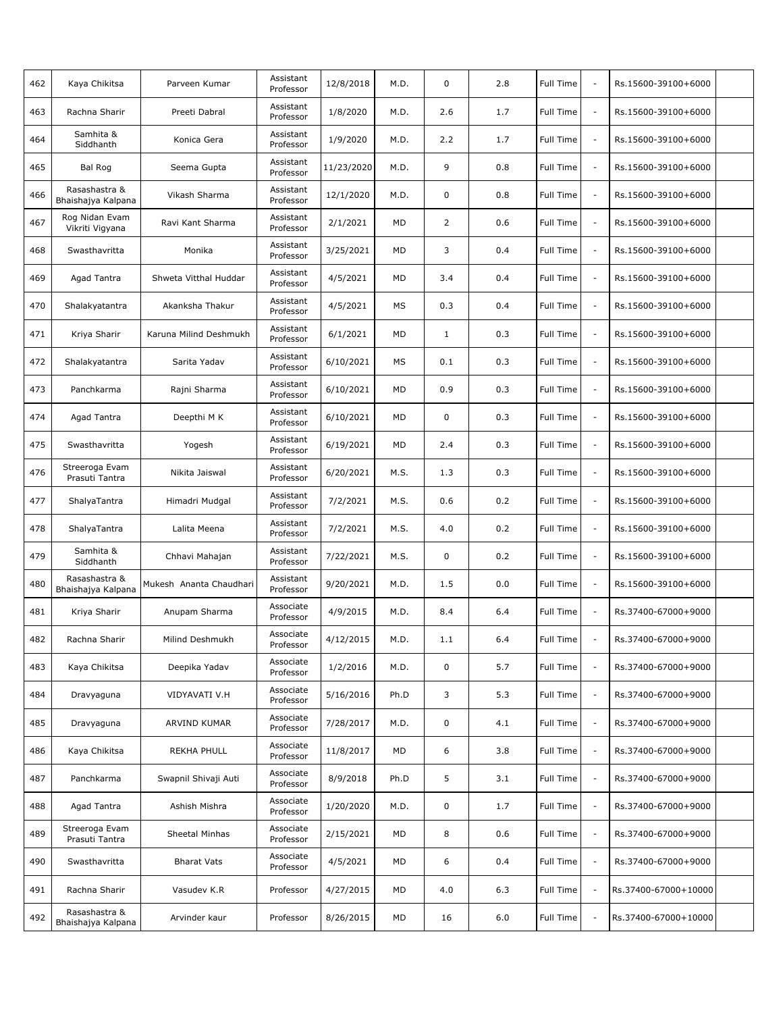| 462 | Kaya Chikitsa                       | Parveen Kumar           | Assistant<br>Professor | 12/8/2018  | M.D. | 0              | 2.8 | Full Time        | $\sim$                   | Rs.15600-39100+6000  |  |
|-----|-------------------------------------|-------------------------|------------------------|------------|------|----------------|-----|------------------|--------------------------|----------------------|--|
| 463 | Rachna Sharir                       | Preeti Dabral           | Assistant<br>Professor | 1/8/2020   | M.D. | 2.6            | 1.7 | Full Time        | $\overline{\phantom{a}}$ | Rs.15600-39100+6000  |  |
| 464 | Samhita &<br>Siddhanth              | Konica Gera             | Assistant<br>Professor | 1/9/2020   | M.D. | 2.2            | 1.7 | Full Time        | $\overline{\phantom{a}}$ | Rs.15600-39100+6000  |  |
| 465 | Bal Rog                             | Seema Gupta             | Assistant<br>Professor | 11/23/2020 | M.D. | 9              | 0.8 | Full Time        | $\sim$                   | Rs.15600-39100+6000  |  |
| 466 | Rasashastra &<br>Bhaishajya Kalpana | Vikash Sharma           | Assistant<br>Professor | 12/1/2020  | M.D. | 0              | 0.8 | Full Time        | $\sim$                   | Rs.15600-39100+6000  |  |
| 467 | Rog Nidan Evam<br>Vikriti Vigyana   | Ravi Kant Sharma        | Assistant<br>Professor | 2/1/2021   | MD   | $\overline{2}$ | 0.6 | Full Time        | $\overline{\phantom{a}}$ | Rs.15600-39100+6000  |  |
| 468 | Swasthavritta                       | Monika                  | Assistant<br>Professor | 3/25/2021  | MD   | 3              | 0.4 | Full Time        | $\overline{\phantom{a}}$ | Rs.15600-39100+6000  |  |
| 469 | Agad Tantra                         | Shweta Vitthal Huddar   | Assistant<br>Professor | 4/5/2021   | MD   | 3.4            | 0.4 | Full Time        | $\overline{\phantom{a}}$ | Rs.15600-39100+6000  |  |
| 470 | Shalakyatantra                      | Akanksha Thakur         | Assistant<br>Professor | 4/5/2021   | MS   | 0.3            | 0.4 | Full Time        | $\sim$                   | Rs.15600-39100+6000  |  |
| 471 | Kriya Sharir                        | Karuna Milind Deshmukh  | Assistant<br>Professor | 6/1/2021   | MD   | $\mathbf{1}$   | 0.3 | Full Time        | $\sim$                   | Rs.15600-39100+6000  |  |
| 472 | Shalakyatantra                      | Sarita Yadav            | Assistant<br>Professor | 6/10/2021  | MS   | 0.1            | 0.3 | Full Time        | $\overline{\phantom{a}}$ | Rs.15600-39100+6000  |  |
| 473 | Panchkarma                          | Rajni Sharma            | Assistant<br>Professor | 6/10/2021  | MD   | 0.9            | 0.3 | Full Time        | $\sim$                   | Rs.15600-39100+6000  |  |
| 474 | Agad Tantra                         | Deepthi M K             | Assistant<br>Professor | 6/10/2021  | MD   | 0              | 0.3 | Full Time        | $\overline{\phantom{a}}$ | Rs.15600-39100+6000  |  |
| 475 | Swasthavritta                       | Yogesh                  | Assistant<br>Professor | 6/19/2021  | MD   | 2.4            | 0.3 | Full Time        | $\overline{\phantom{a}}$ | Rs.15600-39100+6000  |  |
| 476 | Streeroga Evam<br>Prasuti Tantra    | Nikita Jaiswal          | Assistant<br>Professor | 6/20/2021  | M.S. | 1.3            | 0.3 | Full Time        | $\sim$                   | Rs.15600-39100+6000  |  |
| 477 | ShalyaTantra                        | Himadri Mudgal          | Assistant<br>Professor | 7/2/2021   | M.S. | 0.6            | 0.2 | Full Time        | $\overline{\phantom{a}}$ | Rs.15600-39100+6000  |  |
| 478 | ShalyaTantra                        | Lalita Meena            | Assistant<br>Professor | 7/2/2021   | M.S. | 4.0            | 0.2 | Full Time        | $\sim$                   | Rs.15600-39100+6000  |  |
| 479 | Samhita &<br>Siddhanth              | Chhavi Mahajan          | Assistant<br>Professor | 7/22/2021  | M.S. | 0              | 0.2 | Full Time        | $\overline{\phantom{a}}$ | Rs.15600-39100+6000  |  |
| 480 | Rasashastra &<br>Bhaishajya Kalpana | Mukesh Ananta Chaudhari | Assistant<br>Professor | 9/20/2021  | M.D. | 1.5            | 0.0 | Full Time        | $\overline{\phantom{a}}$ | Rs.15600-39100+6000  |  |
| 481 | Kriya Sharir                        | Anupam Sharma           | Associate<br>Professor | 4/9/2015   | M.D. | 8.4            | 6.4 | Full Time        | $\overline{\phantom{a}}$ | Rs.37400-67000+9000  |  |
| 482 | Rachna Sharir                       | Milind Deshmukh         | Associate<br>Professor | 4/12/2015  | M.D. | 1.1            | 6.4 | Full Time        |                          | Rs.37400-67000+9000  |  |
| 483 | Kaya Chikitsa                       | Deepika Yadav           | Associate<br>Professor | 1/2/2016   | M.D. | 0              | 5.7 | Full Time        | $\overline{\phantom{a}}$ | Rs.37400-67000+9000  |  |
| 484 | Dravyaguna                          | VIDYAVATI V.H           | Associate<br>Professor | 5/16/2016  | Ph.D | 3              | 5.3 | Full Time        | $\overline{\phantom{a}}$ | Rs.37400-67000+9000  |  |
| 485 | Dravyaguna                          | ARVIND KUMAR            | Associate<br>Professor | 7/28/2017  | M.D. | 0              | 4.1 | <b>Full Time</b> | $\overline{\phantom{a}}$ | Rs.37400-67000+9000  |  |
| 486 | Kaya Chikitsa                       | <b>REKHA PHULL</b>      | Associate<br>Professor | 11/8/2017  | MD   | 6              | 3.8 | Full Time        | $\overline{\phantom{a}}$ | Rs.37400-67000+9000  |  |
| 487 | Panchkarma                          | Swapnil Shivaji Auti    | Associate<br>Professor | 8/9/2018   | Ph.D | 5              | 3.1 | Full Time        | $\overline{\phantom{a}}$ | Rs.37400-67000+9000  |  |
| 488 | Agad Tantra                         | Ashish Mishra           | Associate<br>Professor | 1/20/2020  | M.D. | 0              | 1.7 | Full Time        | $\overline{\phantom{a}}$ | Rs.37400-67000+9000  |  |
| 489 | Streeroga Evam<br>Prasuti Tantra    | Sheetal Minhas          | Associate<br>Professor | 2/15/2021  | MD   | 8              | 0.6 | Full Time        | $\overline{\phantom{a}}$ | Rs.37400-67000+9000  |  |
| 490 | Swasthavritta                       | <b>Bharat Vats</b>      | Associate<br>Professor | 4/5/2021   | MD   | 6              | 0.4 | Full Time        | $\overline{\phantom{a}}$ | Rs.37400-67000+9000  |  |
| 491 | Rachna Sharir                       | Vasudev K.R             | Professor              | 4/27/2015  | MD   | 4.0            | 6.3 | Full Time        | $\overline{\phantom{a}}$ | Rs.37400-67000+10000 |  |
| 492 | Rasashastra &<br>Bhaishajya Kalpana | Arvinder kaur           | Professor              | 8/26/2015  | MD   | 16             | 6.0 | Full Time        | $\overline{\phantom{a}}$ | Rs.37400-67000+10000 |  |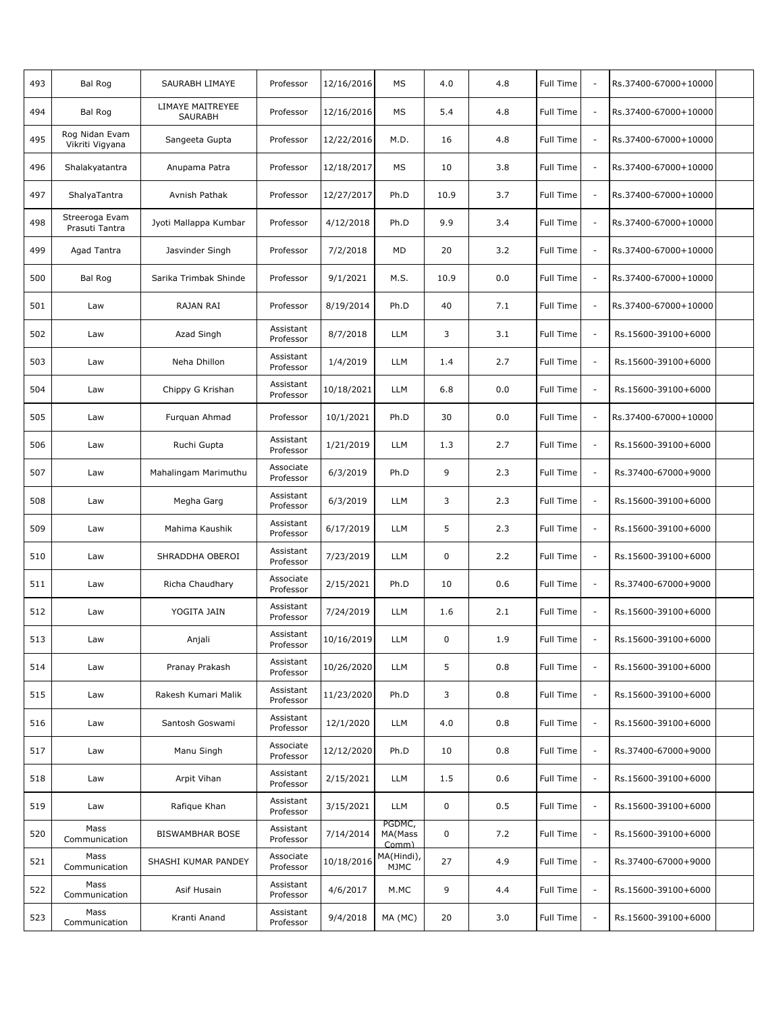| 493 | Bal Rog                           | SAURABH LIMAYE                     | Professor              | 12/16/2016 | MS                                     | 4.0         | 4.8 | Full Time        | $\sim$                   | Rs.37400-67000+10000 |  |
|-----|-----------------------------------|------------------------------------|------------------------|------------|----------------------------------------|-------------|-----|------------------|--------------------------|----------------------|--|
| 494 | Bal Rog                           | LIMAYE MAITREYEE<br><b>SAURABH</b> | Professor              | 12/16/2016 | MS                                     | 5.4         | 4.8 | Full Time        | $\overline{\phantom{a}}$ | Rs.37400-67000+10000 |  |
| 495 | Rog Nidan Evam<br>Vikriti Vigyana | Sangeeta Gupta                     | Professor              | 12/22/2016 | M.D.                                   | 16          | 4.8 | Full Time        | $\overline{\phantom{a}}$ | Rs.37400-67000+10000 |  |
| 496 | Shalakyatantra                    | Anupama Patra                      | Professor              | 12/18/2017 | MS                                     | 10          | 3.8 | Full Time        | $\overline{\phantom{a}}$ | Rs.37400-67000+10000 |  |
| 497 | ShalyaTantra                      | Avnish Pathak                      | Professor              | 12/27/2017 | Ph.D                                   | 10.9        | 3.7 | Full Time        | $\overline{\phantom{a}}$ | Rs.37400-67000+10000 |  |
| 498 | Streeroga Evam<br>Prasuti Tantra  | Jyoti Mallappa Kumbar              | Professor              | 4/12/2018  | Ph.D                                   | 9.9         | 3.4 | Full Time        | $\overline{\phantom{a}}$ | Rs.37400-67000+10000 |  |
| 499 | Agad Tantra                       | Jasvinder Singh                    | Professor              | 7/2/2018   | MD                                     | 20          | 3.2 | Full Time        | $\overline{\phantom{a}}$ | Rs.37400-67000+10000 |  |
| 500 | <b>Bal Rog</b>                    | Sarika Trimbak Shinde              | Professor              | 9/1/2021   | M.S.                                   | 10.9        | 0.0 | Full Time        | $\overline{\phantom{a}}$ | Rs.37400-67000+10000 |  |
| 501 | Law                               | RAJAN RAI                          | Professor              | 8/19/2014  | Ph.D                                   | 40          | 7.1 | Full Time        | $\overline{\phantom{a}}$ | Rs.37400-67000+10000 |  |
| 502 | Law                               | Azad Singh                         | Assistant<br>Professor | 8/7/2018   | LLM                                    | 3           | 3.1 | Full Time        | $\overline{\phantom{a}}$ | Rs.15600-39100+6000  |  |
| 503 | Law                               | Neha Dhillon                       | Assistant<br>Professor | 1/4/2019   | LLM                                    | 1.4         | 2.7 | Full Time        | $\overline{\phantom{a}}$ | Rs.15600-39100+6000  |  |
| 504 | Law                               | Chippy G Krishan                   | Assistant<br>Professor | 10/18/2021 | LLM                                    | 6.8         | 0.0 | <b>Full Time</b> | $\overline{\phantom{a}}$ | Rs.15600-39100+6000  |  |
| 505 | Law                               | Furquan Ahmad                      | Professor              | 10/1/2021  | Ph.D                                   | 30          | 0.0 | Full Time        | $\overline{\phantom{a}}$ | Rs.37400-67000+10000 |  |
| 506 | Law                               | Ruchi Gupta                        | Assistant<br>Professor | 1/21/2019  | LLM                                    | 1.3         | 2.7 | Full Time        | $\overline{\phantom{a}}$ | Rs.15600-39100+6000  |  |
| 507 | Law                               | Mahalingam Marimuthu               | Associate<br>Professor | 6/3/2019   | Ph.D                                   | 9           | 2.3 | Full Time        | $\overline{\phantom{a}}$ | Rs.37400-67000+9000  |  |
| 508 | Law                               | Megha Garg                         | Assistant<br>Professor | 6/3/2019   | <b>LLM</b>                             | 3           | 2.3 | Full Time        | $\overline{\phantom{a}}$ | Rs.15600-39100+6000  |  |
| 509 | Law                               | Mahima Kaushik                     | Assistant<br>Professor | 6/17/2019  | <b>LLM</b>                             | 5           | 2.3 | Full Time        | $\overline{\phantom{a}}$ | Rs.15600-39100+6000  |  |
| 510 | Law                               | SHRADDHA OBEROI                    | Assistant<br>Professor | 7/23/2019  | <b>LLM</b>                             | $\mathbf 0$ | 2.2 | Full Time        | $\overline{\phantom{a}}$ | Rs.15600-39100+6000  |  |
| 511 | Law                               | Richa Chaudhary                    | Associate<br>Professor | 2/15/2021  | Ph.D                                   | 10          | 0.6 | Full Time        | $\overline{\phantom{a}}$ | Rs.37400-67000+9000  |  |
| 512 | Law                               | YOGITA JAIN                        | Assistant<br>Professor | 7/24/2019  | <b>LLM</b>                             | 1.6         | 2.1 | Full Time        | $\overline{\phantom{a}}$ | Rs.15600-39100+6000  |  |
| 513 | Law                               | Anjali                             | Assistant<br>Professor | 10/16/2019 | <b>LLM</b>                             | 0           | 1.9 | Full Time        |                          | Rs.15600-39100+6000  |  |
| 514 | Law                               | Pranay Prakash                     | Assistant<br>Professor | 10/26/2020 | LLM                                    | 5           | 0.8 | Full Time        | $\overline{\phantom{a}}$ | Rs.15600-39100+6000  |  |
| 515 | Law                               | Rakesh Kumari Malik                | Assistant<br>Professor | 11/23/2020 | Ph.D                                   | 3           | 0.8 | Full Time        | $\overline{\phantom{a}}$ | Rs.15600-39100+6000  |  |
| 516 | Law                               | Santosh Goswami                    | Assistant<br>Professor | 12/1/2020  | LLM                                    | 4.0         | 0.8 | Full Time        | $\overline{\phantom{a}}$ | Rs.15600-39100+6000  |  |
| 517 | Law                               | Manu Singh                         | Associate<br>Professor | 12/12/2020 | Ph.D                                   | 10          | 0.8 | Full Time        | $\overline{\phantom{a}}$ | Rs.37400-67000+9000  |  |
| 518 | Law                               | Arpit Vihan                        | Assistant<br>Professor | 2/15/2021  | LLM                                    | 1.5         | 0.6 | Full Time        | $\overline{\phantom{a}}$ | Rs.15600-39100+6000  |  |
| 519 | Law                               | Rafique Khan                       | Assistant<br>Professor | 3/15/2021  | LLM                                    | $\mathbf 0$ | 0.5 | Full Time        | $\overline{\phantom{a}}$ | Rs.15600-39100+6000  |  |
| 520 | Mass<br>Communication             | <b>BISWAMBHAR BOSE</b>             | Assistant<br>Professor | 7/14/2014  | PGDMC,<br>MA(Mass<br>Comm <sub>l</sub> | $\mathbf 0$ | 7.2 | Full Time        | $\overline{\phantom{a}}$ | Rs.15600-39100+6000  |  |
| 521 | Mass<br>Communication             | SHASHI KUMAR PANDEY                | Associate<br>Professor | 10/18/2016 | MA(Hindi),<br>MJMC                     | 27          | 4.9 | Full Time        | $\overline{\phantom{a}}$ | Rs.37400-67000+9000  |  |
| 522 | Mass<br>Communication             | Asif Husain                        | Assistant<br>Professor | 4/6/2017   | M.MC                                   | 9           | 4.4 | Full Time        | $\overline{\phantom{a}}$ | Rs.15600-39100+6000  |  |
| 523 | Mass<br>Communication             | Kranti Anand                       | Assistant<br>Professor | 9/4/2018   | MA (MC)                                | 20          | 3.0 | Full Time        | $\overline{\phantom{a}}$ | Rs.15600-39100+6000  |  |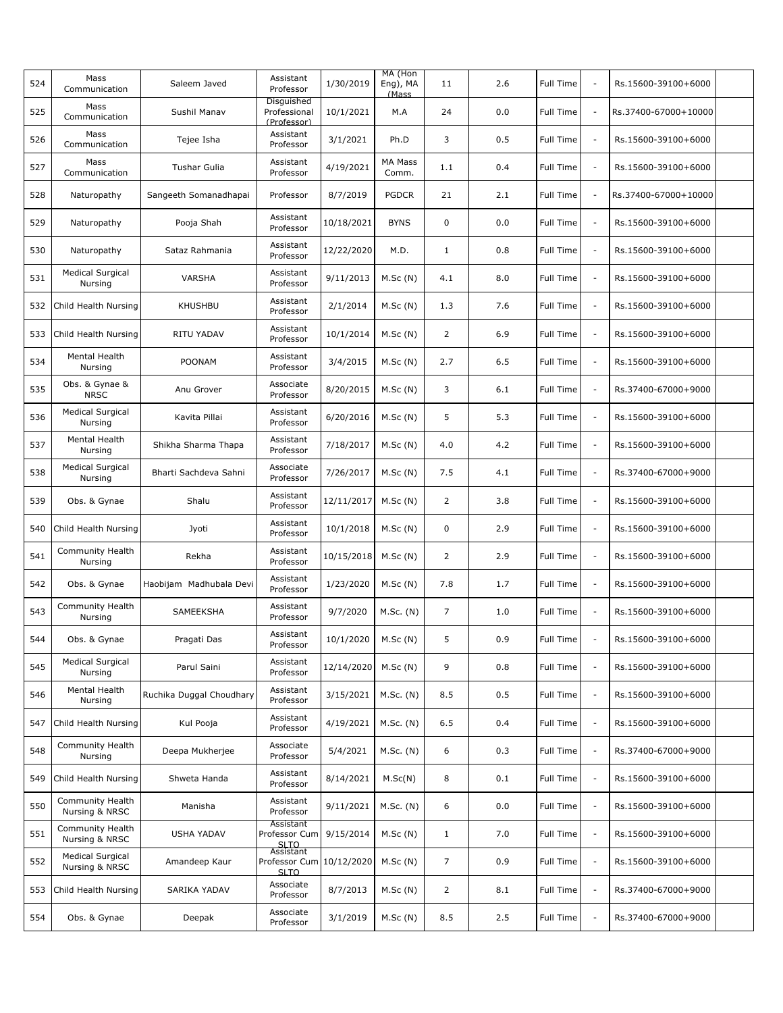| 524 | Mass<br>Communication                     | Saleem Javed             | Assistant<br>Professor                          | 1/30/2019  | MA (Hon<br>Eng), MA<br>(Mass | 11             | 2.6 | <b>Full Time</b> | $\sim$                   | Rs.15600-39100+6000  |  |
|-----|-------------------------------------------|--------------------------|-------------------------------------------------|------------|------------------------------|----------------|-----|------------------|--------------------------|----------------------|--|
| 525 | Mass<br>Communication                     | Sushil Manav             | Disquished<br>Professional<br>(Professor)       | 10/1/2021  | M.A                          | 24             | 0.0 | Full Time        | $\overline{\phantom{a}}$ | Rs.37400-67000+10000 |  |
| 526 | Mass<br>Communication                     | Tejee Isha               | Assistant<br>Professor                          | 3/1/2021   | Ph.D                         | 3              | 0.5 | Full Time        | $\overline{\phantom{a}}$ | Rs.15600-39100+6000  |  |
| 527 | Mass<br>Communication                     | Tushar Gulia             | Assistant<br>Professor                          | 4/19/2021  | MA Mass<br>Comm.             | 1.1            | 0.4 | <b>Full Time</b> | $\overline{\phantom{a}}$ | Rs.15600-39100+6000  |  |
| 528 | Naturopathy                               | Sangeeth Somanadhapai    | Professor                                       | 8/7/2019   | <b>PGDCR</b>                 | 21             | 2.1 | <b>Full Time</b> | $\overline{\phantom{a}}$ | Rs.37400-67000+10000 |  |
| 529 | Naturopathy                               | Pooja Shah               | Assistant<br>Professor                          | 10/18/2021 | <b>BYNS</b>                  | 0              | 0.0 | Full Time        | $\overline{\phantom{a}}$ | Rs.15600-39100+6000  |  |
| 530 | Naturopathy                               | Sataz Rahmania           | Assistant<br>Professor                          | 12/22/2020 | M.D.                         | $\mathbf{1}$   | 0.8 | Full Time        | $\overline{\phantom{a}}$ | Rs.15600-39100+6000  |  |
| 531 | <b>Medical Surgical</b><br>Nursing        | VARSHA                   | Assistant<br>Professor                          | 9/11/2013  | M.Sc(N)                      | 4.1            | 8.0 | Full Time        | $\overline{\phantom{a}}$ | Rs.15600-39100+6000  |  |
| 532 | Child Health Nursing                      | <b>KHUSHBU</b>           | Assistant<br>Professor                          | 2/1/2014   | M.Sc(N)                      | 1.3            | 7.6 | Full Time        | $\overline{\phantom{a}}$ | Rs.15600-39100+6000  |  |
| 533 | Child Health Nursing                      | <b>RITU YADAV</b>        | Assistant<br>Professor                          | 10/1/2014  | M.Sc(N)                      | $\overline{2}$ | 6.9 | Full Time        | $\overline{\phantom{a}}$ | Rs.15600-39100+6000  |  |
| 534 | Mental Health<br>Nursing                  | <b>POONAM</b>            | Assistant<br>Professor                          | 3/4/2015   | M.Sc(N)                      | 2.7            | 6.5 | <b>Full Time</b> | $\overline{\phantom{a}}$ | Rs.15600-39100+6000  |  |
| 535 | Obs. & Gynae &<br><b>NRSC</b>             | Anu Grover               | Associate<br>Professor                          | 8/20/2015  | M.Sc(N)                      | 3              | 6.1 | <b>Full Time</b> | $\sim$                   | Rs.37400-67000+9000  |  |
| 536 | <b>Medical Surgical</b><br>Nursing        | Kavita Pillai            | Assistant<br>Professor                          | 6/20/2016  | M.Sc(N)                      | 5              | 5.3 | Full Time        | $\overline{\phantom{a}}$ | Rs.15600-39100+6000  |  |
| 537 | Mental Health<br>Nursing                  | Shikha Sharma Thapa      | Assistant<br>Professor                          | 7/18/2017  | M.Sc(N)                      | 4.0            | 4.2 | Full Time        | $\overline{\phantom{a}}$ | Rs.15600-39100+6000  |  |
| 538 | <b>Medical Surgical</b><br>Nursing        | Bharti Sachdeva Sahni    | Associate<br>Professor                          | 7/26/2017  | M.Sc(N)                      | 7.5            | 4.1 | Full Time        | $\sim$                   | Rs.37400-67000+9000  |  |
| 539 | Obs. & Gynae                              | Shalu                    | Assistant<br>Professor                          | 12/11/2017 | M.Sc(N)                      | $\overline{2}$ | 3.8 | <b>Full Time</b> | $\overline{\phantom{a}}$ | Rs.15600-39100+6000  |  |
| 540 | Child Health Nursing                      | Jyoti                    | Assistant<br>Professor                          | 10/1/2018  | M.Sc(N)                      | 0              | 2.9 | Full Time        | $\sim$                   | Rs.15600-39100+6000  |  |
| 541 | Community Health<br>Nursing               | Rekha                    | Assistant<br>Professor                          | 10/15/2018 | M.Sc(N)                      | 2              | 2.9 | <b>Full Time</b> | $\overline{\phantom{a}}$ | Rs.15600-39100+6000  |  |
| 542 | Obs. & Gynae                              | Haobijam Madhubala Devi  | Assistant<br>Professor                          | 1/23/2020  | M.Sc(N)                      | 7.8            | 1.7 | Full Time        | $\overline{\phantom{a}}$ | Rs.15600-39100+6000  |  |
| 543 | <b>Community Health</b><br>Nursing        | SAMEEKSHA                | Assistant<br>Professor                          | 9/7/2020   | M.Sc. (N)                    | $\overline{7}$ | 1.0 | Full Time        | $\overline{\phantom{a}}$ | Rs.15600-39100+6000  |  |
| 544 | Obs. & Gynae                              | Pragati Das              | Assistant<br>Professor                          | 10/1/2020  | M.Sc (N)                     | 5              | 0.9 | Full Time        |                          | Rs.15600-39100+6000  |  |
| 545 | <b>Medical Surgical</b><br>Nursing        | Parul Saini              | Assistant<br>Professor                          | 12/14/2020 | M.Sc(N)                      | 9              | 0.8 | Full Time        | $\overline{\phantom{a}}$ | Rs.15600-39100+6000  |  |
| 546 | Mental Health<br>Nursing                  | Ruchika Duggal Choudhary | Assistant<br>Professor                          | 3/15/2021  | M.Sc. (N)                    | 8.5            | 0.5 | Full Time        | $\overline{\phantom{a}}$ | Rs.15600-39100+6000  |  |
| 547 | Child Health Nursing                      | Kul Pooja                | Assistant<br>Professor                          | 4/19/2021  | $M.Sc.$ (N)                  | 6.5            | 0.4 | <b>Full Time</b> | $\overline{\phantom{a}}$ | Rs.15600-39100+6000  |  |
| 548 | Community Health<br>Nursing               | Deepa Mukherjee          | Associate<br>Professor                          | 5/4/2021   | $M.Sc.$ (N)                  | 6              | 0.3 | Full Time        | $\overline{\phantom{a}}$ | Rs.37400-67000+9000  |  |
| 549 | Child Health Nursing                      | Shweta Handa             | Assistant<br>Professor                          | 8/14/2021  | M.SC(N)                      | 8              | 0.1 | Full Time        | $\overline{\phantom{a}}$ | Rs.15600-39100+6000  |  |
| 550 | Community Health<br>Nursing & NRSC        | Manisha                  | Assistant<br>Professor                          | 9/11/2021  | $M.Sc.$ (N)                  | 6              | 0.0 | Full Time        | $\overline{\phantom{a}}$ | Rs.15600-39100+6000  |  |
| 551 | Community Health<br>Nursing & NRSC        | USHA YADAV               | Assistant<br>Professor Cum<br>SLTO<br>Assistant | 9/15/2014  | M.Sc(N)                      | $\mathbf{1}$   | 7.0 | Full Time        | $\overline{\phantom{a}}$ | Rs.15600-39100+6000  |  |
| 552 | <b>Medical Surgical</b><br>Nursing & NRSC | Amandeep Kaur            | Professor Cum<br>SITO                           | 10/12/2020 | M.Sc(N)                      | $\overline{7}$ | 0.9 | Full Time        | $\overline{\phantom{a}}$ | Rs.15600-39100+6000  |  |
| 553 | Child Health Nursing                      | SARIKA YADAV             | Associate<br>Professor                          | 8/7/2013   | M.Sc(N)                      | 2              | 8.1 | Full Time        | $\overline{\phantom{a}}$ | Rs.37400-67000+9000  |  |
| 554 | Obs. & Gynae                              | Deepak                   | Associate<br>Professor                          | 3/1/2019   | M.Sc(N)                      | 8.5            | 2.5 | Full Time        | $\overline{\phantom{a}}$ | Rs.37400-67000+9000  |  |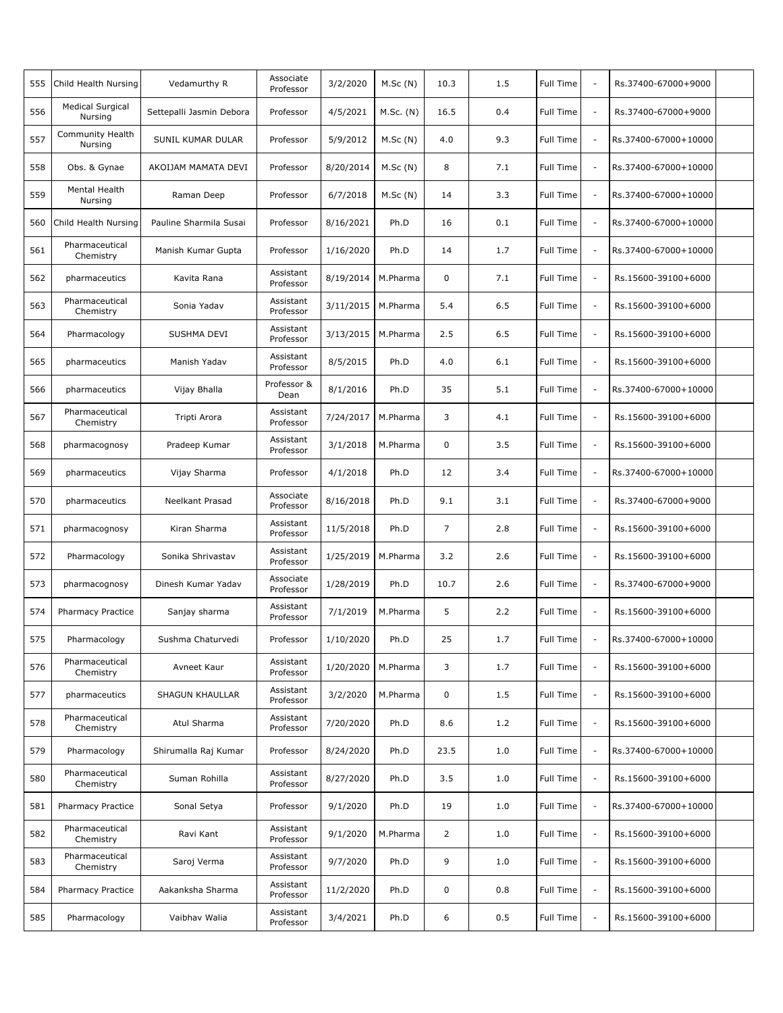| 555 | Child Health Nursing               | Vedamurthy R             | Associate<br>Professor | 3/2/2020  | M.Sc(N)     | 10.3           | 1.5 | Full Time | $\sim$                   | Rs.37400-67000+9000  |  |
|-----|------------------------------------|--------------------------|------------------------|-----------|-------------|----------------|-----|-----------|--------------------------|----------------------|--|
| 556 | <b>Medical Surgical</b><br>Nursing | Settepalli Jasmin Debora | Professor              | 4/5/2021  | $M.Sc.$ (N) | 16.5           | 0.4 | Full Time | $\sim$                   | Rs.37400-67000+9000  |  |
| 557 | Community Health<br>Nursing        | SUNIL KUMAR DULAR        | Professor              | 5/9/2012  | M.Sc(N)     | 4.0            | 9.3 | Full Time | $\overline{\phantom{a}}$ | Rs.37400-67000+10000 |  |
| 558 | Obs. & Gynae                       | AKOIJAM MAMATA DEVI      | Professor              | 8/20/2014 | M.Sc(N)     | 8              | 7.1 | Full Time | $\sim$                   | Rs.37400-67000+10000 |  |
| 559 | Mental Health<br>Nursing           | Raman Deep               | Professor              | 6/7/2018  | M.Sc(N)     | 14             | 3.3 | Full Time | $\overline{\phantom{a}}$ | Rs.37400-67000+10000 |  |
| 560 | Child Health Nursing               | Pauline Sharmila Susai   | Professor              | 8/16/2021 | Ph.D        | 16             | 0.1 | Full Time | $\sim$                   | Rs.37400-67000+10000 |  |
| 561 | Pharmaceutical<br>Chemistry        | Manish Kumar Gupta       | Professor              | 1/16/2020 | Ph.D        | 14             | 1.7 | Full Time | $\overline{\phantom{a}}$ | Rs.37400-67000+10000 |  |
| 562 | pharmaceutics                      | Kavita Rana              | Assistant<br>Professor | 8/19/2014 | M.Pharma    | 0              | 7.1 | Full Time | $\overline{\phantom{a}}$ | Rs.15600-39100+6000  |  |
| 563 | Pharmaceutical<br>Chemistry        | Sonia Yadav              | Assistant<br>Professor | 3/11/2015 | M.Pharma    | 5.4            | 6.5 | Full Time | $\overline{\phantom{a}}$ | Rs.15600-39100+6000  |  |
| 564 | Pharmacology                       | SUSHMA DEVI              | Assistant<br>Professor | 3/13/2015 | M.Pharma    | 2.5            | 6.5 | Full Time | $\sim$                   | Rs.15600-39100+6000  |  |
| 565 | pharmaceutics                      | Manish Yadav             | Assistant<br>Professor | 8/5/2015  | Ph.D        | 4.0            | 6.1 | Full Time | $\overline{\phantom{a}}$ | Rs.15600-39100+6000  |  |
| 566 | pharmaceutics                      | Vijay Bhalla             | Professor &<br>Dean    | 8/1/2016  | Ph.D        | 35             | 5.1 | Full Time | $\sim$                   | Rs.37400-67000+10000 |  |
| 567 | Pharmaceutical<br>Chemistry        | Tripti Arora             | Assistant<br>Professor | 7/24/2017 | M.Pharma    | 3              | 4.1 | Full Time | $\overline{\phantom{a}}$ | Rs.15600-39100+6000  |  |
| 568 | pharmacognosy                      | Pradeep Kumar            | Assistant<br>Professor | 3/1/2018  | M.Pharma    | 0              | 3.5 | Full Time | $\overline{\phantom{a}}$ | Rs.15600-39100+6000  |  |
| 569 | pharmaceutics                      | Vijay Sharma             | Professor              | 4/1/2018  | Ph.D        | 12             | 3.4 | Full Time | $\overline{\phantom{a}}$ | Rs.37400-67000+10000 |  |
| 570 | pharmaceutics                      | <b>Neelkant Prasad</b>   | Associate<br>Professor | 8/16/2018 | Ph.D        | 9.1            | 3.1 | Full Time | $\sim$                   | Rs.37400-67000+9000  |  |
| 571 | pharmacognosy                      | Kiran Sharma             | Assistant<br>Professor | 11/5/2018 | Ph.D        | $\overline{7}$ | 2.8 | Full Time | $\sim$                   | Rs.15600-39100+6000  |  |
| 572 | Pharmacology                       | Sonika Shrivastav        | Assistant<br>Professor | 1/25/2019 | M.Pharma    | 3.2            | 2.6 | Full Time | $\overline{\phantom{a}}$ | Rs.15600-39100+6000  |  |
| 573 | pharmacognosy                      | Dinesh Kumar Yadav       | Associate<br>Professor | 1/28/2019 | Ph.D        | 10.7           | 2.6 | Full Time | $\overline{\phantom{a}}$ | Rs.37400-67000+9000  |  |
| 574 | <b>Pharmacy Practice</b>           | Sanjay sharma            | Assistant<br>Professor | 7/1/2019  | M.Pharma    | 5              | 2.2 | Full Time | $\overline{\phantom{a}}$ | Rs.15600-39100+6000  |  |
| 575 | Pharmacology                       | Sushma Chaturvedi        | Professor              | 1/10/2020 | Ph.D        | 25             | 1.7 | Full Time |                          | Rs.37400-67000+10000 |  |
| 576 | Pharmaceutical<br>Chemistry        | Avneet Kaur              | Assistant<br>Professor | 1/20/2020 | M.Pharma    | 3              | 1.7 | Full Time | $\overline{\phantom{a}}$ | Rs.15600-39100+6000  |  |
| 577 | pharmaceutics                      | SHAGUN KHAULLAR          | Assistant<br>Professor | 3/2/2020  | M.Pharma    | 0              | 1.5 | Full Time | $\overline{\phantom{a}}$ | Rs.15600-39100+6000  |  |
| 578 | Pharmaceutical<br>Chemistry        | Atul Sharma              | Assistant<br>Professor | 7/20/2020 | Ph.D        | 8.6            | 1.2 | Full Time | $\overline{\phantom{a}}$ | Rs.15600-39100+6000  |  |
| 579 | Pharmacology                       | Shirumalla Raj Kumar     | Professor              | 8/24/2020 | Ph.D        | 23.5           | 1.0 | Full Time | $\overline{\phantom{a}}$ | Rs.37400-67000+10000 |  |
| 580 | Pharmaceutical<br>Chemistry        | Suman Rohilla            | Assistant<br>Professor | 8/27/2020 | Ph.D        | 3.5            | 1.0 | Full Time | $\overline{\phantom{a}}$ | Rs.15600-39100+6000  |  |
| 581 | <b>Pharmacy Practice</b>           | Sonal Setya              | Professor              | 9/1/2020  | Ph.D        | 19             | 1.0 | Full Time | $\overline{\phantom{a}}$ | Rs.37400-67000+10000 |  |
| 582 | Pharmaceutical<br>Chemistry        | Ravi Kant                | Assistant<br>Professor | 9/1/2020  | M.Pharma    | $\overline{2}$ | 1.0 | Full Time | $\overline{\phantom{a}}$ | Rs.15600-39100+6000  |  |
| 583 | Pharmaceutical<br>Chemistry        | Saroj Verma              | Assistant<br>Professor | 9/7/2020  | Ph.D        | 9              | 1.0 | Full Time | $\overline{\phantom{a}}$ | Rs.15600-39100+6000  |  |
| 584 | <b>Pharmacy Practice</b>           | Aakanksha Sharma         | Assistant<br>Professor | 11/2/2020 | Ph.D        | 0              | 0.8 | Full Time | $\overline{\phantom{a}}$ | Rs.15600-39100+6000  |  |
| 585 | Pharmacology                       | Vaibhav Walia            | Assistant<br>Professor | 3/4/2021  | Ph.D        | 6              | 0.5 | Full Time | $\overline{\phantom{a}}$ | Rs.15600-39100+6000  |  |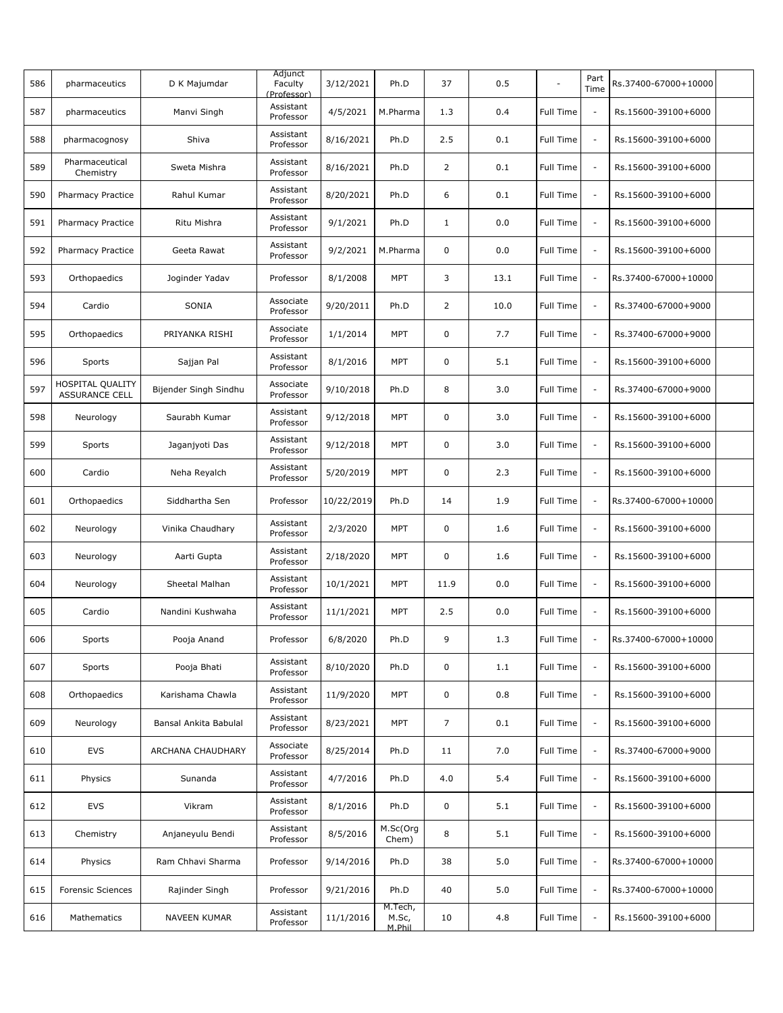| 586 | pharmaceutics                                    | D K Majumdar          | Adjunct<br>Faculty<br>(Professor) | 3/12/2021  | Ph.D                       | 37             | 0.5  |           | Part<br>Time             | Rs.37400-67000+10000 |  |
|-----|--------------------------------------------------|-----------------------|-----------------------------------|------------|----------------------------|----------------|------|-----------|--------------------------|----------------------|--|
| 587 | pharmaceutics                                    | Manvi Singh           | Assistant<br>Professor            | 4/5/2021   | M.Pharma                   | 1.3            | 0.4  | Full Time | $\sim$                   | Rs.15600-39100+6000  |  |
| 588 | pharmacognosy                                    | Shiva                 | Assistant<br>Professor            | 8/16/2021  | Ph.D                       | 2.5            | 0.1  | Full Time | $\overline{\phantom{a}}$ | Rs.15600-39100+6000  |  |
| 589 | Pharmaceutical<br>Chemistry                      | Sweta Mishra          | Assistant<br>Professor            | 8/16/2021  | Ph.D                       | $\overline{2}$ | 0.1  | Full Time | $\sim$                   | Rs.15600-39100+6000  |  |
| 590 | <b>Pharmacy Practice</b>                         | Rahul Kumar           | Assistant<br>Professor            | 8/20/2021  | Ph.D                       | 6              | 0.1  | Full Time | $\overline{\phantom{a}}$ | Rs.15600-39100+6000  |  |
| 591 | <b>Pharmacy Practice</b>                         | Ritu Mishra           | Assistant<br>Professor            | 9/1/2021   | Ph.D                       | $\mathbf{1}$   | 0.0  | Full Time | $\sim$                   | Rs.15600-39100+6000  |  |
| 592 | <b>Pharmacy Practice</b>                         | Geeta Rawat           | Assistant<br>Professor            | 9/2/2021   | M.Pharma                   | 0              | 0.0  | Full Time | $\overline{\phantom{a}}$ | Rs.15600-39100+6000  |  |
| 593 | Orthopaedics                                     | Joginder Yadav        | Professor                         | 8/1/2008   | <b>MPT</b>                 | 3              | 13.1 | Full Time | $\overline{\phantom{a}}$ | Rs.37400-67000+10000 |  |
| 594 | Cardio                                           | SONIA                 | Associate<br>Professor            | 9/20/2011  | Ph.D                       | $\overline{2}$ | 10.0 | Full Time | $\overline{\phantom{a}}$ | Rs.37400-67000+9000  |  |
| 595 | Orthopaedics                                     | PRIYANKA RISHI        | Associate<br>Professor            | 1/1/2014   | <b>MPT</b>                 | 0              | 7.7  | Full Time | $\sim$                   | Rs.37400-67000+9000  |  |
| 596 | Sports                                           | Sajjan Pal            | Assistant<br>Professor            | 8/1/2016   | <b>MPT</b>                 | 0              | 5.1  | Full Time | $\overline{\phantom{a}}$ | Rs.15600-39100+6000  |  |
| 597 | <b>HOSPITAL QUALITY</b><br><b>ASSURANCE CELL</b> | Bijender Singh Sindhu | Associate<br>Professor            | 9/10/2018  | Ph.D                       | 8              | 3.0  | Full Time | $\sim$                   | Rs.37400-67000+9000  |  |
| 598 | Neurology                                        | Saurabh Kumar         | Assistant<br>Professor            | 9/12/2018  | <b>MPT</b>                 | 0              | 3.0  | Full Time | $\overline{\phantom{a}}$ | Rs.15600-39100+6000  |  |
| 599 | Sports                                           | Jaganjyoti Das        | Assistant<br>Professor            | 9/12/2018  | <b>MPT</b>                 | 0              | 3.0  | Full Time | $\overline{\phantom{a}}$ | Rs.15600-39100+6000  |  |
| 600 | Cardio                                           | Neha Reyalch          | Assistant<br>Professor            | 5/20/2019  | <b>MPT</b>                 | 0              | 2.3  | Full Time | $\overline{\phantom{a}}$ | Rs.15600-39100+6000  |  |
| 601 | Orthopaedics                                     | Siddhartha Sen        | Professor                         | 10/22/2019 | Ph.D                       | 14             | 1.9  | Full Time | $\overline{\phantom{a}}$ | Rs.37400-67000+10000 |  |
| 602 | Neurology                                        | Vinika Chaudhary      | Assistant<br>Professor            | 2/3/2020   | <b>MPT</b>                 | 0              | 1.6  | Full Time | $\sim$                   | Rs.15600-39100+6000  |  |
| 603 | Neurology                                        | Aarti Gupta           | Assistant<br>Professor            | 2/18/2020  | MPT                        | 0              | 1.6  | Full Time | $\overline{\phantom{a}}$ | Rs.15600-39100+6000  |  |
| 604 | Neurology                                        | Sheetal Malhan        | Assistant<br>Professor            | 10/1/2021  | <b>MPT</b>                 | 11.9           | 0.0  | Full Time | $\overline{\phantom{a}}$ | Rs.15600-39100+6000  |  |
| 605 | Cardio                                           | Nandini Kushwaha      | Assistant<br>Professor            | 11/1/2021  | <b>MPT</b>                 | 2.5            | 0.0  | Full Time | $\overline{\phantom{a}}$ | Rs.15600-39100+6000  |  |
| 606 | Sports                                           | Pooja Anand           | Professor                         | 6/8/2020   | Ph.D                       | 9              | 1.3  | Full Time |                          | Rs.37400-67000+10000 |  |
| 607 | Sports                                           | Pooja Bhati           | Assistant<br>Professor            | 8/10/2020  | Ph.D                       | 0              | 1.1  | Full Time | $\overline{\phantom{a}}$ | Rs.15600-39100+6000  |  |
| 608 | Orthopaedics                                     | Karishama Chawla      | Assistant<br>Professor            | 11/9/2020  | <b>MPT</b>                 | 0              | 0.8  | Full Time | $\overline{\phantom{a}}$ | Rs.15600-39100+6000  |  |
| 609 | Neurology                                        | Bansal Ankita Babulal | Assistant<br>Professor            | 8/23/2021  | <b>MPT</b>                 | $\overline{7}$ | 0.1  | Full Time | $\overline{\phantom{a}}$ | Rs.15600-39100+6000  |  |
| 610 | EVS                                              | ARCHANA CHAUDHARY     | Associate<br>Professor            | 8/25/2014  | Ph.D                       | 11             | 7.0  | Full Time | $\overline{\phantom{a}}$ | Rs.37400-67000+9000  |  |
| 611 | Physics                                          | Sunanda               | Assistant<br>Professor            | 4/7/2016   | Ph.D                       | 4.0            | 5.4  | Full Time | $\overline{\phantom{a}}$ | Rs.15600-39100+6000  |  |
| 612 | EVS                                              | Vikram                | Assistant<br>Professor            | 8/1/2016   | Ph.D                       | 0              | 5.1  | Full Time | $\overline{\phantom{a}}$ | Rs.15600-39100+6000  |  |
| 613 | Chemistry                                        | Anjaneyulu Bendi      | Assistant<br>Professor            | 8/5/2016   | M.Sc(Org<br>Chem)          | 8              | 5.1  | Full Time | $\overline{\phantom{a}}$ | Rs.15600-39100+6000  |  |
| 614 | Physics                                          | Ram Chhavi Sharma     | Professor                         | 9/14/2016  | Ph.D                       | 38             | 5.0  | Full Time | $\overline{\phantom{a}}$ | Rs.37400-67000+10000 |  |
| 615 | Forensic Sciences                                | Rajinder Singh        | Professor                         | 9/21/2016  | Ph.D                       | 40             | 5.0  | Full Time | $\overline{\phantom{a}}$ | Rs.37400-67000+10000 |  |
| 616 | Mathematics                                      | NAVEEN KUMAR          | Assistant<br>Professor            | 11/1/2016  | M.Tech,<br>M.Sc,<br>M.Phil | 10             | 4.8  | Full Time | $\overline{\phantom{a}}$ | Rs.15600-39100+6000  |  |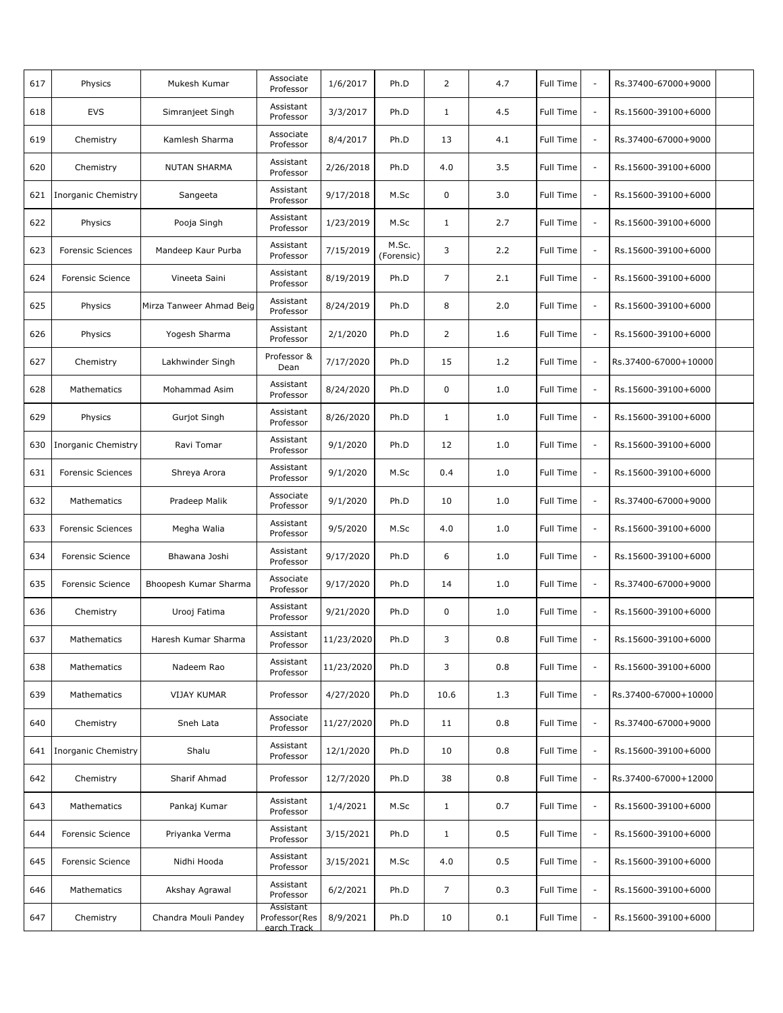| 617 | Physics                    | Mukesh Kumar             | Associate<br>Professor                     | 1/6/2017   | Ph.D                | 2              | 4.7 | Full Time | $\sim$                   | Rs.37400-67000+9000  |  |
|-----|----------------------------|--------------------------|--------------------------------------------|------------|---------------------|----------------|-----|-----------|--------------------------|----------------------|--|
| 618 | <b>EVS</b>                 | Simranjeet Singh         | Assistant<br>Professor                     | 3/3/2017   | Ph.D                | $\mathbf{1}$   | 4.5 | Full Time | $\overline{\phantom{a}}$ | Rs.15600-39100+6000  |  |
| 619 | Chemistry                  | Kamlesh Sharma           | Associate<br>Professor                     | 8/4/2017   | Ph.D                | 13             | 4.1 | Full Time | $\overline{\phantom{a}}$ | Rs.37400-67000+9000  |  |
| 620 | Chemistry                  | NUTAN SHARMA             | Assistant<br>Professor                     | 2/26/2018  | Ph.D                | 4.0            | 3.5 | Full Time | $\overline{\phantom{a}}$ | Rs.15600-39100+6000  |  |
| 621 | Inorganic Chemistry        | Sangeeta                 | Assistant<br>Professor                     | 9/17/2018  | M.Sc                | $\mathbf 0$    | 3.0 | Full Time | $\overline{\phantom{a}}$ | Rs.15600-39100+6000  |  |
| 622 | Physics                    | Pooja Singh              | Assistant<br>Professor                     | 1/23/2019  | M.Sc                | $\mathbf{1}$   | 2.7 | Full Time | $\overline{\phantom{a}}$ | Rs.15600-39100+6000  |  |
| 623 | <b>Forensic Sciences</b>   | Mandeep Kaur Purba       | Assistant<br>Professor                     | 7/15/2019  | M.Sc.<br>(Forensic) | 3              | 2.2 | Full Time | $\overline{\phantom{a}}$ | Rs.15600-39100+6000  |  |
| 624 | <b>Forensic Science</b>    | Vineeta Saini            | Assistant<br>Professor                     | 8/19/2019  | Ph.D                | $\overline{7}$ | 2.1 | Full Time | $\overline{\phantom{a}}$ | Rs.15600-39100+6000  |  |
| 625 | Physics                    | Mirza Tanweer Ahmad Beig | Assistant<br>Professor                     | 8/24/2019  | Ph.D                | 8              | 2.0 | Full Time | $\overline{\phantom{a}}$ | Rs.15600-39100+6000  |  |
| 626 | Physics                    | Yogesh Sharma            | Assistant<br>Professor                     | 2/1/2020   | Ph.D                | 2              | 1.6 | Full Time | $\overline{\phantom{a}}$ | Rs.15600-39100+6000  |  |
| 627 | Chemistry                  | Lakhwinder Singh         | Professor &<br>Dean                        | 7/17/2020  | Ph.D                | 15             | 1.2 | Full Time | $\overline{\phantom{a}}$ | Rs.37400-67000+10000 |  |
| 628 | Mathematics                | Mohammad Asim            | Assistant<br>Professor                     | 8/24/2020  | Ph.D                | $\mathbf 0$    | 1.0 | Full Time | $\overline{\phantom{a}}$ | Rs.15600-39100+6000  |  |
| 629 | Physics                    | Gurjot Singh             | Assistant<br>Professor                     | 8/26/2020  | Ph.D                | $\mathbf{1}$   | 1.0 | Full Time | $\overline{\phantom{a}}$ | Rs.15600-39100+6000  |  |
| 630 | Inorganic Chemistry        | Ravi Tomar               | Assistant<br>Professor                     | 9/1/2020   | Ph.D                | 12             | 1.0 | Full Time | $\overline{\phantom{a}}$ | Rs.15600-39100+6000  |  |
| 631 | <b>Forensic Sciences</b>   | Shreya Arora             | Assistant<br>Professor                     | 9/1/2020   | M.Sc                | 0.4            | 1.0 | Full Time | $\overline{\phantom{a}}$ | Rs.15600-39100+6000  |  |
| 632 | Mathematics                | Pradeep Malik            | Associate<br>Professor                     | 9/1/2020   | Ph.D                | 10             | 1.0 | Full Time | $\overline{\phantom{a}}$ | Rs.37400-67000+9000  |  |
| 633 | Forensic Sciences          | Megha Walia              | Assistant<br>Professor                     | 9/5/2020   | M.Sc                | 4.0            | 1.0 | Full Time | $\sim$                   | Rs.15600-39100+6000  |  |
| 634 | <b>Forensic Science</b>    | Bhawana Joshi            | Assistant<br>Professor                     | 9/17/2020  | Ph.D                | 6              | 1.0 | Full Time | $\overline{\phantom{a}}$ | Rs.15600-39100+6000  |  |
| 635 | <b>Forensic Science</b>    | Bhoopesh Kumar Sharma    | Associate<br>Professor                     | 9/17/2020  | Ph.D                | 14             | 1.0 | Full Time | $\overline{\phantom{a}}$ | Rs.37400-67000+9000  |  |
| 636 | Chemistry                  | Urooj Fatima             | Assistant<br>Professor                     | 9/21/2020  | Ph.D                | $\mathbf 0$    | 1.0 | Full Time | $\overline{\phantom{a}}$ | Rs.15600-39100+6000  |  |
| 637 | Mathematics                | Haresh Kumar Sharma      | Assistant<br>Professor                     | 11/23/2020 | Ph.D                | 3              | 0.8 | Full Time |                          | Rs.15600-39100+6000  |  |
| 638 | Mathematics                | Nadeem Rao               | Assistant<br>Professor                     | 11/23/2020 | Ph.D                | 3              | 0.8 | Full Time | $\overline{\phantom{a}}$ | Rs.15600-39100+6000  |  |
| 639 | <b>Mathematics</b>         | <b>VIJAY KUMAR</b>       | Professor                                  | 4/27/2020  | Ph.D                | 10.6           | 1.3 | Full Time | $\overline{\phantom{a}}$ | Rs.37400-67000+10000 |  |
| 640 | Chemistry                  | Sneh Lata                | Associate<br>Professor                     | 11/27/2020 | Ph.D                | 11             | 0.8 | Full Time | $\overline{\phantom{a}}$ | Rs.37400-67000+9000  |  |
| 641 | <b>Inorganic Chemistry</b> | Shalu                    | Assistant<br>Professor                     | 12/1/2020  | Ph.D                | 10             | 0.8 | Full Time | $\overline{\phantom{a}}$ | Rs.15600-39100+6000  |  |
| 642 | Chemistry                  | Sharif Ahmad             | Professor                                  | 12/7/2020  | Ph.D                | 38             | 0.8 | Full Time | $\overline{\phantom{a}}$ | Rs.37400-67000+12000 |  |
| 643 | Mathematics                | Pankaj Kumar             | Assistant<br>Professor                     | 1/4/2021   | M.Sc                | $\mathbf{1}$   | 0.7 | Full Time | $\overline{\phantom{a}}$ | Rs.15600-39100+6000  |  |
| 644 | <b>Forensic Science</b>    | Priyanka Verma           | Assistant<br>Professor                     | 3/15/2021  | Ph.D                | $\mathbf{1}$   | 0.5 | Full Time | $\overline{\phantom{a}}$ | Rs.15600-39100+6000  |  |
| 645 | Forensic Science           | Nidhi Hooda              | Assistant<br>Professor                     | 3/15/2021  | M.Sc                | 4.0            | 0.5 | Full Time | $\overline{\phantom{a}}$ | Rs.15600-39100+6000  |  |
| 646 | Mathematics                | Akshay Agrawal           | Assistant<br>Professor                     | 6/2/2021   | Ph.D                | $\overline{7}$ | 0.3 | Full Time | $\overline{\phantom{a}}$ | Rs.15600-39100+6000  |  |
| 647 | Chemistry                  | Chandra Mouli Pandey     | Assistant<br>Professor (Res<br>earch Track | 8/9/2021   | Ph.D                | 10             | 0.1 | Full Time | $\overline{\phantom{a}}$ | Rs.15600-39100+6000  |  |